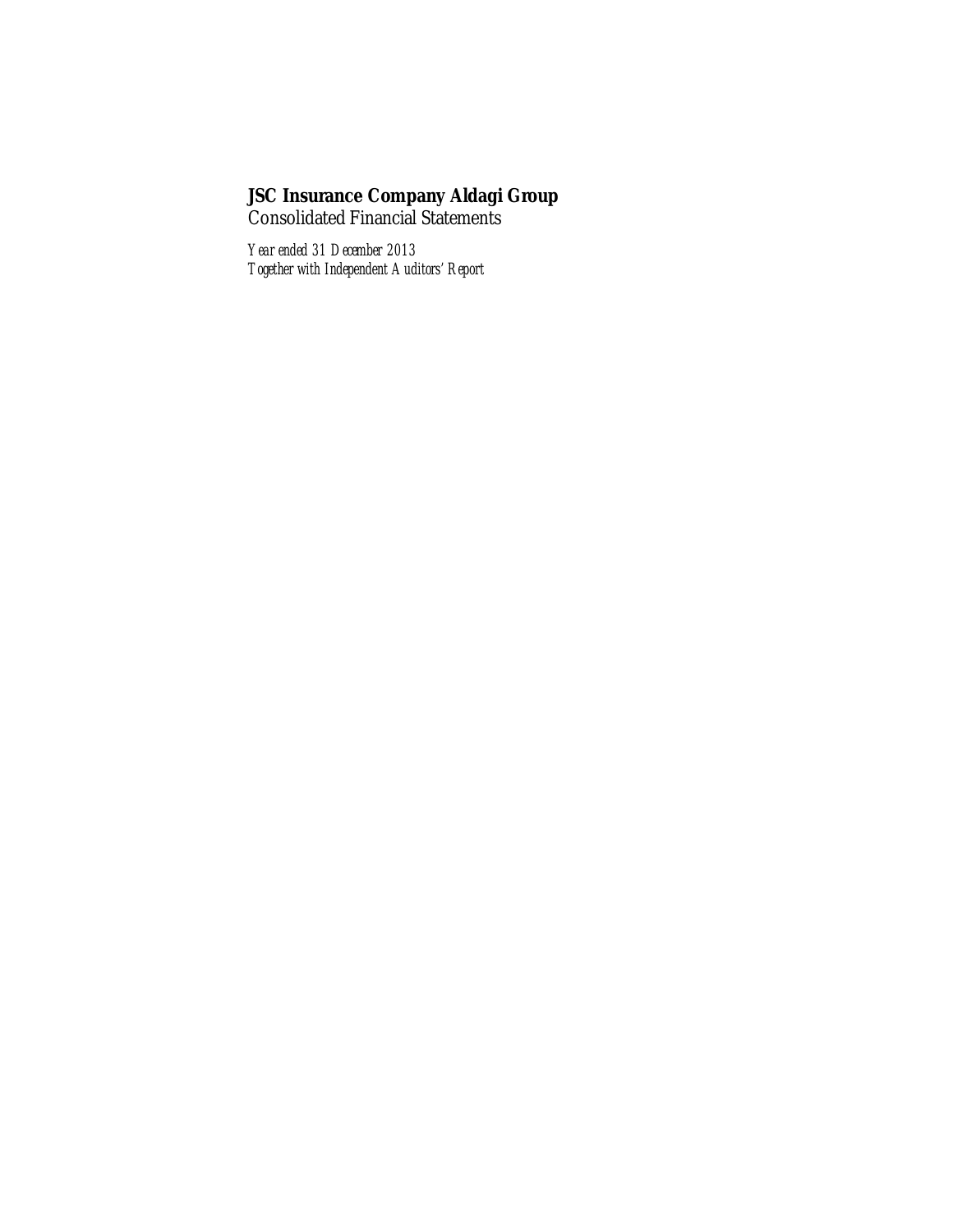**JSC Insurance Company Aldagi Group** Consolidated Financial Statements

*Year ended 31 December 2013 Together with Independent Auditors' Report*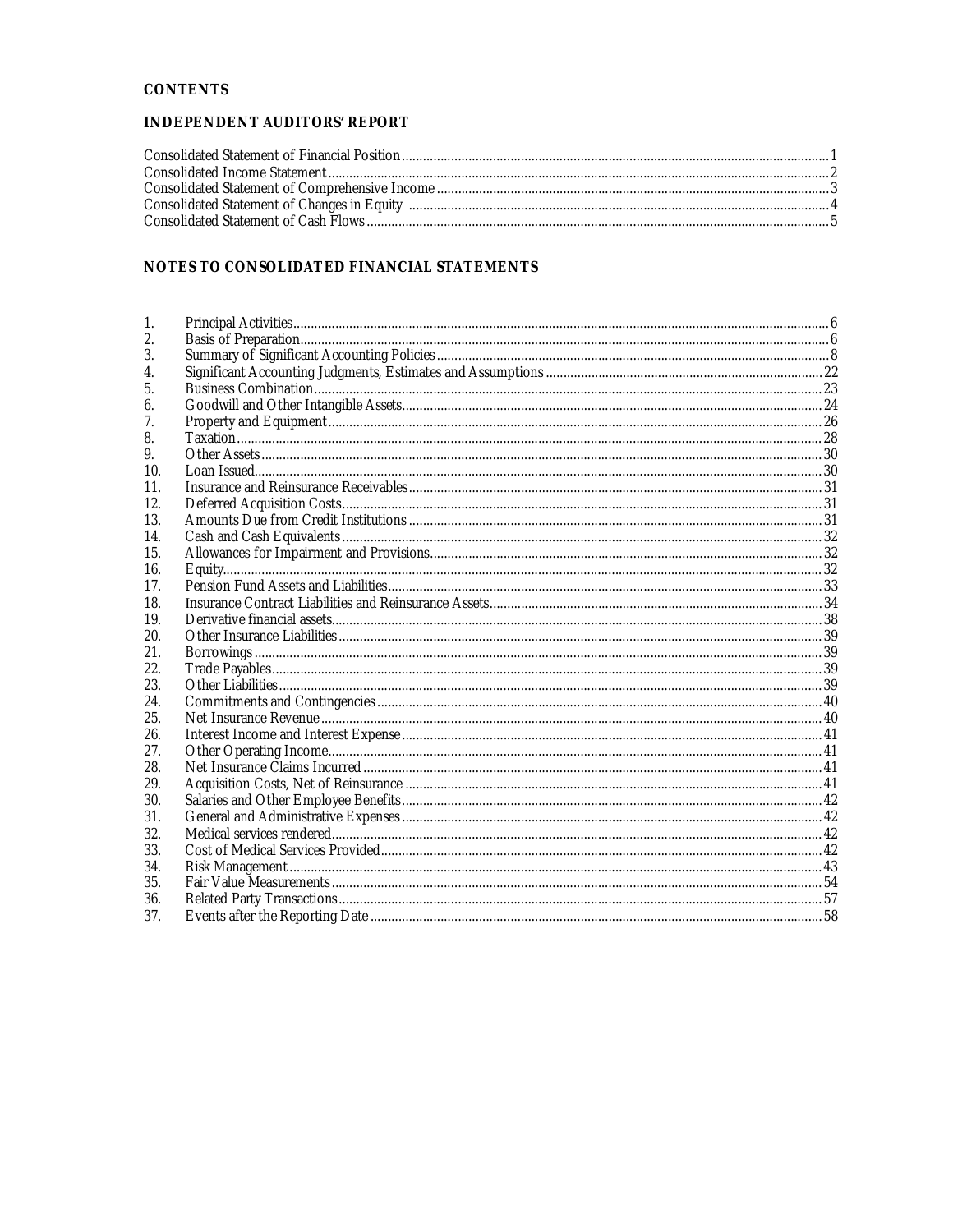## CONTENTS

## INDEPENDENT AUDITORS' REPORT

# NOTES TO CONSOLIDATED FINANCIAL STATEMENTS

| 1.  |  |
|-----|--|
| 2.  |  |
| 3.  |  |
| 4.  |  |
| 5.  |  |
| 6.  |  |
| 7.  |  |
| 8.  |  |
| 9.  |  |
| 10. |  |
| 11. |  |
| 12. |  |
| 13. |  |
| 14. |  |
| 15. |  |
| 16. |  |
| 17. |  |
| 18. |  |
| 19. |  |
| 20. |  |
| 21. |  |
| 22. |  |
| 23. |  |
| 24. |  |
| 25. |  |
| 26. |  |
| 27. |  |
| 28. |  |
| 29. |  |
| 30. |  |
| 31. |  |
| 32. |  |
| 33. |  |
| 34. |  |
| 35. |  |
| 36. |  |
| 37. |  |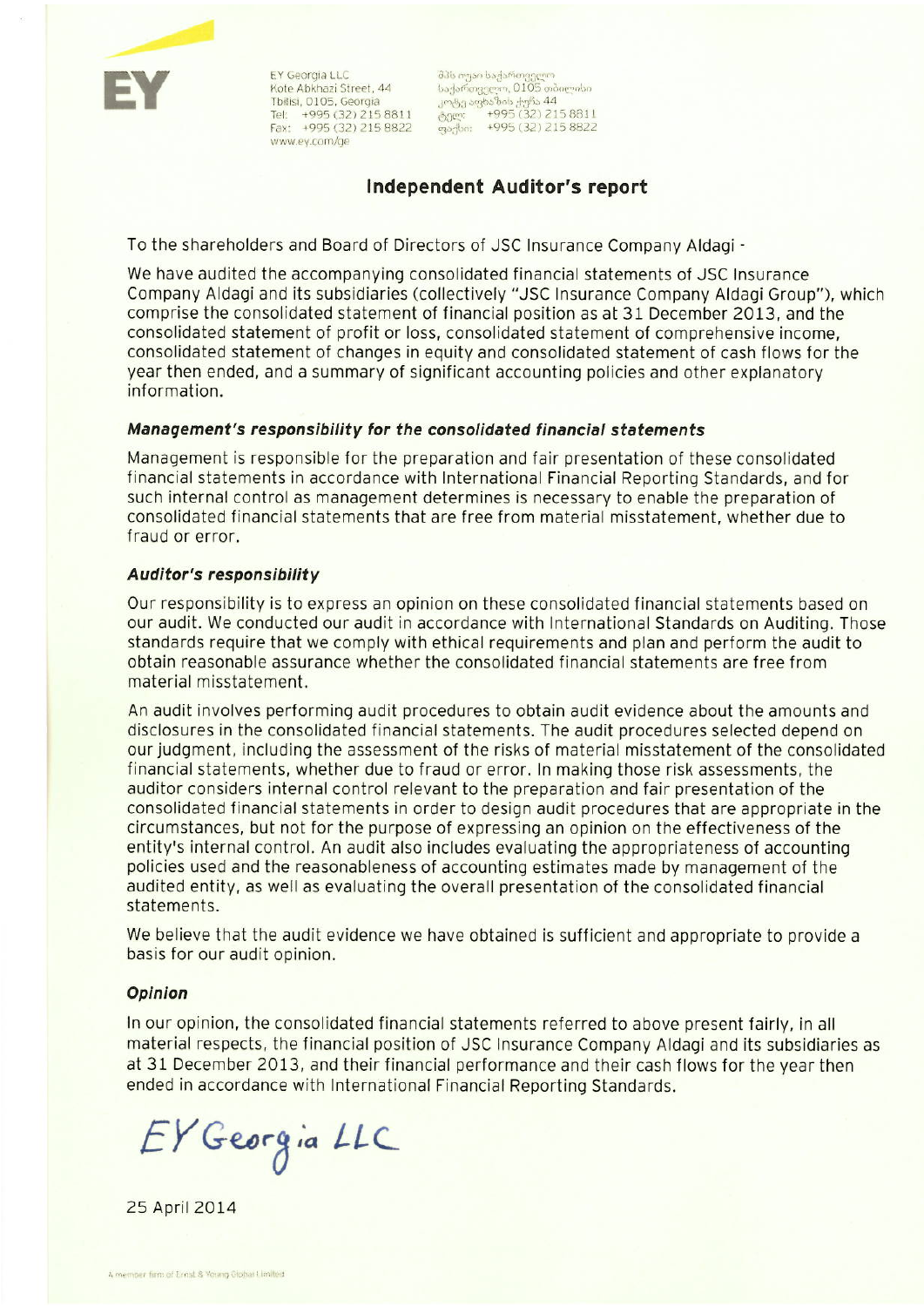EY Georgia LLC Kote Abkhazi Street, 44 Tbilisi, 0105, Georgia Tel: +995 (32) 215 8811<br>Fax: +995 (32) 215 8822 www.ey.com/ge

შპს იუაი საქართველო 

# **Independent Auditor's report**

To the shareholders and Board of Directors of JSC Insurance Company Aldagi -

We have audited the accompanying consolidated financial statements of JSC Insurance Company Aldagi and its subsidiaries (collectively "JSC Insurance Company Aldagi Group"), which comprise the consolidated statement of financial position as at 31 December 2013, and the consolidated statement of profit or loss, consolidated statement of comprehensive income, consolidated statement of changes in equity and consolidated statement of cash flows for the year then ended, and a summary of significant accounting policies and other explanatory information.

# Management's responsibility for the consolidated financial statements

Management is responsible for the preparation and fair presentation of these consolidated financial statements in accordance with International Financial Reporting Standards, and for such internal control as management determines is necessary to enable the preparation of consolidated financial statements that are free from material misstatement, whether due to fraud or error.

### **Auditor's responsibility**

Our responsibility is to express an opinion on these consolidated financial statements based on our audit. We conducted our audit in accordance with International Standards on Auditing. Those standards require that we comply with ethical requirements and plan and perform the audit to obtain reasonable assurance whether the consolidated financial statements are free from material misstatement.

An audit involves performing audit procedures to obtain audit evidence about the amounts and disclosures in the consolidated financial statements. The audit procedures selected depend on our judgment, including the assessment of the risks of material misstatement of the consolidated financial statements, whether due to fraud or error. In making those risk assessments, the auditor considers internal control relevant to the preparation and fair presentation of the consolidated financial statements in order to design audit procedures that are appropriate in the circumstances, but not for the purpose of expressing an opinion on the effectiveness of the entity's internal control. An audit also includes evaluating the appropriateness of accounting policies used and the reasonableness of accounting estimates made by management of the audited entity, as well as evaluating the overall presentation of the consolidated financial statements.

We believe that the audit evidence we have obtained is sufficient and appropriate to provide a basis for our audit opinion.

### **Opinion**

In our opinion, the consolidated financial statements referred to above present fairly, in all material respects, the financial position of JSC Insurance Company Aldagi and its subsidiaries as at 31 December 2013, and their financial performance and their cash flows for the year then ended in accordance with International Financial Reporting Standards.

EY Georgia LLC

25 April 2014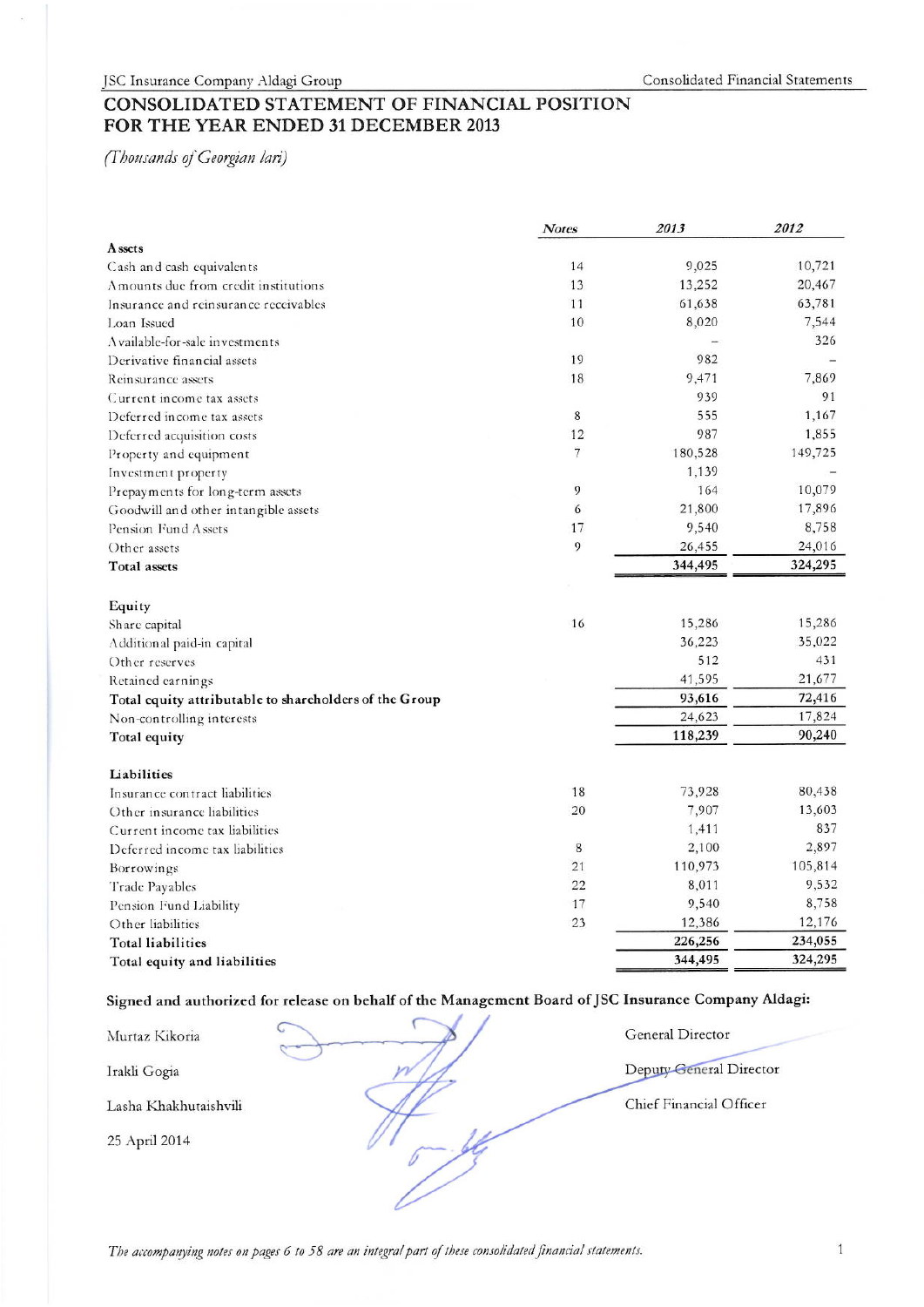# CONSOLIDATED STATEMENT OF FINANCIAL POSITION FOR THE YEAR ENDED 31 DECEMBER 2013

(Thousands of Georgian lari)

|                                                        | <b>Notes</b> | 2013    | 2012    |
|--------------------------------------------------------|--------------|---------|---------|
| A ssets                                                |              |         |         |
| Cash and cash equivalents                              | 14           | 9,025   | 10,721  |
| Amounts due from credit institutions                   | 13           | 13,252  | 20,467  |
| Insurance and reinsurance receivables                  | 11           | 61,638  | 63,781  |
| Loan Issued                                            | 10           | 8,020   | 7,544   |
| A vailable-for-sale investments                        |              |         | 326     |
| Derivative financial assets                            | 19           | 982     |         |
| Reinsurance assets                                     | 18           | 9,471   | 7,869   |
| Current income tax assets                              |              | 939     | 91      |
| Deferred income tax assets                             | 8            | 555     | 1,167   |
| Deferred acquisition costs                             | 12           | 987     | 1,855   |
| Property and equipment                                 | 7            | 180,528 | 149,725 |
| Investment property                                    |              | 1,139   |         |
| Prepayments for long-term assets                       | 9            | 164     | 10,079  |
| Goodwill and other intangible assets                   | 6            | 21,800  | 17,896  |
| Pension Fund Assets                                    | 17           | 9,540   | 8,758   |
| Other assets                                           | 9            | 26,455  | 24,016  |
| <b>Total</b> assets                                    |              | 344,495 | 324,295 |
|                                                        |              |         |         |
| Equity                                                 |              |         |         |
| Share capital                                          | 16           | 15,286  | 15,286  |
| Additional paid-in capital                             |              | 36,223  | 35,022  |
| Other reserves                                         |              | 512     | 431     |
| Retained earnings                                      |              | 41,595  | 21,677  |
| Total equity attributable to shareholders of the Group |              | 93,616  | 72,416  |
| Non-controlling interests                              |              | 24,623  | 17,824  |
| Total equity                                           |              | 118,239 | 90,240  |
|                                                        |              |         |         |
| Liabilities                                            |              |         |         |
| Insurance contract liabilities                         | 18           | 73,928  | 80,438  |
| Other insurance liabilities                            | 20           | 7,907   | 13,603  |
| Current income tax liabilities                         |              | 1,411   | 837     |
| Deferred income tax liabilities                        | 8            | 2,100   | 2,897   |
| Borrowings                                             | 21           | 110,973 | 105,814 |
| Trade Payables                                         | 22           | 8,011   | 9,532   |
| Pension Fund Liability                                 | 17           | 9,540   | 8,758   |
| Other liabilities                                      | 23           | 12,386  | 12,176  |
| <b>Total liabilities</b>                               |              | 226,256 | 234,055 |
| Total equity and liabilities                           |              | 344,495 | 324,295 |

# Signed and authorized for release on behalf of the Management Board of JSC Insurance Company Aldagi:

| Murtaz Kikoria        | $\sim$ | General Director        |
|-----------------------|--------|-------------------------|
| Irakli Gogia          |        | Deputy General Director |
| Lasha Khakhutaishvili |        | Chief Financial Officer |
| 25 April 2014         |        |                         |
|                       |        |                         |

The accompanying notes on pages 6 to 58 are an integral part of these consolidated financial statements.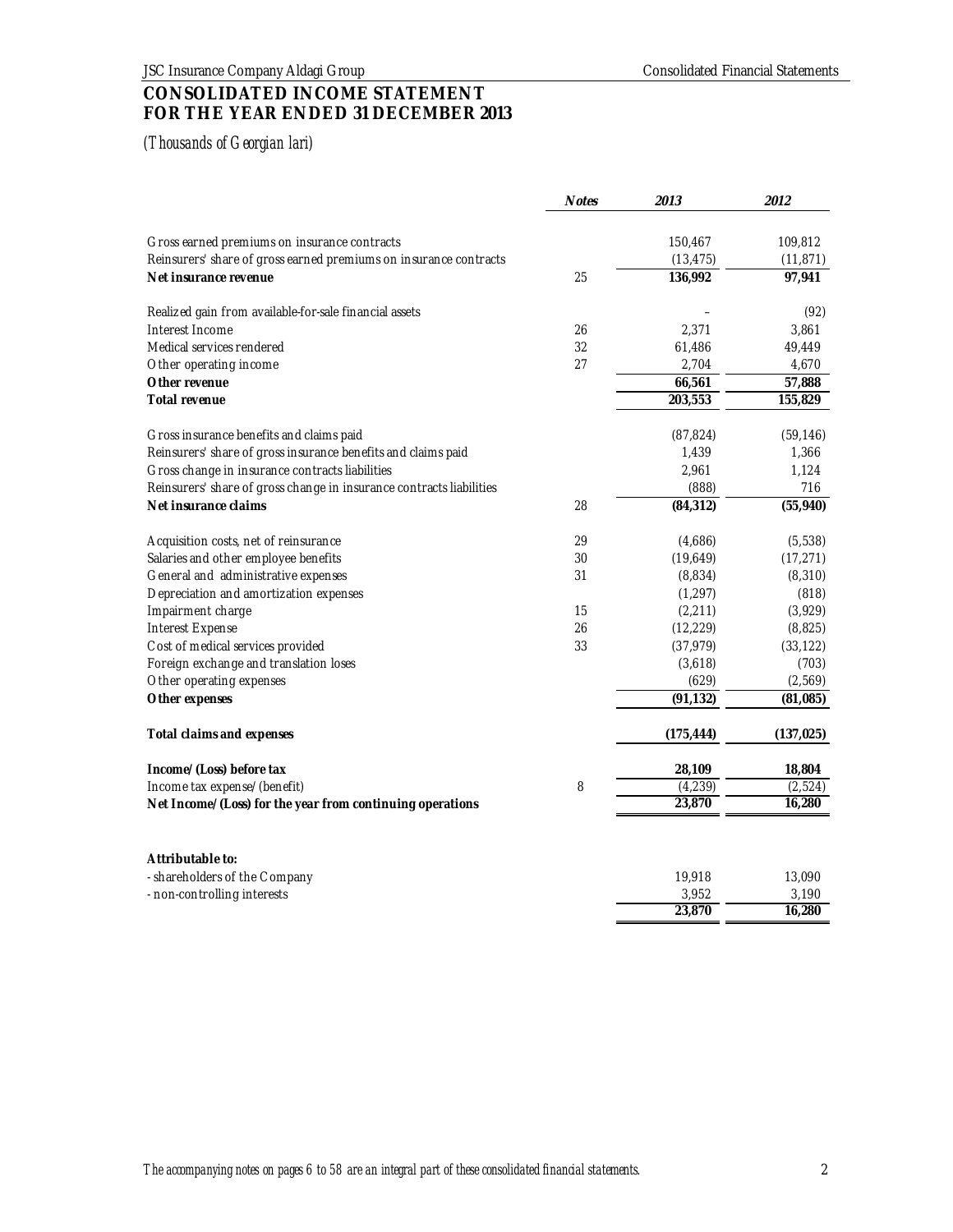# **CONSOLIDATED INCOME STATEMENT FOR THE YEAR ENDED 31 DECEMBER 2013**

|                                                                      | <b>Notes</b> | 2013       | 2012       |
|----------------------------------------------------------------------|--------------|------------|------------|
| Gross earned premiums on insurance contracts                         |              | 150,467    | 109,812    |
| Reinsurers' share of gross earned premiums on insurance contracts    |              | (13, 475)  | (11, 871)  |
| Net insurance revenue                                                | 25           | 136,992    | 97,941     |
|                                                                      |              |            |            |
| Realized gain from available-for-sale financial assets               |              |            | (92)       |
| Interest Income                                                      | 26           | 2,371      | 3,861      |
| Medical services rendered                                            | 32           | 61,486     | 49,449     |
| Other operating income                                               | 27           | 2,704      | 4,670      |
| Other revenue                                                        |              | 66,561     | 57,888     |
| Total revenue                                                        |              | 203,553    | 155,829    |
|                                                                      |              |            |            |
| Gross insurance benefits and claims paid                             |              | (87, 824)  | (59, 146)  |
| Reinsurers' share of gross insurance benefits and claims paid        |              | 1,439      | 1,366      |
| Gross change in insurance contracts liabilities                      |              | 2,961      | 1,124      |
| Reinsurers' share of gross change in insurance contracts liabilities |              | (888)      | 716        |
| Net insurance claims                                                 | 28           | (84, 312)  | (55, 940)  |
| Acquisition costs, net of reinsurance                                | 29           | (4,686)    | (5,538)    |
| Salaries and other employee benefits                                 | 30           | (19,649)   | (17, 271)  |
| General and administrative expenses                                  | 31           | (8,834)    | (8, 310)   |
| Depreciation and amortization expenses                               |              | (1, 297)   | (818)      |
| Impairment charge                                                    | 15           | (2, 211)   | (3,929)    |
| Interest Expense                                                     | 26           | (12, 229)  | (8, 825)   |
| Cost of medical services provided                                    | 33           | (37, 979)  | (33, 122)  |
| Foreign exchange and translation loses                               |              | (3,618)    | (703)      |
| Other operating expenses                                             |              | (629)      | (2, 569)   |
| Other expenses                                                       |              | (91, 132)  | (81, 085)  |
| Total claims and expenses                                            |              | (175, 444) | (137, 025) |
| Income/(Loss) before tax                                             |              | 28,109     | 18,804     |
| Income tax expense/(benefit)                                         | 8            | (4, 239)   | (2, 524)   |
| Net Income/(Loss) for the year from continuing operations            |              | 23,870     | 16,280     |
| Attributable to:                                                     |              |            |            |
| - shareholders of the Company                                        |              | 19,918     | 13,090     |
| - non-controlling interests                                          |              | 3,952      | 3,190      |
|                                                                      |              | 23,870     | 16,280     |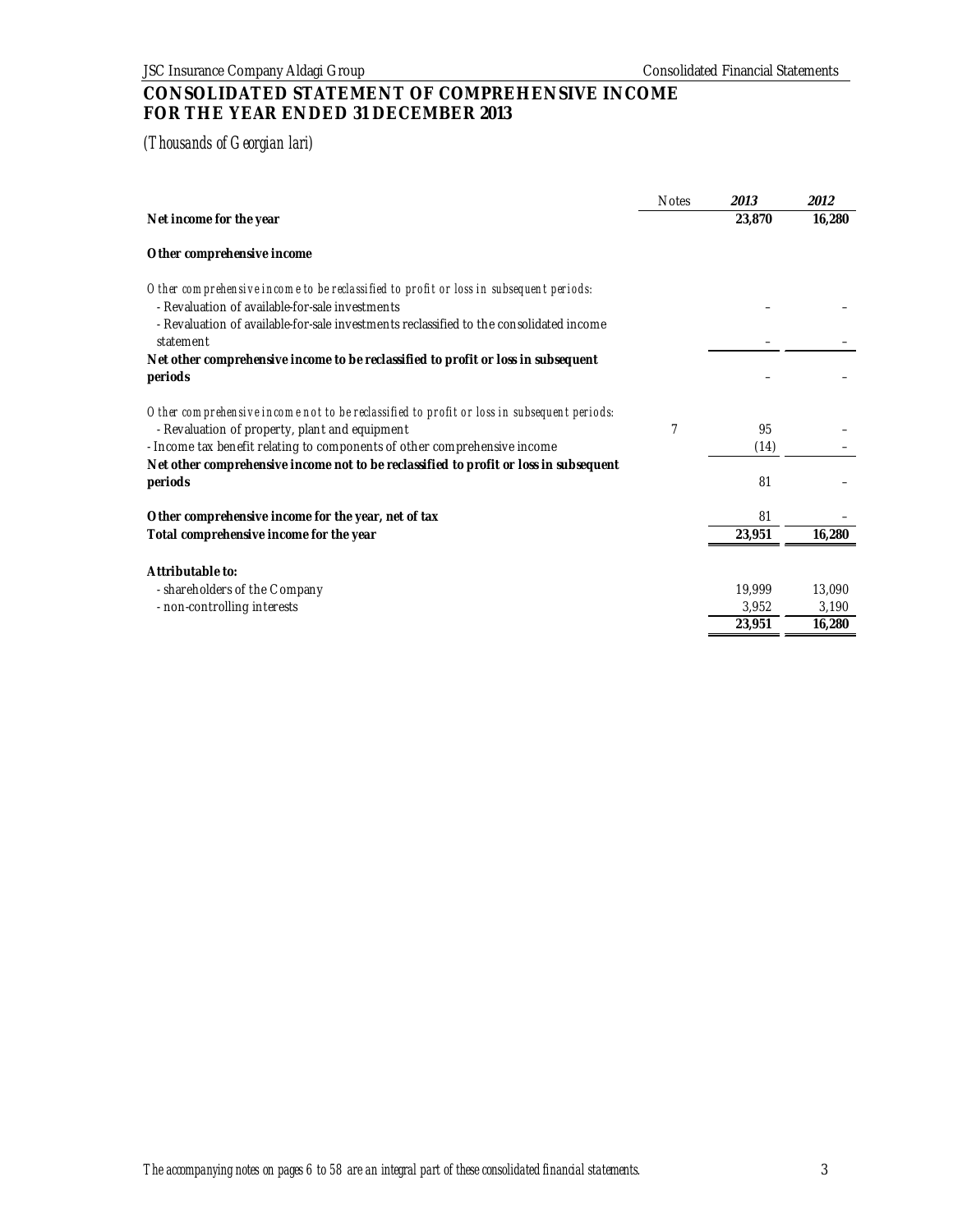# **CONSOLIDATED STATEMENT OF COMPREHENSIVE INCOME FOR THE YEAR ENDED 31 DECEMBER 2013**

|                                                                                                                                              | <b>Notes</b> | 2013   | 2012   |
|----------------------------------------------------------------------------------------------------------------------------------------------|--------------|--------|--------|
| Net income for the year                                                                                                                      |              | 23,870 | 16,280 |
| Other comprehensive income                                                                                                                   |              |        |        |
| Other comprehensive income to be reclassified to profit or loss in subsequent periods:<br>- Revaluation of available-for-sale investments    |              |        |        |
| - Revaluation of available-for-sale investments reclassified to the consolidated income<br>statement                                         |              |        |        |
| Net other comprehensive income to be reclassified to profit or loss in subsequent<br>periods                                                 |              |        |        |
|                                                                                                                                              |              |        |        |
| Other comprehensive income not to be reclassified to profit or loss in subsequent periods:<br>- Revaluation of property, plant and equipment | 7            | 95     |        |
| - Income tax benefit relating to components of other comprehensive income                                                                    |              | (14)   |        |
| Net other comprehensive income not to be reclassified to profit or loss in subsequent<br>periods                                             |              | 81     |        |
| Other comprehensive income for the year, net of tax                                                                                          |              | 81     |        |
| Total comprehensive income for the year                                                                                                      |              | 23,951 | 16,280 |
| Attributable to:                                                                                                                             |              |        |        |
| - shareholders of the Company                                                                                                                |              | 19,999 | 13,090 |
| - non-controlling interests                                                                                                                  |              | 3,952  | 3,190  |
|                                                                                                                                              |              | 23,951 | 16,280 |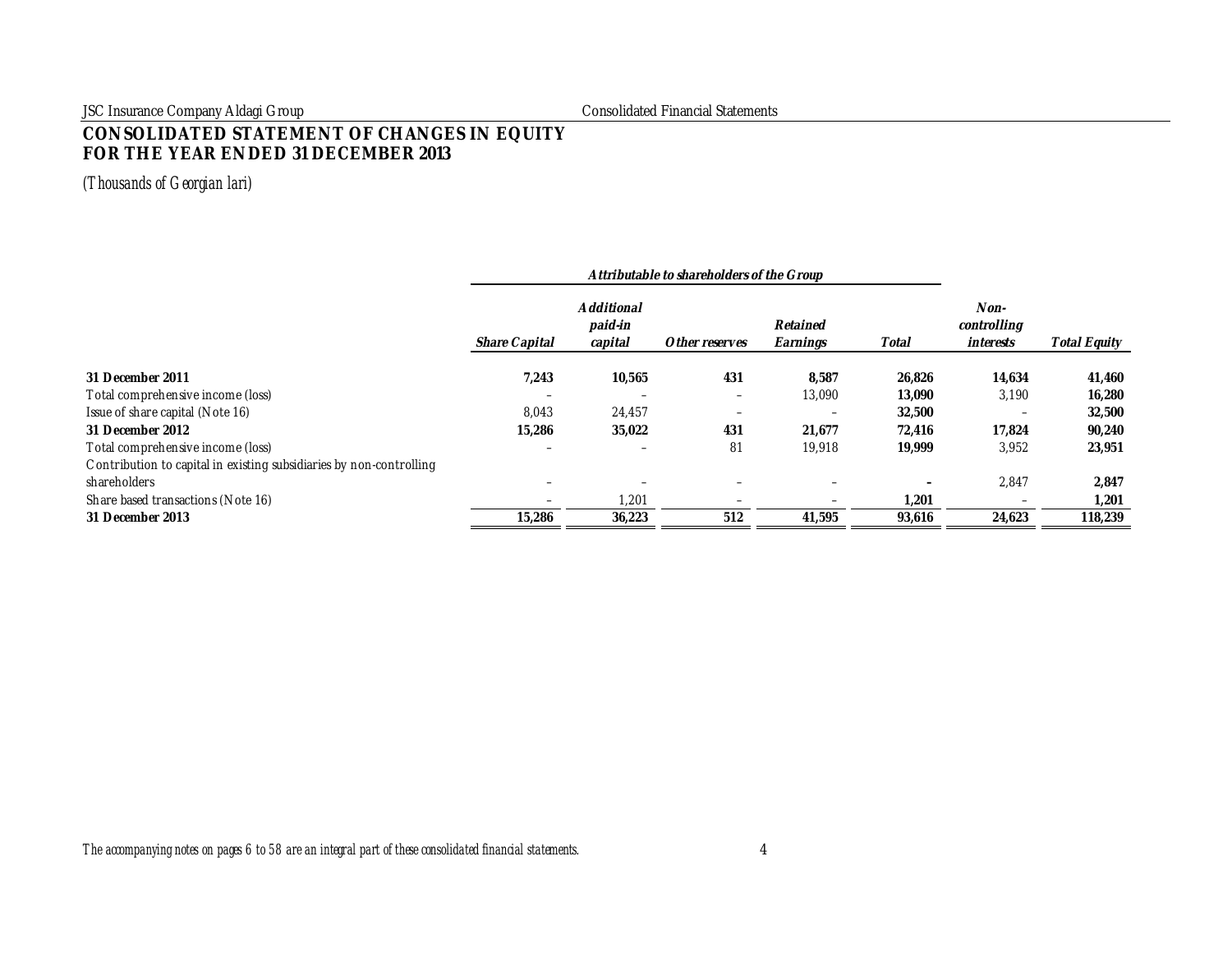JSC Insurance Company Aldagi Group Consolidated Financial Statements

# **CONSOLIDATED STATEMENT OF CHANGES IN EQUITY FOR THE YEAR ENDED 31 DECEMBER 2013**

|                                                                     | Attributable to shareholders of the Group |                                  |                |                          |        |                                  |                     |
|---------------------------------------------------------------------|-------------------------------------------|----------------------------------|----------------|--------------------------|--------|----------------------------------|---------------------|
|                                                                     | Share Capital                             | Additional<br>paid-in<br>capital | Other reserves | Retained<br>Earnings     | Total  | Non-<br>controlling<br>interests | <b>Total Equity</b> |
| 31 December 2011                                                    | 7,243                                     | 10,565                           | 431            | 8,587                    | 26,826 | 14,634                           | 41,460              |
| Total comprehensive income (loss)                                   | $\overline{\phantom{0}}$                  |                                  |                | 13,090                   | 13,090 | 3,190                            | 16,280              |
| Issue of share capital (Note 16)                                    | 8,043                                     | 24,457                           |                | $\overline{\phantom{0}}$ | 32,500 |                                  | 32,500              |
| 31 December 2012                                                    | 15,286                                    | 35,022                           | 431            | 21,677                   | 72.416 | 17.824                           | 90,240              |
| Total comprehensive income (loss)                                   |                                           |                                  | 81             | 19,918                   | 19,999 | 3,952                            | 23,951              |
| Contribution to capital in existing subsidiaries by non-controlling |                                           |                                  |                |                          |        |                                  |                     |
| shareholders                                                        |                                           |                                  |                | $\overline{\phantom{0}}$ |        | 2,847                            | 2,847               |
| Share based transactions (Note 16)                                  |                                           | 1,201                            |                | $\overline{\phantom{0}}$ | .201   |                                  | 1,201               |
| 31 December 2013                                                    | 15,286                                    | 36,223                           | 512            | 41,595                   | 93,616 | 24,623                           | 118,239             |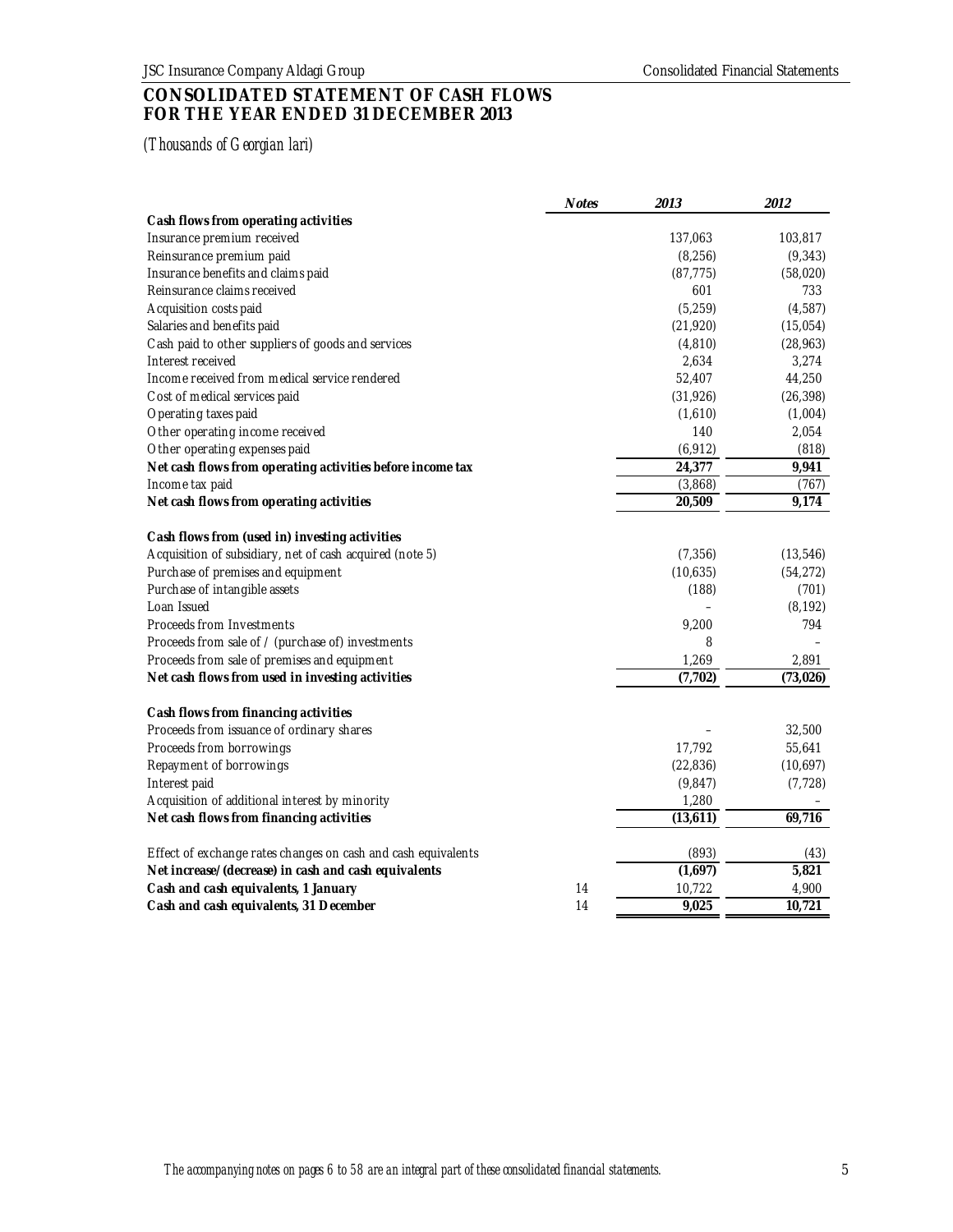# **CONSOLIDATED STATEMENT OF CASH FLOWS FOR THE YEAR ENDED 31 DECEMBER 2013**

|                                                               | <b>Notes</b> | 2013      | 2012      |
|---------------------------------------------------------------|--------------|-----------|-----------|
| Cash flows from operating activities                          |              |           |           |
| Insurance premium received                                    |              | 137,063   | 103,817   |
| Reinsurance premium paid                                      |              | (8, 256)  | (9, 343)  |
| Insurance benefits and claims paid                            |              | (87, 775) | (58,020)  |
| Reinsurance claims received                                   |              | 601       | 733       |
| Acquisition costs paid                                        |              | (5, 259)  | (4, 587)  |
| Salaries and benefits paid                                    |              | (21, 920) | (15,054)  |
| Cash paid to other suppliers of goods and services            |              | (4, 810)  | (28, 963) |
| Interest received                                             |              | 2,634     | 3,274     |
| Income received from medical service rendered                 |              | 52,407    | 44,250    |
| Cost of medical services paid                                 |              | (31, 926) | (26, 398) |
| Operating taxes paid                                          |              | (1,610)   | (1,004)   |
| Other operating income received                               |              | 140       | 2,054     |
| Other operating expenses paid                                 |              | (6, 912)  | (818)     |
| Net cash flows from operating activities before income tax    |              | 24,377    | 9,941     |
| Income tax paid                                               |              | (3,868)   | (767)     |
| Net cash flows from operating activities                      |              | 20,509    | 9,174     |
| Cash flows from (used in) investing activities                |              |           |           |
| Acquisition of subsidiary, net of cash acquired (note 5)      |              | (7, 356)  | (13, 546) |
| Pur chase of premises and equipment                           |              | (10,635)  | (54, 272) |
| Pur chase of intangible assets                                |              | (188)     | (701)     |
| Loan Issued                                                   |              |           | (8, 192)  |
| Proceeds from Investments                                     |              | 9,200     | 794       |
| Proceeds from sale of / (purchase of) investments             |              | 8         |           |
| Proceeds from sale of premises and equipment                  |              | 1,269     | 2,891     |
| Net cash flows from used in investing activities              |              | (7, 702)  | (73, 026) |
| Cash flows from financing activities                          |              |           |           |
| Proceeds from issuance of ordinary shares                     |              |           | 32,500    |
| Proceeds from borrowings                                      |              | 17,792    | 55,641    |
| Repayment of borrowings                                       |              | (22, 836) | (10,697)  |
| Interest paid                                                 |              | (9,847)   | (7, 728)  |
| Acquisition of additional interest by minority                |              | 1,280     |           |
| Net cash flows from financing activities                      |              | (13,611)  | 69,716    |
| Effect of exchange rates changes on cash and cash equivalents |              | (893)     | (43)      |
| Net increase/(decrease) in cash and cash equivalents          |              | (1,697)   | 5,821     |
| Cash and cash equivalents, 1 January                          | 14           | 10,722    | 4,900     |
| Cash and cash equivalents, 31 December                        | 14           | 9,025     | 10,721    |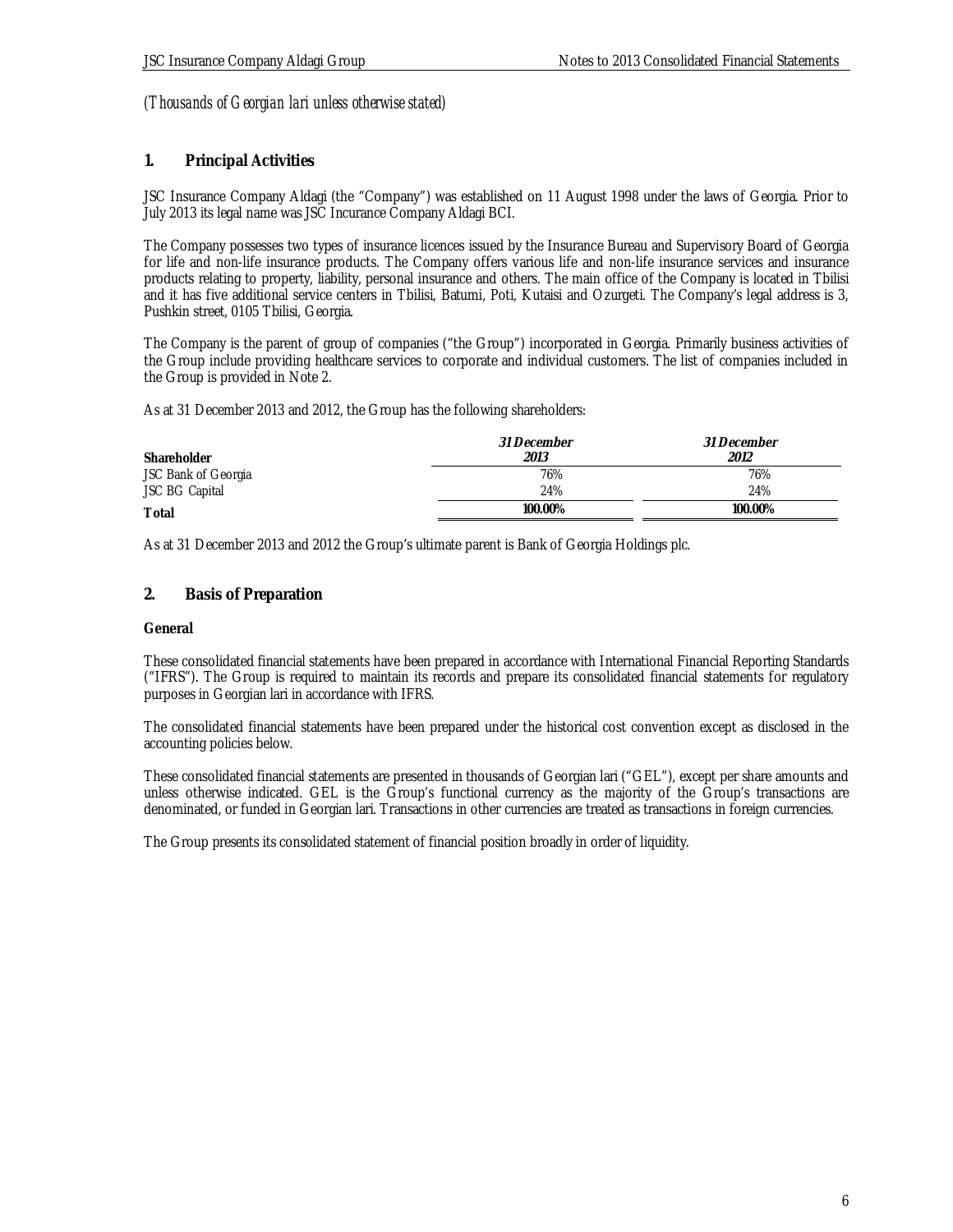### **1. Principal Activities**

JSC Insurance Company Aldagi (the "Company") was established on 11 August 1998 under the laws of Georgia. Prior to July 2013 its legal name was JSC Incurance Company Aldagi BCI.

The Company possesses two types of insurance licences issued by the Insurance Bureau and Supervisory Board of Georgia for life and non-life insurance products. The Company offers various life and non-life insurance services and insurance products relating to property, liability, personal insurance and others. The main office of the Company is located in Tbilisi and it has five additional service centers in Tbilisi, Batumi, Poti, Kutaisi and Ozurgeti. The Company's legal address is 3, Pushkin street, 0105 Tbilisi, Georgia.

The Company is the parent of group of companies ("the Group") incorporated in Georgia. Primarily business activities of the Group include providing healthcare services to corporate and individual customers. The list of companies included in the Group is provided in Note 2.

As at 31 December 2013 and 2012, the Group has the following shareholders:

| Shareholder           | <i>31 December</i><br>2013 | <i>31 December</i><br>2012 |
|-----------------------|----------------------------|----------------------------|
| JSC Bank of Georgia   | 76%                        | 76%                        |
| <b>JSC BG Capital</b> | 24%                        | 24%                        |
| Total                 | 100.00%                    | 100.00%                    |

As at 31 December 2013 and 2012 the Group's ultimate parent is Bank of Georgia Holdings plc.

### **2. Basis of Preparation**

#### **General**

These consolidated financial statements have been prepared in accordance with International Financial Reporting Standards ("IFRS"). The Group is required to maintain its records and prepare its consolidated financial statements for regulatory purposes in Georgian lari in accordance with IFRS.

The consolidated financial statements have been prepared under the historical cost convention except as disclosed in the accounting policies below.

These consolidated financial statements are presented in thousands of Georgian lari ("GEL"), except per share amounts and unless otherwise indicated. GEL is the Group's functional currency as the majority of the Group's transactions are denominated, or funded in Georgian lari. Transactions in other currencies are treated as transactions in foreign currencies.

The Group presents its consolidated statement of financial position broadly in order of liquidity.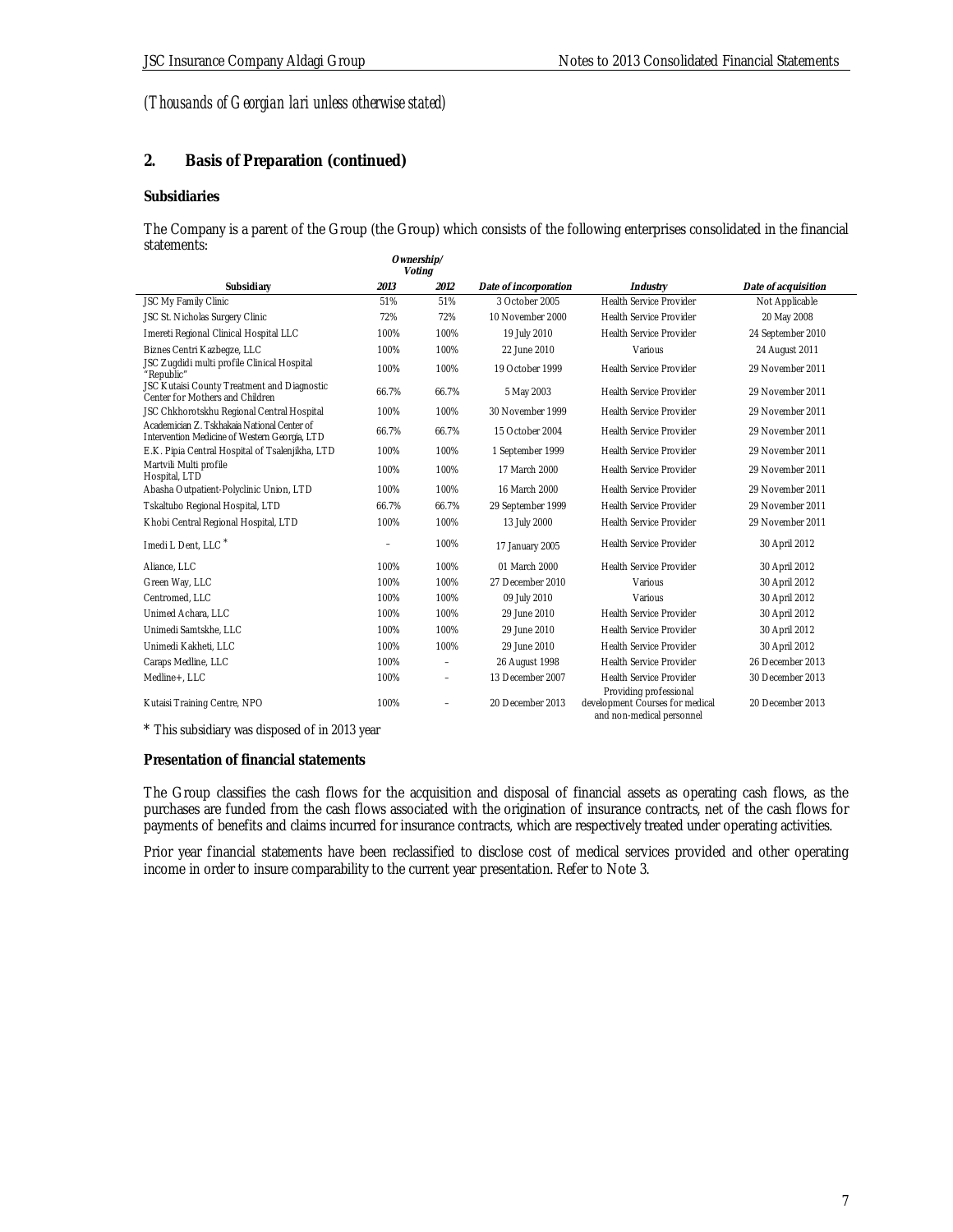### **2. Basis of Preparation (continued)**

#### **Subsidiaries**

The Company is a parent of the Group (the Group) which consists of the following enterprises consolidated in the financial statements: **Ownership/**

|                                                                                              |       | $\cup$ which ship $\sim$<br>Voting |                       |                                                                                        |                     |
|----------------------------------------------------------------------------------------------|-------|------------------------------------|-----------------------|----------------------------------------------------------------------------------------|---------------------|
| Subsidiary                                                                                   | 2013  | 2012                               | Date of incorporation | Industry                                                                               | Date of acquisition |
| JSC My Family Clinic                                                                         | 51%   | 51%                                | 3 October 2005        | Health Service Provider                                                                | Not Applicable      |
| JSC St. Nicholas Surgery Clinic                                                              | 72%   | 72%                                | 10 November 2000      | <b>Health Service Provider</b>                                                         | 20 May 2008         |
| Imereti Regional Clinical Hospital LLC                                                       | 100%  | 100%                               | 19 July 2010          | <b>Health Service Provider</b>                                                         | 24 September 2010   |
| Biznes Centri Kazbegze, LLC                                                                  | 100%  | 100%                               | 22 June 2010          | Various                                                                                | 24 August 2011      |
| JSC Zugdidi multi profile Clinical Hospital<br>"Republic"                                    | 100%  | 100%                               | 19 October 1999       | <b>Health Service Provider</b>                                                         | 29 November 2011    |
| JSC Kutaisi County Treatment and Diagnostic<br>Center for Mothers and Children               | 66.7% | 66.7%                              | 5 May 2003            | Health Service Provider                                                                | 29 November 2011    |
| JSC Chkhorotskhu Regional Central Hospital                                                   | 100%  | 100%                               | 30 November 1999      | <b>Health Service Provider</b>                                                         | 29 November 2011    |
| Academician Z. Tskhakaia National Center of<br>Intervention Medicine of Western Georgia, LTD | 66.7% | 66.7%                              | 15 October 2004       | <b>Health Service Provider</b>                                                         | 29 November 2011    |
| E.K. Pipia Central Hospital of Tsalenjikha, LTD                                              | 100%  | 100%                               | 1 September 1999      | <b>Health Service Provider</b>                                                         | 29 November 2011    |
| Martvili Multi profile<br>Hospital, LTD                                                      | 100%  | 100%                               | 17 March 2000         | <b>Health Service Provider</b>                                                         | 29 November 2011    |
| Abasha Outpatient-Polyclinic Union, LTD                                                      | 100%  | 100%                               | 16 March 2000         | <b>Health Service Provider</b>                                                         | 29 November 2011    |
| Tskaltubo Regional Hospital, LTD                                                             | 66.7% | 66.7%                              | 29 September 1999     | <b>Health Service Provider</b>                                                         | 29 November 2011    |
| Khobi Central Regional Hospital, LTD                                                         | 100%  | 100%                               | 13 July 2000          | <b>Health Service Provider</b>                                                         | 29 November 2011    |
| I medi L Dent. LLC <sup>*</sup>                                                              |       | 100%                               | 17 January 2005       | <b>Health Service Provider</b>                                                         | 30 April 2012       |
| Aliance, LLC                                                                                 | 100%  | 100%                               | 01 March 2000         | Health Service Provider                                                                | 30 April 2012       |
| Green Way, LLC                                                                               | 100%  | 100%                               | 27 December 2010      | Various                                                                                | 30 April 2012       |
| Centromed, LLC                                                                               | 100%  | 100%                               | 09 July 2010          | Various                                                                                | 30 April 2012       |
| Unimed Achara, LLC                                                                           | 100%  | 100%                               | 29 June 2010          | <b>Health Service Provider</b>                                                         | 30 April 2012       |
| Unimedi Samtskhe, LLC                                                                        | 100%  | 100%                               | 29 June 2010          | <b>Health Service Provider</b>                                                         | 30 April 2012       |
| Unimedi Kakheti, LLC                                                                         | 100%  | 100%                               | 29 June 2010          | Health Service Provider                                                                | 30 April 2012       |
| Caraps Medline, LLC                                                                          | 100%  |                                    | 26 August 1998        | <b>Health Service Provider</b>                                                         | 26 December 2013    |
| Medline+, LLC                                                                                | 100%  | $\equiv$                           | 13 December 2007      | <b>Health Service Provider</b>                                                         | 30 December 2013    |
| Kutaisi Training Centre, NPO                                                                 | 100%  |                                    | 20 December 2013      | Providing professional<br>development Courses for medical<br>and non-medical personnel | 20 December 2013    |

\* This subsidiary was disposed of in 2013 year

**Presentation of financial statements**

The Group classifies the cash flows for the acquisition and disposal of financial assets as operating cash flows, as the purchases are funded from the cash flows associated with the origination of insurance contracts, net of the cash flows for payments of benefits and claims incurred for insurance contracts, which are respectively treated under operating activities.

Prior year financial statements have been reclassified to disclose cost of medical services provided and other operating income in order to insure comparability to the current year presentation. Refer to Note 3.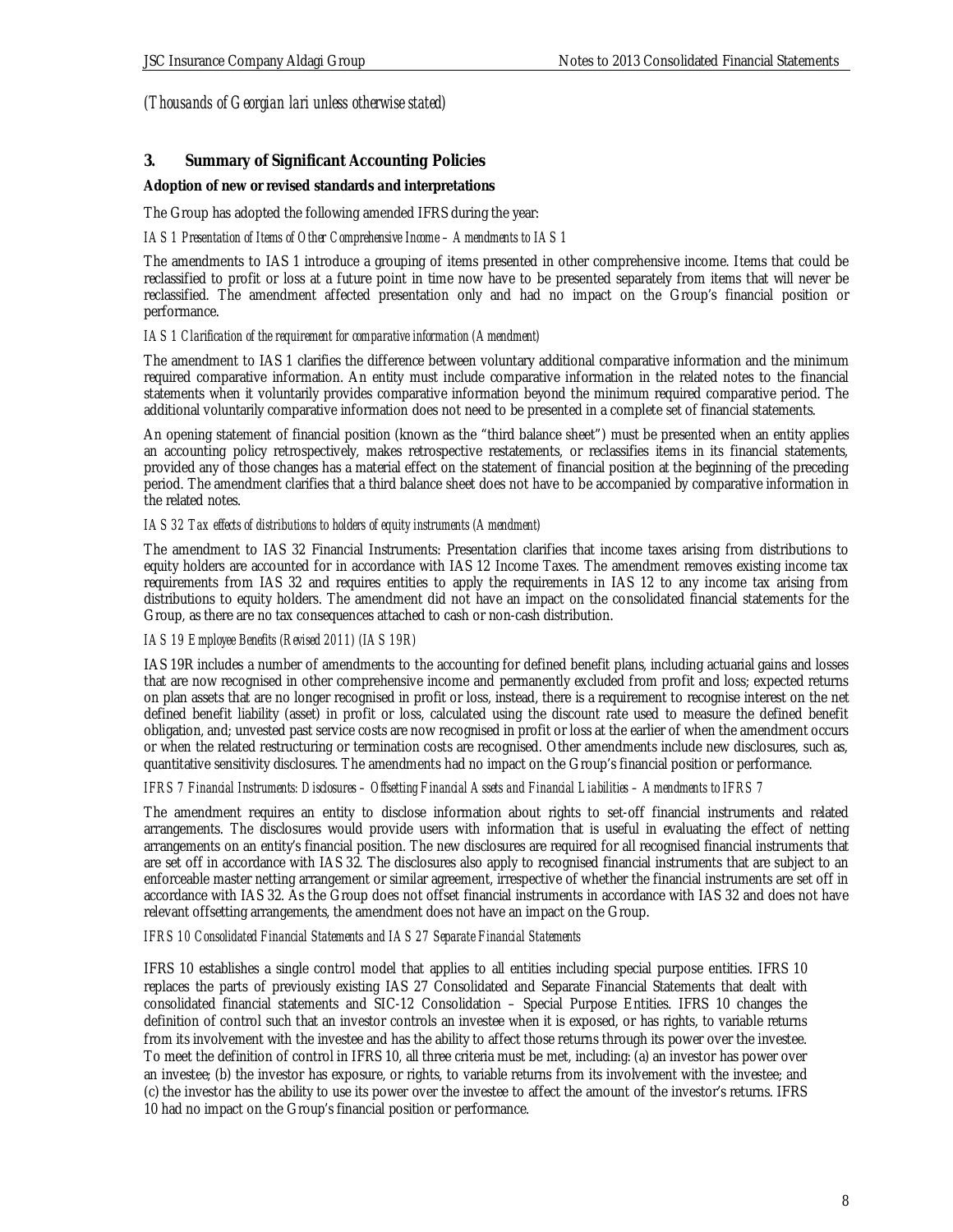### **3. Summary of Significant Accounting Policies**

**Adoption of new or revised standards and interpretations**

The Group has adopted the following amended IFRS during the year:

#### *IAS 1 Presentation of Items of Other Comprehensive Income – Amendments to IAS 1*

The amendments to IAS 1 introduce a grouping of items presented in other comprehensive income. Items that could be reclassified to profit or loss at a future point in time now have to be presented separately from items that will never be reclassified. The amendment affected presentation only and had no impact on the Group's financial position or performance.

#### *IAS 1 Clarification of the requirement for comparative information (Amendment)*

The amendment to IAS 1 clarifies the difference between voluntary additional comparative information and the minimum required comparative information. An entity must include comparative information in the related notes to the financial statements when it voluntarily provides comparative information beyond the minimum required comparative period. The additional voluntarily comparative information does not need to be presented in a complete set of financial statements.

An opening statement of financial position (known as the "third balance sheet") must be presented when an entity applies an accounting policy retrospectively, makes retrospective restatements, or reclassifies items in its financial statements, provided any of those changes has a material effect on the statement of financial position at the beginning of the preceding period. The amendment clarifies that a third balance sheet does not have to be accompanied by comparative information in the related notes.

#### *IAS 32 Tax effects of distributions to holders of equity instruments (Amendment)*

The amendment to IAS 32 Financial Instruments: Presentation clarifies that income taxes arising from distributions to equity holders are accounted for in accordance with IAS 12 Income Taxes. The amendment removes existing income tax requirements from IAS 32 and requires entities to apply the requirements in IAS 12 to any income tax arising from distributions to equity holders. The amendment did not have an impact on the consolidated financial statements for the Group, as there are no tax consequences attached to cash or non-cash distribution.

#### *IAS 19 Employee Benefits (Revised 2011) (IAS 19R)*

IAS 19R includes a number of amendments to the accounting for defined benefit plans, including actuarial gains and losses that are now recognised in other comprehensive income and permanently excluded from profit and loss; expected returns on plan assets that are no longer recognised in profit or loss, instead, there is a requirement to recognise interest on the net defined benefit liability (asset) in profit or loss, calculated using the discount rate used to measure the defined benefit obligation, and; unvested past service costs are now recognised in profit or loss at the earlier of when the amendment occurs or when the related restructuring or termination costs are recognised. Other amendments include new disclosures, such as, quantitative sensitivity disclosures. The amendments had no impact on the Group's financial position or performance.

#### *IFRS 7 Financial Instruments: Disclosures – Offsetting Financial Assets and Financial Liabilities – Amendments to IFRS 7*

The amendment requires an entity to disclose information about rights to set-off financial instruments and related arrangements. The disclosures would provide users with information that is useful in evaluating the effect of netting arrangements on an entity's financial position. The new disclosures are required for all recognised financial instruments that are set off in accordance with IAS 32. The disclosures also apply to recognised financial instruments that are subject to an enforceable master netting arrangement or similar agreement, irrespective of whether the financial instruments are set off in accordance with IAS 32. As the Group does not offset financial instruments in accordance with IAS 32 and does not have relevant offsetting arrangements, the amendment does not have an impact on the Group.

#### *IFRS 10 Consolidated Financial Statements and IAS 27 Separate Financial Statements*

IFRS 10 establishes a single control model that applies to all entities including special purpose entities. IFRS 10 replaces the parts of previously existing IAS 27 Consolidated and Separate Financial Statements that dealt with consolidated financial statements and SIC-12 Consolidation – Special Purpose Entities. IFRS 10 changes the definition of control such that an investor controls an investee when it is exposed, or has rights, to variable returns from its involvement with the investee and has the ability to affect those returns through its power over the investee. To meet the definition of control in IFRS 10, all three criteria must be met, including: (a) an investor has power over an investee; (b) the investor has exposure, or rights, to variable returns from its involvement with the investee; and (c) the investor has the ability to use its power over the investee to affect the amount of the investor's returns. IFRS 10 had no impact on the Group's financial position or performance.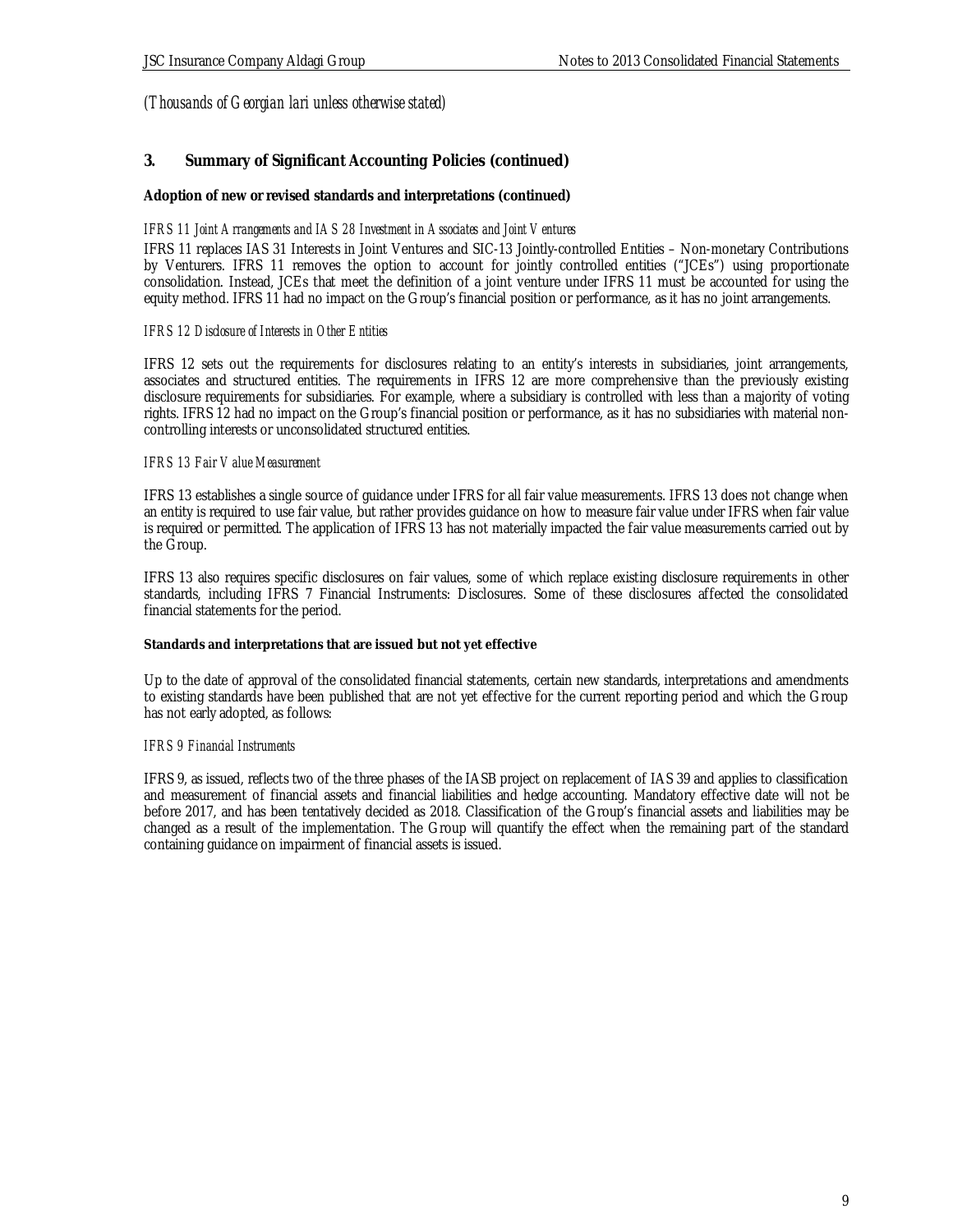### **3. Summary of Significant Accounting Policies (continued)**

**Adoption of new or revised standards and interpretations (continued)**

#### *IFRS 11 Joint Arrangements and IAS 28 Investment in Associates and Joint Ventures*

IFRS 11 replaces IAS 31 Interests in Joint Ventures and SIC-13 Jointly-controlled Entities – Non-monetary Contributions by Venturers. IFRS 11 removes the option to account for jointly controlled entities ("JCEs") using proportionate consolidation. Instead, JCEs that meet the definition of a joint venture under IFRS 11 must be accounted for using the equity method. IFRS 11 had no impact on the Group's financial position or performance, as it has no joint arrangements.

### *IFRS 12 Disclosure of Interests in Other Entities*

IFRS 12 sets out the requirements for disclosures relating to an entity's interests in subsidiaries, joint arrangements, associates and structured entities. The requirements in IFRS 12 are more comprehensive than the previously existing disclosure requirements for subsidiaries. For example, where a subsidiary is controlled with less than a majority of voting rights. IFRS 12 had no impact on the Group's financial position or performance, as it has no subsidiaries with material noncontrolling interests or unconsolidated structured entities.

### *IFRS 13 Fair Value Measurement*

IFRS 13 establishes a single source of guidance under IFRS for all fair value measurements. IFRS 13 does not change when an entity is required to use fair value, but rather provides guidance on how to measure fair value under IFRS when fair value is required or permitted. The application of IFRS 13 has not materially impacted the fair value measurements carried out by the Group.

IFRS 13 also requires specific disclosures on fair values, some of which replace existing disclosure requirements in other standards, including IFRS 7 Financial Instruments: Disclosures. Some of these disclosures affected the consolidated financial statements for the period.

#### **Standards and interpretations that are issued but not yet effective**

Up to the date of approval of the consolidated financial statements, certain new standards, interpretations and amendments to existing standards have been published that are not yet effective for the current reporting period and which the Group has not early adopted, as follows:

#### *IFRS 9 Financial Instruments*

IFRS 9, as issued, reflects two of the three phases of the IASB project on replacement of IAS 39 and applies to classification and measurement of financial assets and financial liabilities and hedge accounting. Mandatory effective date will not be before 2017, and has been tentatively decided as 2018. Classification of the Group's financial assets and liabilities may be changed as a result of the implementation. The Group will quantify the effect when the remaining part of the standard containing guidance on impairment of financial assets is issued.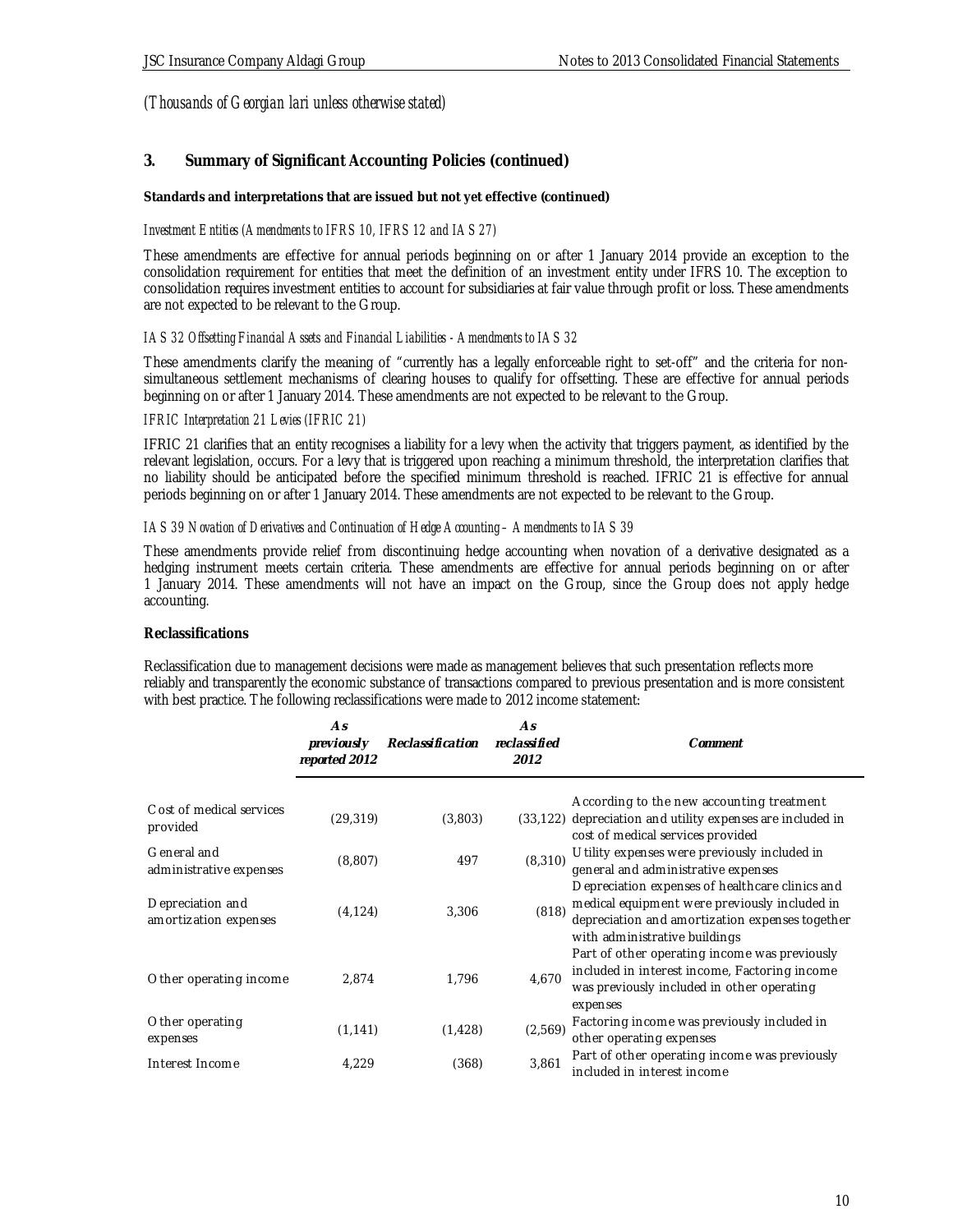### **3. Summary of Significant Accounting Policies (continued)**

**Standards and interpretations that are issued but not yet effective (continued)**

### *Investment Entities (Amendments to IFRS 10, IFRS 12 and IAS 27)*

These amendments are effective for annual periods beginning on or after 1 January 2014 provide an exception to the consolidation requirement for entities that meet the definition of an investment entity under IFRS 10. The exception to consolidation requires investment entities to account for subsidiaries at fair value through profit or loss. These amendments are not expected to be relevant to the Group.

### *IAS 32 Offsetting Financial Assets and Financial Liabilities - Amendments to IAS 32*

These amendments clarify the meaning of "currently has a legally enforceable right to set-off" and the criteria for nonsimultaneous settlement mechanisms of clearing houses to qualify for offsetting. These are effective for annual periods beginning on or after 1 January 2014. These amendments are not expected to be relevant to the Group.

### *IFRIC Interpretation 21 Levies (IFRIC 21)*

IFRIC 21 clarifies that an entity recognises a liability for a levy when the activity that triggers payment, as identified by the relevant legislation, occurs. For a levy that is triggered upon reaching a minimum threshold, the interpretation clarifies that no liability should be anticipated before the specified minimum threshold is reached. IFRIC 21 is effective for annual periods beginning on or after 1 January 2014. These amendments are not expected to be relevant to the Group.

#### *IAS 39 Novation of Derivatives and Continuation of Hedge Accounting – Amendments to IAS 39*

These amendments provide relief from discontinuing hedge accounting when novation of a derivative designated as a hedging instrument meets certain criteria. These amendments are effective for annual periods beginning on or after 1 January 2014. These amendments will not have an impact on the Group, since the Group does not apply hedge accounting.

### **Reclassifications**

Reclassification due to management decisions were made as management believes that such presentation reflects more reliably and transparently the economic substance of transactions compared to previous presentation and is more consistent with best practice. The following reclassifications were made to 2012 income statement:

|                                           | As<br><i>previously</i><br>reparted 2012 | Reclassification | As<br>reclassified<br>2012 | Comment                                                                                                                                                                              |
|-------------------------------------------|------------------------------------------|------------------|----------------------------|--------------------------------------------------------------------------------------------------------------------------------------------------------------------------------------|
| C ost of medical services<br>provided     | (29, 319)                                | (3,803)          |                            | According to the new accounting treatment<br>(33,122) depreciation and utility expenses are included in<br>cost of medical services provided                                         |
| General and<br>administrative expenses    | (8,807)                                  | 497              | (8, 310)                   | U tility expenses were previously included in<br>general and administrative expenses                                                                                                 |
| Depreciation and<br>amortization expenses | (4, 124)                                 | 3,306            | (818)                      | Depreciation expenses of healthcare clinics and<br>medical equipment were previously included in<br>depreciation and amortization expenses together<br>with administrative buildings |
| Other operating income                    | 2,874                                    | 1,796            | 4.670                      | Part of other operating income was previously<br>included in interest income, Factoring income<br>was previously included in other operating<br>expenses                             |
| Other operating<br>expenses               | (1, 141)                                 | (1, 428)         | (2,569)                    | Factoring income was previously included in<br>other operating expenses                                                                                                              |
| Interest Income                           | 4,229                                    | (368)            | 3,861                      | Part of other operating income was previously<br>included in interest income                                                                                                         |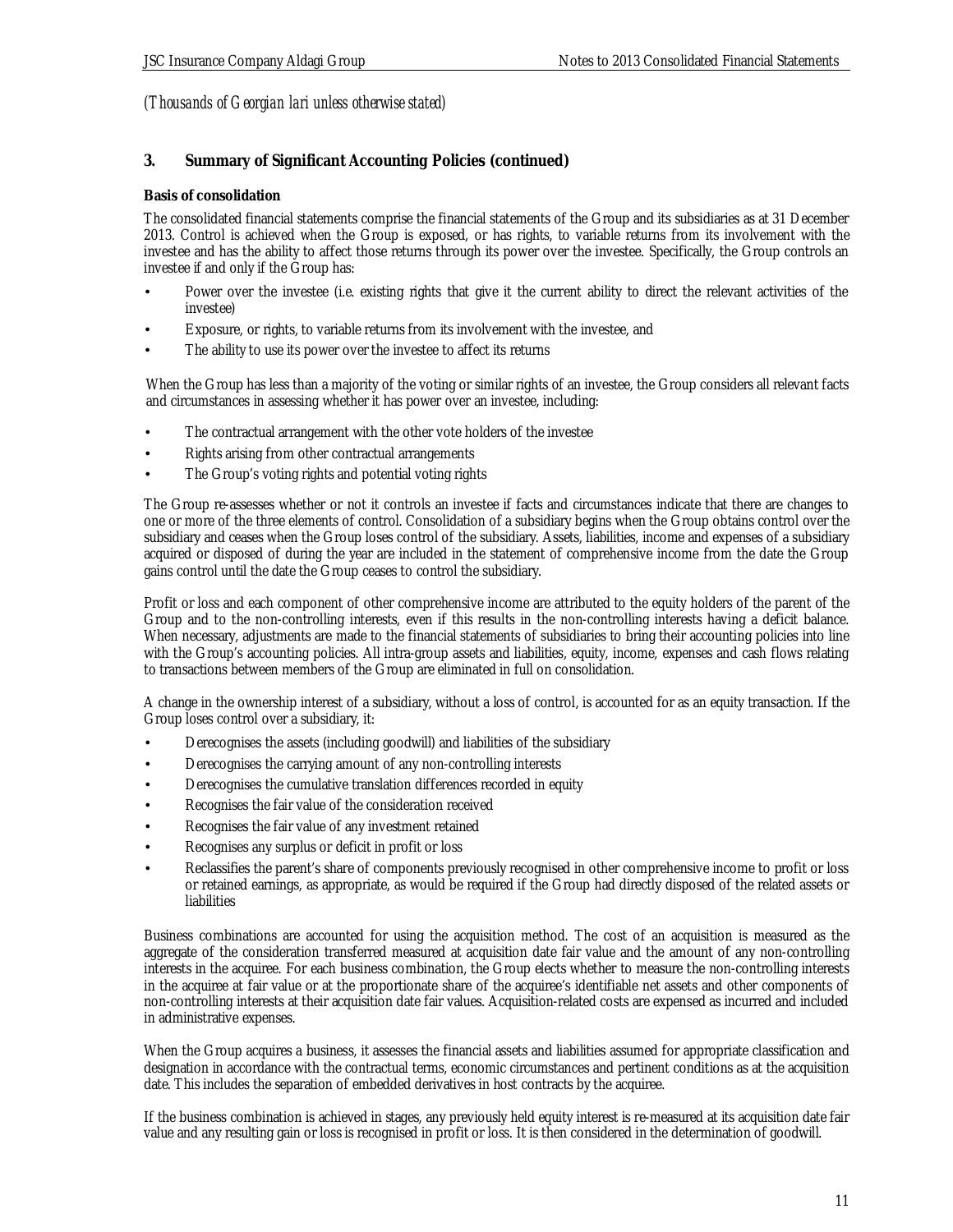### **3. Summary of Significant Accounting Policies (continued)**

### **Basis of consolidation**

The consolidated financial statements comprise the financial statements of the Group and its subsidiaries as at 31 December 2013. Control is achieved when the Group is exposed, or has rights, to variable returns from its involvement with the investee and has the ability to affect those returns through its power over the investee. Specifically, the Group controls an investee if and only if the Group has:

- Power over the investee (i.e. existing rights that give it the current ability to direct the relevant activities of the investee)
- Exposure, or rights, to variable returns from its involvement with the investee, and
- The ability to use its power over the investee to affect its returns

When the Group has less than a majority of the voting or similar rights of an investee, the Group considers all relevant facts and circumstances in assessing whether it has power over an investee, including:

- The contractual arrangement with the other vote holders of the investee
- Rights arising from other contractual arrangements
- The Group's voting rights and potential voting rights

The Group re-assesses whether or not it controls an investee if facts and circumstances indicate that there are changes to one or more of the three elements of control. Consolidation of a subsidiary begins when the Group obtains control over the subsidiary and ceases when the Group loses control of the subsidiary. Assets, liabilities, income and expenses of a subsidiary acquired or disposed of during the year are included in the statement of comprehensive income from the date the Group gains control until the date the Group ceases to control the subsidiary.

Profit or loss and each component of other comprehensive income are attributed to the equity holders of the parent of the Group and to the non-controlling interests, even if this results in the non-controlling interests having a deficit balance. When necessary, adjustments are made to the financial statements of subsidiaries to bring their accounting policies into line with the Group's accounting policies. All intra-group assets and liabilities, equity, income, expenses and cash flows relating to transactions between members of the Group are eliminated in full on consolidation.

A change in the ownership interest of a subsidiary, without a loss of control, is accounted for as an equity transaction. If the Group loses control over a subsidiary, it:

- Derecognises the assets (including goodwill) and liabilities of the subsidiary
- Derecognises the carrying amount of any non-controlling interests
- Derecognises the cumulative translation differences recorded in equity
- Recognises the fair value of the consideration received
- Recognises the fair value of any investment retained
- Recognises any surplus or deficit in profit or loss
- Reclassifies the parent's share of components previously recognised in other comprehensive income to profit or loss or retained earnings, as appropriate, as would be required if the Group had directly disposed of the related assets or liabilities

Business combinations are accounted for using the acquisition method. The cost of an acquisition is measured as the aggregate of the consideration transferred measured at acquisition date fair value and the amount of any non-controlling interests in the acquiree. For each business combination, the Group elects whether to measure the non-controlling interests in the acquiree at fair value or at the proportionate share of the acquiree's identifiable net assets and other components of non-controlling interests at their acquisition date fair values. Acquisition-related costs are expensed as incurred and included in administrative expenses.

When the Group acquires a business, it assesses the financial assets and liabilities assumed for appropriate classification and designation in accordance with the contractual terms, economic circumstances and pertinent conditions as at the acquisition date. This includes the separation of embedded derivatives in host contracts by the acquiree.

If the business combination is achieved in stages, any previously held equity interest is re-measured at its acquisition date fair value and any resulting gain or loss is recognised in profit or loss. It is then considered in the determination of goodwill.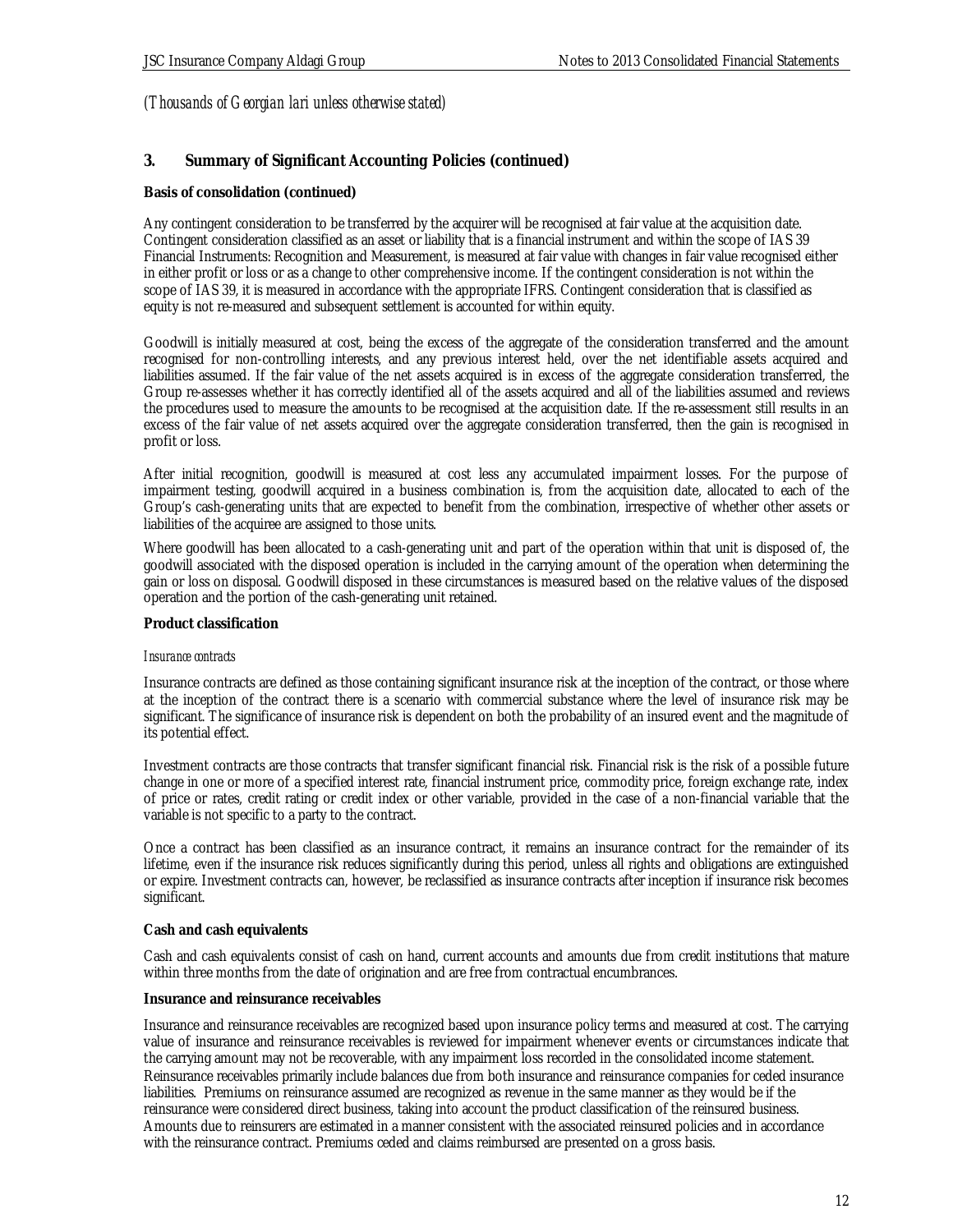### **3. Summary of Significant Accounting Policies (continued)**

#### **Basis of consolidation (continued)**

Any contingent consideration to be transferred by the acquirer will be recognised at fair value at the acquisition date. Contingent consideration classified as an asset or liability that is a financial instrument and within the scope of IAS 39 Financial Instruments: Recognition and Measurement, is measured at fair value with changes in fair value recognised either in either profit or loss or as a change to other comprehensive income. If the contingent consideration is not within the scope of IAS 39, it is measured in accordance with the appropriate IFRS. Contingent consideration that is classified as equity is not re-measured and subsequent settlement is accounted for within equity.

Goodwill is initially measured at cost, being the excess of the aggregate of the consideration transferred and the amount recognised for non-controlling interests, and any previous interest held, over the net identifiable assets acquired and liabilities assumed. If the fair value of the net assets acquired is in excess of the aggregate consideration transferred, the Group re-assesses whether it has correctly identified all of the assets acquired and all of the liabilities assumed and reviews the procedures used to measure the amounts to be recognised at the acquisition date. If the re-assessment still results in an excess of the fair value of net assets acquired over the aggregate consideration transferred, then the gain is recognised in profit or loss.

After initial recognition, goodwill is measured at cost less any accumulated impairment losses. For the purpose of impairment testing, goodwill acquired in a business combination is, from the acquisition date, allocated to each of the Group's cash-generating units that are expected to benefit from the combination, irrespective of whether other assets or liabilities of the acquiree are assigned to those units.

Where goodwill has been allocated to a cash-generating unit and part of the operation within that unit is disposed of, the goodwill associated with the disposed operation is included in the carrying amount of the operation when determining the gain or loss on disposal. Goodwill disposed in these circumstances is measured based on the relative values of the disposed operation and the portion of the cash-generating unit retained.

#### **Product classification**

#### *Insurance contracts*

Insurance contracts are defined as those containing significant insurance risk at the inception of the contract, or those where at the inception of the contract there is a scenario with commercial substance where the level of insurance risk may be significant. The significance of insurance risk is dependent on both the probability of an insured event and the magnitude of its potential effect.

Investment contracts are those contracts that transfer significant financial risk. Financial risk is the risk of a possible future change in one or more of a specified interest rate, financial instrument price, commodity price, foreign exchange rate, index of price or rates, credit rating or credit index or other variable, provided in the case of a non-financial variable that the variable is not specific to a party to the contract.

Once a contract has been classified as an insurance contract, it remains an insurance contract for the remainder of its lifetime, even if the insurance risk reduces significantly during this period, unless all rights and obligations are extinguished or expire. Investment contracts can, however, be reclassified as insurance contracts after inception if insurance risk becomes significant.

#### **Cash and cash equivalents**

Cash and cash equivalents consist of cash on hand, current accounts and amounts due from credit institutions that mature within three months from the date of origination and are free from contractual encumbrances.

#### **Insurance and reinsurance receivables**

Insurance and reinsurance receivables are recognized based upon insurance policy terms and measured at cost. The carrying value of insurance and reinsurance receivables is reviewed for impairment whenever events or circumstances indicate that the carrying amount may not be recoverable, with any impairment loss recorded in the consolidated income statement. Reinsurance receivables primarily include balances due from both insurance and reinsurance companies for ceded insurance liabilities. Premiums on reinsurance assumed are recognized as revenue in the same manner as they would be if the reinsurance were considered direct business, taking into account the product classification of the reinsured business. Amounts due to reinsurers are estimated in a manner consistent with the associated reinsured policies and in accordance with the reinsurance contract. Premiums ceded and claims reimbursed are presented on a gross basis.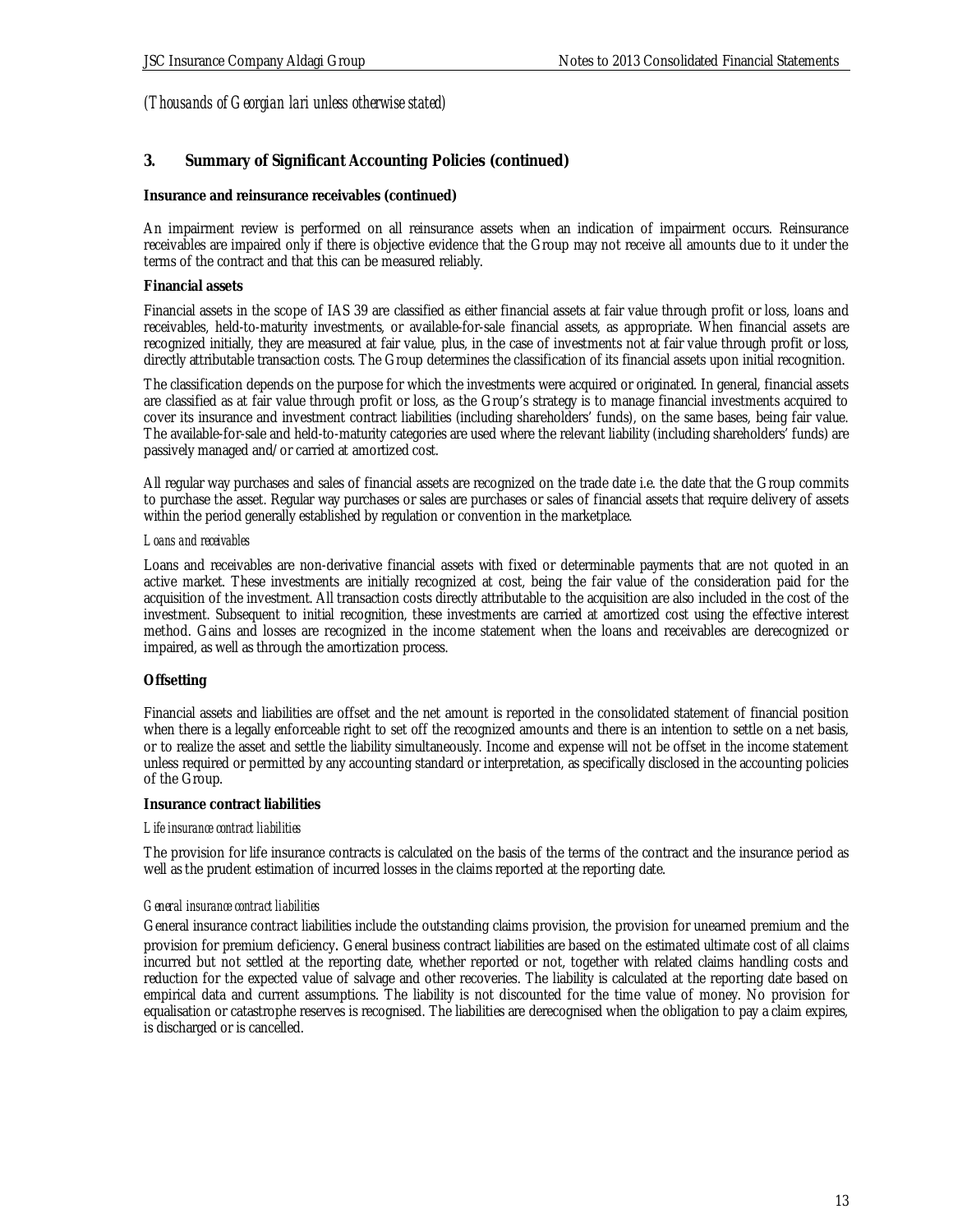### **3. Summary of Significant Accounting Policies (continued)**

#### **Insurance and reinsurance receivables (continued)**

An impairment review is performed on all reinsurance assets when an indication of impairment occurs. Reinsurance receivables are impaired only if there is objective evidence that the Group may not receive all amounts due to it under the terms of the contract and that this can be measured reliably.

#### **Financial assets**

Financial assets in the scope of IAS 39 are classified as either financial assets at fair value through profit or loss, loans and receivables, held-to-maturity investments, or available-for-sale financial assets, as appropriate. When financial assets are recognized initially, they are measured at fair value, plus, in the case of investments not at fair value through profit or loss, directly attributable transaction costs. The Group determines the classification of its financial assets upon initial recognition.

The classification depends on the purpose for which the investments were acquired or originated. In general, financial assets are classified as at fair value through profit or loss, as the Group's strategy is to manage financial investments acquired to cover its insurance and investment contract liabilities (including shareholders' funds), on the same bases, being fair value. The available-for-sale and held-to-maturity categories are used where the relevant liability (including shareholders' funds) are passively managed and/or carried at amortized cost.

All regular way purchases and sales of financial assets are recognized on the trade date i.e. the date that the Group commits to purchase the asset. Regular way purchases or sales are purchases or sales of financial assets that require delivery of assets within the period generally established by regulation or convention in the marketplace.

#### *Loans and receivables*

Loans and receivables are non-derivative financial assets with fixed or determinable payments that are not quoted in an active market. These investments are initially recognized at cost, being the fair value of the consideration paid for the acquisition of the investment. All transaction costs directly attributable to the acquisition are also included in the cost of the investment. Subsequent to initial recognition, these investments are carried at amortized cost using the effective interest method. Gains and losses are recognized in the income statement when the loans and receivables are derecognized or impaired, as well as through the amortization process.

#### **Offsetting**

Financial assets and liabilities are offset and the net amount is reported in the consolidated statement of financial position when there is a legally enforceable right to set off the recognized amounts and there is an intention to settle on a net basis, or to realize the asset and settle the liability simultaneously. Income and expense will not be offset in the income statement unless required or permitted by any accounting standard or interpretation, as specifically disclosed in the accounting policies of the Group.

#### **Insurance contract liabilities**

#### *Life insurance contract liabilities*

The provision for life insurance contracts is calculated on the basis of the terms of the contract and the insurance period as well as the prudent estimation of incurred losses in the claims reported at the reporting date.

#### *General insurance contract liabilities*

General insurance contract liabilities include the outstanding claims provision, the provision for unearned premium and the provision for premium deficiency. General business contract liabilities are based on the estimated ultimate cost of all claims incurred but not settled at the reporting date, whether reported or not, together with related claims handling costs and reduction for the expected value of salvage and other recoveries. The liability is calculated at the reporting date based on empirical data and current assumptions. The liability is not discounted for the time value of money. No provision for equalisation or catastrophe reserves is recognised. The liabilities are derecognised when the obligation to pay a claim expires, is discharged or is cancelled.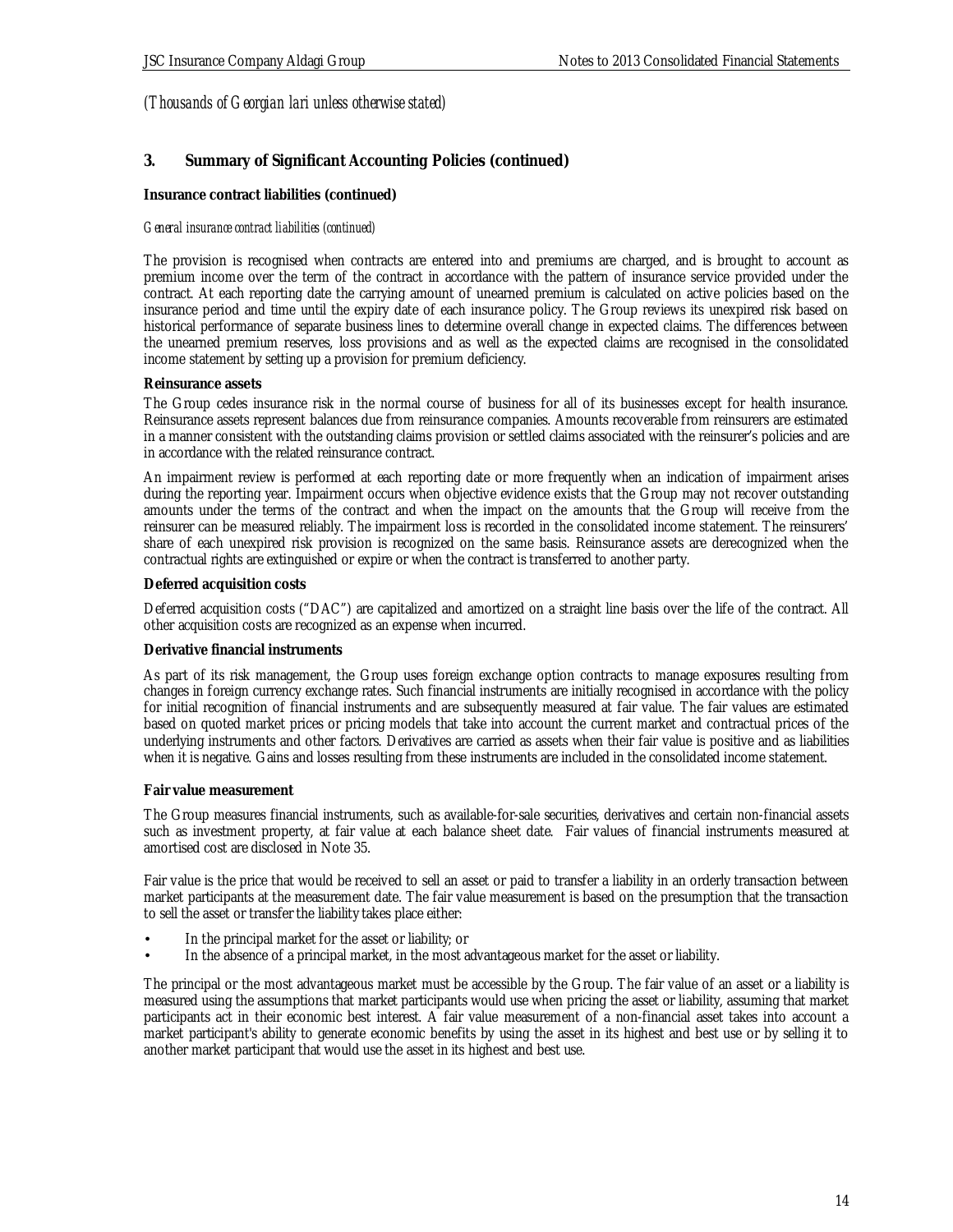### **3. Summary of Significant Accounting Policies (continued)**

### **Insurance contract liabilities (continued)**

### *General insurance contract liabilities (continued)*

The provision is recognised when contracts are entered into and premiums are charged, and is brought to account as premium income over the term of the contract in accordance with the pattern of insurance service provided under the contract. At each reporting date the carrying amount of unearned premium is calculated on active policies based on the insurance period and time until the expiry date of each insurance policy. The Group reviews its unexpired risk based on historical performance of separate business lines to determine overall change in expected claims. The differences between the unearned premium reserves, loss provisions and as well as the expected claims are recognised in the consolidated income statement by setting up a provision for premium deficiency.

#### **Reinsurance assets**

The Group cedes insurance risk in the normal course of business for all of its businesses except for health insurance. Reinsurance assets represent balances due from reinsurance companies. Amounts recoverable from reinsurers are estimated in a manner consistent with the outstanding claims provision or settled claims associated with the reinsurer's policies and are in accordance with the related reinsurance contract.

An impairment review is performed at each reporting date or more frequently when an indication of impairment arises during the reporting year. Impairment occurs when objective evidence exists that the Group may not recover outstanding amounts under the terms of the contract and when the impact on the amounts that the Group will receive from the reinsurer can be measured reliably. The impairment loss is recorded in the consolidated income statement. The reinsurers' share of each unexpired risk provision is recognized on the same basis. Reinsurance assets are derecognized when the contractual rights are extinguished or expire or when the contract is transferred to another party.

#### **Deferred acquisition costs**

Deferred acquisition costs ("DAC") are capitalized and amortized on a straight line basis over the life of the contract. All other acquisition costs are recognized as an expense when incurred.

#### **Derivative financial instruments**

As part of its risk management, the Group uses foreign exchange option contracts to manage exposures resulting from changes in foreign currency exchange rates. Such financial instruments are initially recognised in accordance with the policy for initial recognition of financial instruments and are subsequently measured at fair value. The fair values are estimated based on quoted market prices or pricing models that take into account the current market and contractual prices of the underlying instruments and other factors. Derivatives are carried as assets when their fair value is positive and as liabilities when it is negative. Gains and losses resulting from these instruments are included in the consolidated income statement.

#### **Fair value measurement**

The Group measures financial instruments, such as available-for-sale securities, derivatives and certain non-financial assets such as investment property, at fair value at each balance sheet date. Fair values of financial instruments measured at amortised cost are disclosed in Note 35.

Fair value is the price that would be received to sell an asset or paid to transfer a liability in an orderly transaction between market participants at the measurement date. The fair value measurement is based on the presumption that the transaction to sell the asset or transfer the liability takes place either:

- In the principal market for the asset or liability; or
- In the absence of a principal market, in the most advantageous market for the asset or liability.

The principal or the most advantageous market must be accessible by the Group. The fair value of an asset or a liability is measured using the assumptions that market participants would use when pricing the asset or liability, assuming that market participants act in their economic best interest. A fair value measurement of a non-financial asset takes into account a market participant's ability to generate economic benefits by using the asset in its highest and best use or by selling it to another market participant that would use the asset in its highest and best use.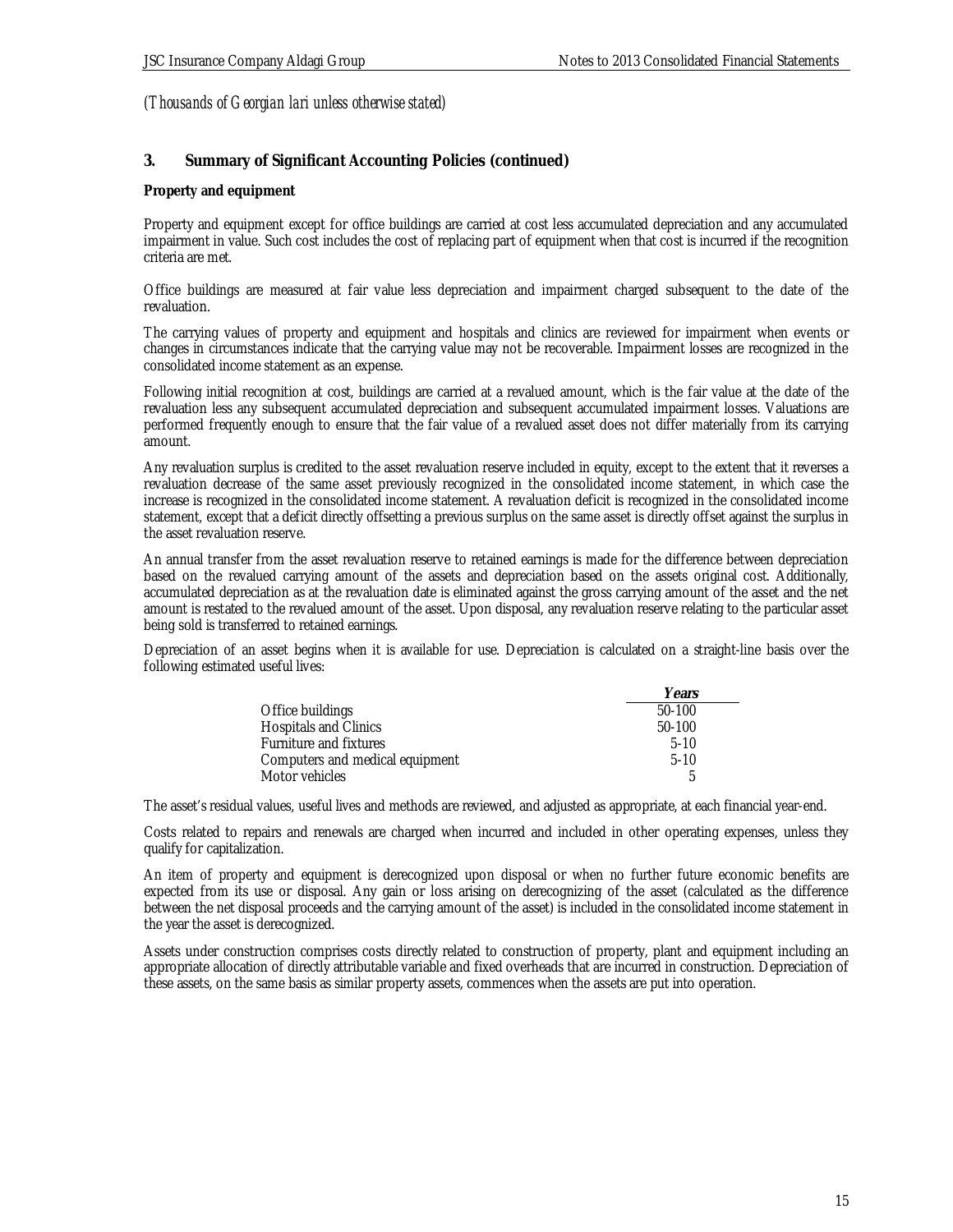### **3. Summary of Significant Accounting Policies (continued)**

#### **Property and equipment**

Property and equipment except for office buildings are carried at cost less accumulated depreciation and any accumulated impairment in value. Such cost includes the cost of replacing part of equipment when that cost is incurred if the recognition criteria are met.

Office buildings are measured at fair value less depreciation and impairment charged subsequent to the date of the revaluation.

The carrying values of property and equipment and hospitals and clinics are reviewed for impairment when events or changes in circumstances indicate that the carrying value may not be recoverable. Impairment losses are recognized in the consolidated income statement as an expense.

Following initial recognition at cost, buildings are carried at a revalued amount, which is the fair value at the date of the revaluation less any subsequent accumulated depreciation and subsequent accumulated impairment losses. Valuations are performed frequently enough to ensure that the fair value of a revalued asset does not differ materially from its carrying amount.

Any revaluation surplus is credited to the asset revaluation reserve included in equity, except to the extent that it reverses a revaluation decrease of the same asset previously recognized in the consolidated income statement, in which case the increase is recognized in the consolidated income statement. A revaluation deficit is recognized in the consolidated income statement, except that a deficit directly offsetting a previous surplus on the same asset is directly offset against the surplus in the asset revaluation reserve.

An annual transfer from the asset revaluation reserve to retained earnings is made for the difference between depreciation based on the revalued carrying amount of the assets and depreciation based on the assets original cost. Additionally, accumulated depreciation as at the revaluation date is eliminated against the gross carrying amount of the asset and the net amount is restated to the revalued amount of the asset. Upon disposal, any revaluation reserve relating to the particular asset being sold is transferred to retained earnings.

Depreciation of an asset begins when it is available for use. Depreciation is calculated on a straight-line basis over the following estimated useful lives:

|                                 | Years  |
|---------------------------------|--------|
| Office buildings                | 50-100 |
| <b>Hospitals and Clinics</b>    | 50-100 |
| Furniture and fixtures          | $5-10$ |
| Computers and medical equipment | $5-10$ |
| Motor vehicles                  | 后      |

The asset's residual values, useful lives and methods are reviewed, and adjusted as appropriate, at each financial year-end.

Costs related to repairs and renewals are charged when incurred and included in other operating expenses, unless they qualify for capitalization.

An item of property and equipment is derecognized upon disposal or when no further future economic benefits are expected from its use or disposal. Any gain or loss arising on derecognizing of the asset (calculated as the difference between the net disposal proceeds and the carrying amount of the asset) is included in the consolidated income statement in the year the asset is derecognized.

Assets under construction comprises costs directly related to construction of property, plant and equipment including an appropriate allocation of directly attributable variable and fixed overheads that are incurred in construction. Depreciation of these assets, on the same basis as similar property assets, commences when the assets are put into operation.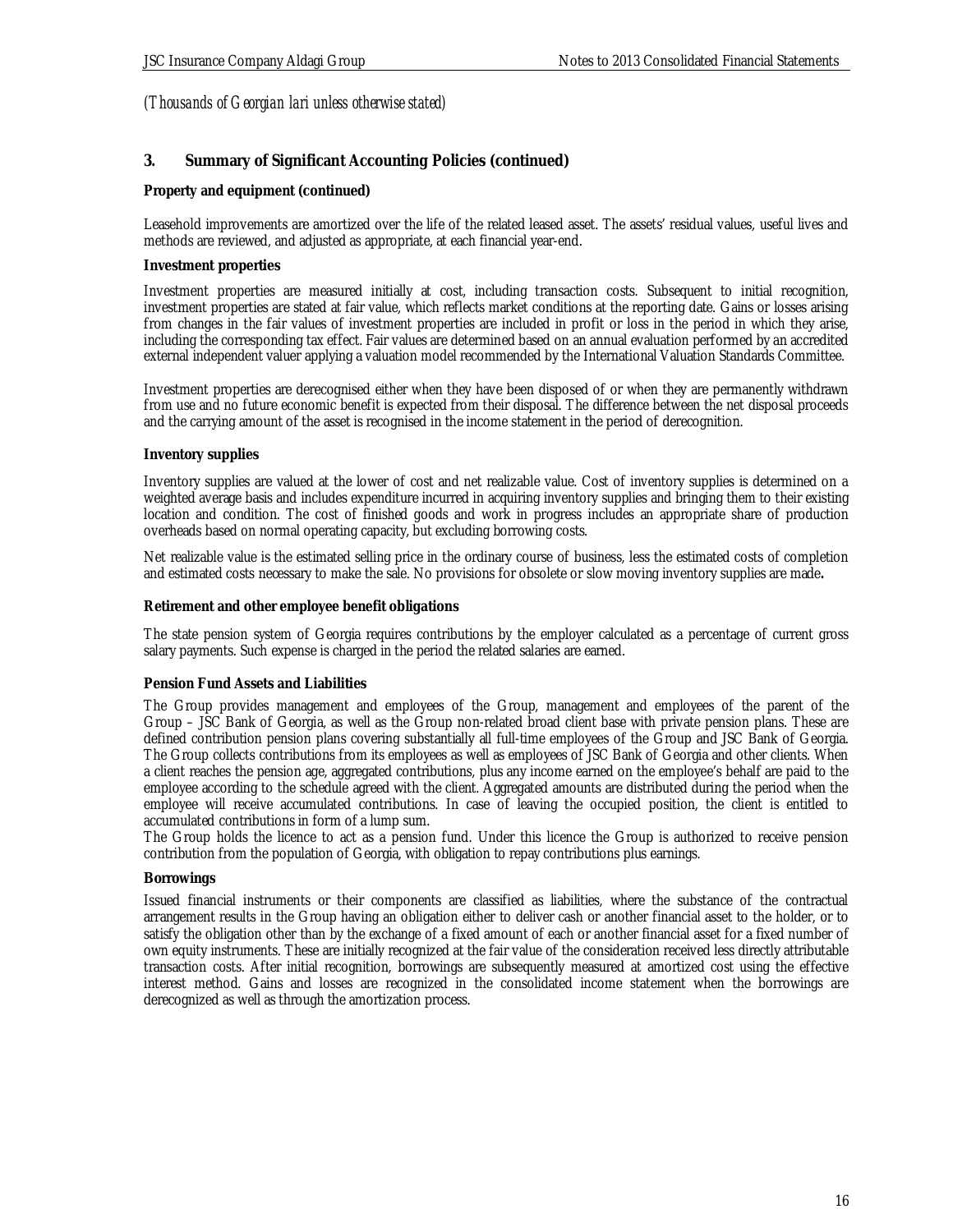### **3. Summary of Significant Accounting Policies (continued)**

### **Property and equipment (continued)**

Leasehold improvements are amortized over the life of the related leased asset. The assets' residual values, useful lives and methods are reviewed, and adjusted as appropriate, at each financial year-end.

#### **Investment properties**

Investment properties are measured initially at cost, including transaction costs. Subsequent to initial recognition, investment properties are stated at fair value, which reflects market conditions at the reporting date. Gains or losses arising from changes in the fair values of investment properties are included in profit or loss in the period in which they arise, including the corresponding tax effect. Fair values are determined based on an annual evaluation performed by an accredited external independent valuer applying a valuation model recommended by the International Valuation Standards Committee.

Investment properties are derecognised either when they have been disposed of or when they are permanently withdrawn from use and no future economic benefit is expected from their disposal. The difference between the net disposal proceeds and the carrying amount of the asset is recognised in the income statement in the period of derecognition.

#### **Inventory supplies**

Inventory supplies are valued at the lower of cost and net realizable value. Cost of inventory supplies is determined on a weighted average basis and includes expenditure incurred in acquiring inventory supplies and bringing them to their existing location and condition. The cost of finished goods and work in progress includes an appropriate share of production overheads based on normal operating capacity, but excluding borrowing costs.

Net realizable value is the estimated selling price in the ordinary course of business, less the estimated costs of completion and estimated costs necessary to make the sale. No provisions for obsolete or slow moving inventory supplies are made**.**

**Retirement and other employee benefit obligations**

The state pension system of Georgia requires contributions by the employer calculated as a percentage of current gross salary payments. Such expense is charged in the period the related salaries are earned.

#### **Pension Fund Assets and Liabilities**

The Group provides management and employees of the Group, management and employees of the parent of the Group – JSC Bank of Georgia, as well as the Group non-related broad client base with private pension plans. These are defined contribution pension plans covering substantially all full-time employees of the Group and JSC Bank of Georgia. The Group collects contributions from its employees as well as employees of JSC Bank of Georgia and other clients. When a client reaches the pension age, aggregated contributions, plus any income earned on the employee's behalf are paid to the employee according to the schedule agreed with the client. Aggregated amounts are distributed during the period when the employee will receive accumulated contributions. In case of leaving the occupied position, the client is entitled to accumulated contributions in form of a lump sum.

The Group holds the licence to act as a pension fund. Under this licence the Group is authorized to receive pension contribution from the population of Georgia, with obligation to repay contributions plus earnings.

#### **Borrowings**

Issued financial instruments or their components are classified as liabilities, where the substance of the contractual arrangement results in the Group having an obligation either to deliver cash or another financial asset to the holder, or to satisfy the obligation other than by the exchange of a fixed amount of each or another financial asset for a fixed number of own equity instruments. These are initially recognized at the fair value of the consideration received less directly attributable transaction costs. After initial recognition, borrowings are subsequently measured at amortized cost using the effective interest method. Gains and losses are recognized in the consolidated income statement when the borrowings are derecognized as well as through the amortization process.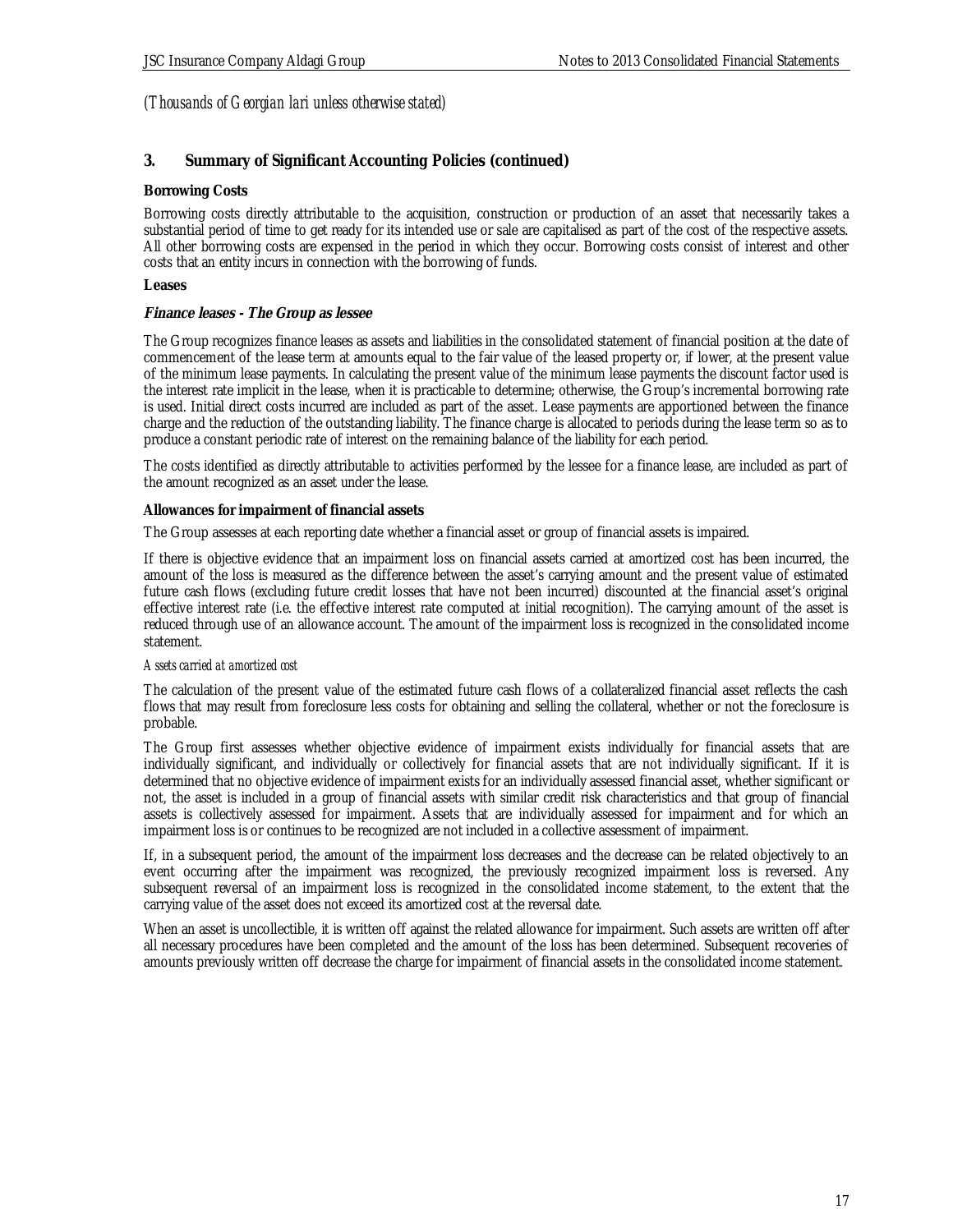### **3. Summary of Significant Accounting Policies (continued)**

### **Borrowing Costs**

Borrowing costs directly attributable to the acquisition, construction or production of an asset that necessarily takes a substantial period of time to get ready for its intended use or sale are capitalised as part of the cost of the respective assets. All other borrowing costs are expensed in the period in which they occur. Borrowing costs consist of interest and other costs that an entity incurs in connection with the borrowing of funds.

#### **Leases**

#### **Finance leases - The Group as lessee**

The Group recognizes finance leases as assets and liabilities in the consolidated statement of financial position at the date of commencement of the lease term at amounts equal to the fair value of the leased property or, if lower, at the present value of the minimum lease payments. In calculating the present value of the minimum lease payments the discount factor used is the interest rate implicit in the lease, when it is practicable to determine; otherwise, the Group's incremental borrowing rate is used. Initial direct costs incurred are included as part of the asset. Lease payments are apportioned between the finance charge and the reduction of the outstanding liability. The finance charge is allocated to periods during the lease term so as to produce a constant periodic rate of interest on the remaining balance of the liability for each period.

The costs identified as directly attributable to activities performed by the lessee for a finance lease, are included as part of the amount recognized as an asset under the lease.

#### **Allowances for impairment of financial assets**

The Group assesses at each reporting date whether a financial asset or group of financial assets is impaired.

If there is objective evidence that an impairment loss on financial assets carried at amortized cost has been incurred, the amount of the loss is measured as the difference between the asset's carrying amount and the present value of estimated future cash flows (excluding future credit losses that have not been incurred) discounted at the financial asset's original effective interest rate (i.e. the effective interest rate computed at initial recognition). The carrying amount of the asset is reduced through use of an allowance account. The amount of the impairment loss is recognized in the consolidated income statement.

#### *Assets carried at amortized cost*

The calculation of the present value of the estimated future cash flows of a collateralized financial asset reflects the cash flows that may result from foreclosure less costs for obtaining and selling the collateral, whether or not the foreclosure is probable.

The Group first assesses whether objective evidence of impairment exists individually for financial assets that are individually significant, and individually or collectively for financial assets that are not individually significant. If it is determined that no objective evidence of impairment exists for an individually assessed financial asset, whether significant or not, the asset is included in a group of financial assets with similar credit risk characteristics and that group of financial assets is collectively assessed for impairment. Assets that are individually assessed for impairment and for which an impairment loss is or continues to be recognized are not included in a collective assessment of impairment.

If, in a subsequent period, the amount of the impairment loss decreases and the decrease can be related objectively to an event occurring after the impairment was recognized, the previously recognized impairment loss is reversed. Any subsequent reversal of an impairment loss is recognized in the consolidated income statement, to the extent that the carrying value of the asset does not exceed its amortized cost at the reversal date.

When an asset is uncollectible, it is written off against the related allowance for impairment. Such assets are written off after all necessary procedures have been completed and the amount of the loss has been determined. Subsequent recoveries of amounts previously written off decrease the charge for impairment of financial assets in the consolidated income statement.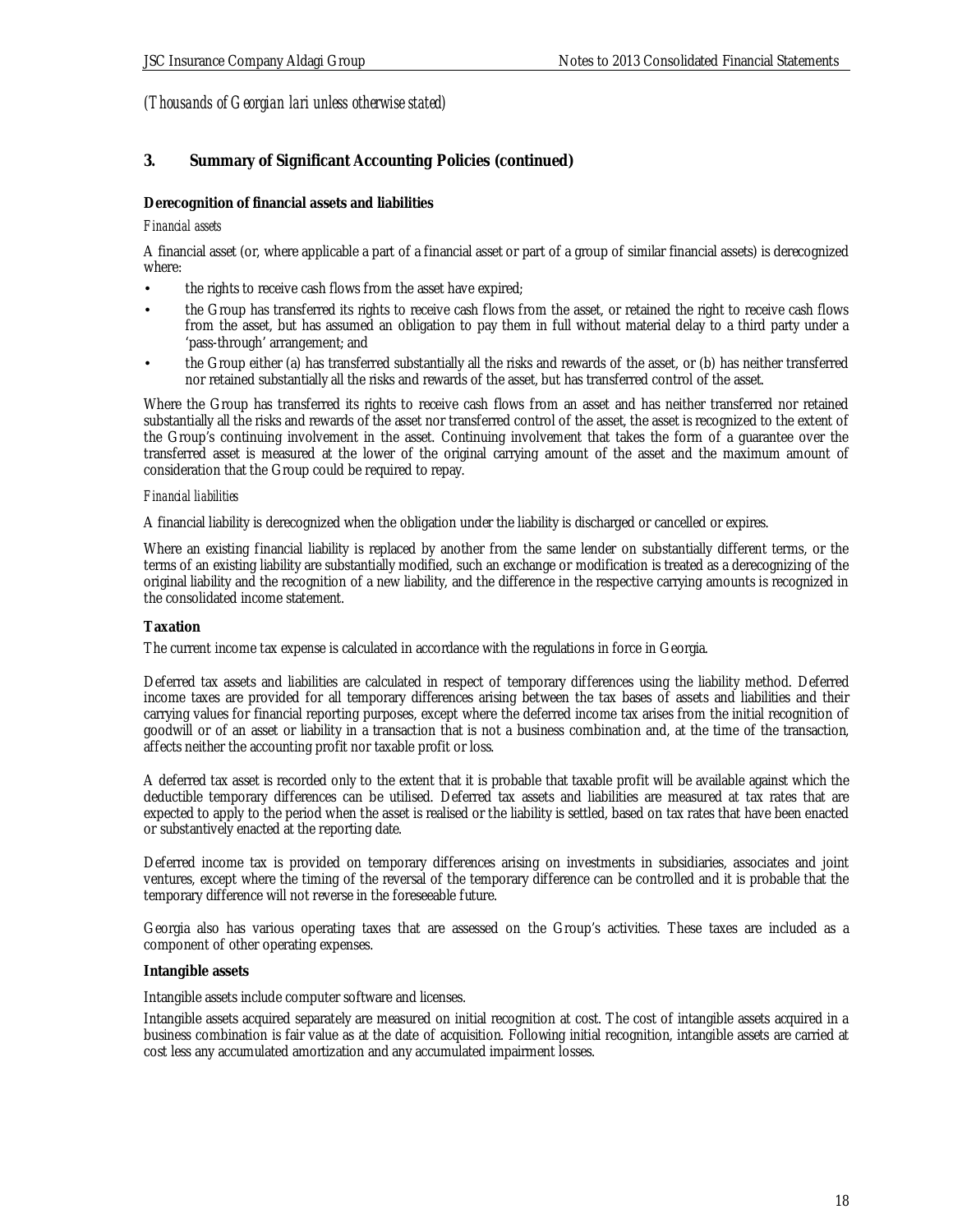## **3. Summary of Significant Accounting Policies (continued)**

### **Derecognition of financial assets and liabilities**

#### *Financial assets*

A financial asset (or, where applicable a part of a financial asset or part of a group of similar financial assets) is derecognized where:

- the rights to receive cash flows from the asset have expired;
- the Group has transferred its rights to receive cash flows from the asset, or retained the right to receive cash flows from the asset, but has assumed an obligation to pay them in full without material delay to a third party under a 'pass-through' arrangement; and
- the Group either (a) has transferred substantially all the risks and rewards of the asset, or (b) has neither transferred nor retained substantially all the risks and rewards of the asset, but has transferred control of the asset.

Where the Group has transferred its rights to receive cash flows from an asset and has neither transferred nor retained substantially all the risks and rewards of the asset nor transferred control of the asset, the asset is recognized to the extent of the Group's continuing involvement in the asset. Continuing involvement that takes the form of a guarantee over the transferred asset is measured at the lower of the original carrying amount of the asset and the maximum amount of consideration that the Group could be required to repay.

#### *Financial liabilities*

A financial liability is derecognized when the obligation under the liability is discharged or cancelled or expires.

Where an existing financial liability is replaced by another from the same lender on substantially different terms, or the terms of an existing liability are substantially modified, such an exchange or modification is treated as a derecognizing of the original liability and the recognition of a new liability, and the difference in the respective carrying amounts is recognized in the consolidated income statement.

#### **Taxation**

The current income tax expense is calculated in accordance with the regulations in force in Georgia.

Deferred tax assets and liabilities are calculated in respect of temporary differences using the liability method. Deferred income taxes are provided for all temporary differences arising between the tax bases of assets and liabilities and their carrying values for financial reporting purposes, except where the deferred income tax arises from the initial recognition of goodwill or of an asset or liability in a transaction that is not a business combination and, at the time of the transaction, affects neither the accounting profit nor taxable profit or loss.

A deferred tax asset is recorded only to the extent that it is probable that taxable profit will be available against which the deductible temporary differences can be utilised. Deferred tax assets and liabilities are measured at tax rates that are expected to apply to the period when the asset is realised or the liability is settled, based on tax rates that have been enacted or substantively enacted at the reporting date.

Deferred income tax is provided on temporary differences arising on investments in subsidiaries, associates and joint ventures, except where the timing of the reversal of the temporary difference can be controlled and it is probable that the temporary difference will not reverse in the foreseeable future.

Georgia also has various operating taxes that are assessed on the Group's activities. These taxes are included as a component of other operating expenses.

#### **Intangible assets**

Intangible assets include computer software and licenses.

Intangible assets acquired separately are measured on initial recognition at cost. The cost of intangible assets acquired in a business combination is fair value as at the date of acquisition. Following initial recognition, intangible assets are carried at cost less any accumulated amortization and any accumulated impairment losses.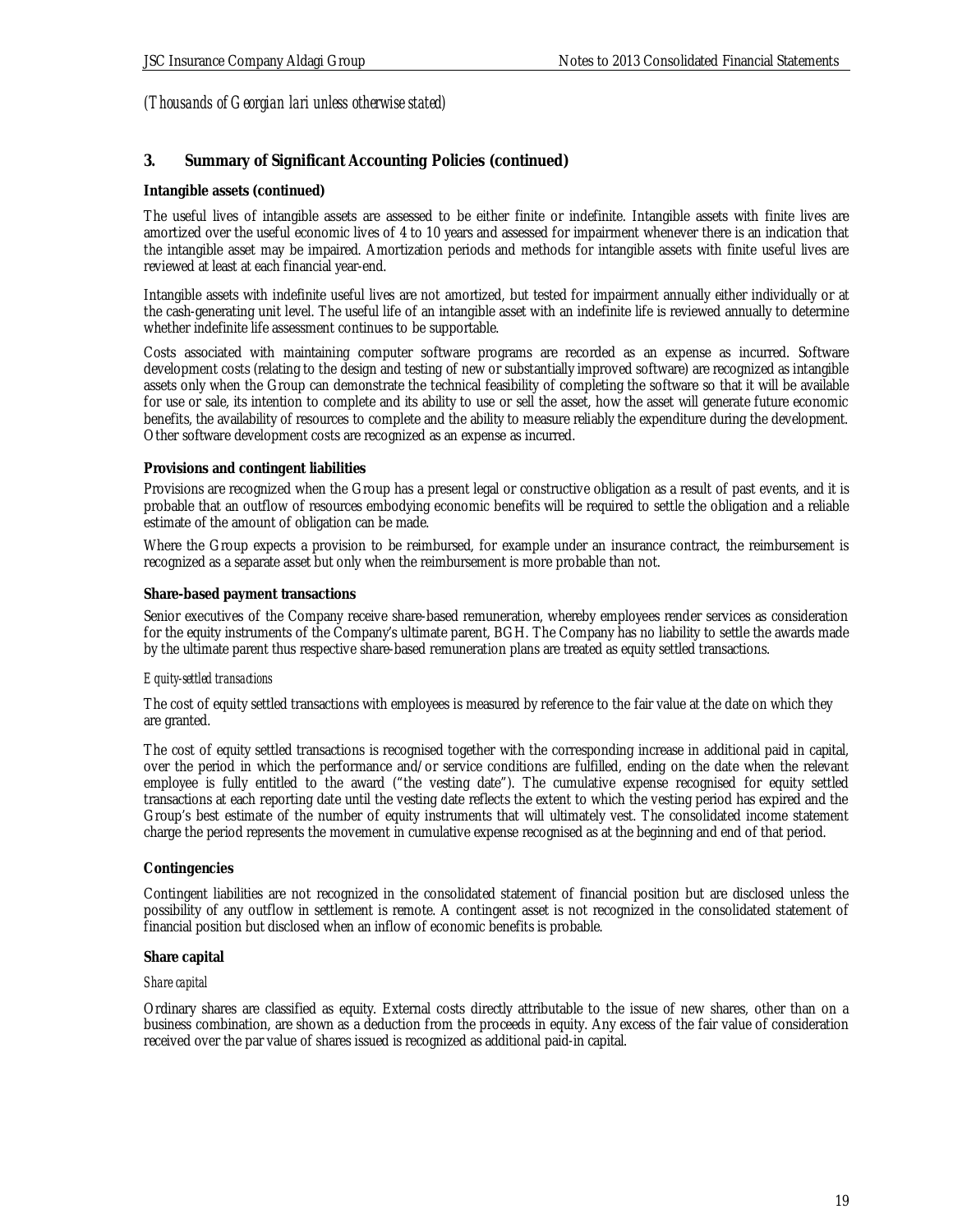### **3. Summary of Significant Accounting Policies (continued)**

### **Intangible assets (continued)**

The useful lives of intangible assets are assessed to be either finite or indefinite. Intangible assets with finite lives are amortized over the useful economic lives of 4 to 10 years and assessed for impairment whenever there is an indication that the intangible asset may be impaired. Amortization periods and methods for intangible assets with finite useful lives are reviewed at least at each financial year-end.

Intangible assets with indefinite useful lives are not amortized, but tested for impairment annually either individually or at the cash-generating unit level. The useful life of an intangible asset with an indefinite life is reviewed annually to determine whether indefinite life assessment continues to be supportable.

Costs associated with maintaining computer software programs are recorded as an expense as incurred. Software development costs (relating to the design and testing of new or substantially improved software) are recognized as intangible assets only when the Group can demonstrate the technical feasibility of completing the software so that it will be available for use or sale, its intention to complete and its ability to use or sell the asset, how the asset will generate future economic benefits, the availability of resources to complete and the ability to measure reliably the expenditure during the development. Other software development costs are recognized as an expense as incurred.

#### **Provisions and contingent liabilities**

Provisions are recognized when the Group has a present legal or constructive obligation as a result of past events, and it is probable that an outflow of resources embodying economic benefits will be required to settle the obligation and a reliable estimate of the amount of obligation can be made.

Where the Group expects a provision to be reimbursed, for example under an insurance contract, the reimbursement is recognized as a separate asset but only when the reimbursement is more probable than not.

#### **Share-based payment transactions**

Senior executives of the Company receive share-based remuneration, whereby employees render services as consideration for the equity instruments of the Company's ultimate parent, BGH. The Company has no liability to settle the awards made by the ultimate parent thus respective share-based remuneration plans are treated as equity settled transactions.

#### *Equity-settled transactions*

The cost of equity settled transactions with employees is measured by reference to the fair value at the date on which they are granted.

The cost of equity settled transactions is recognised together with the corresponding increase in additional paid in capital, over the period in which the performance and/or service conditions are fulfilled, ending on the date when the relevant employee is fully entitled to the award ("the vesting date"). The cumulative expense recognised for equity settled transactions at each reporting date until the vesting date reflects the extent to which the vesting period has expired and the Group's best estimate of the number of equity instruments that will ultimately vest. The consolidated income statement charge the period represents the movement in cumulative expense recognised as at the beginning and end of that period.

#### **Contingencies**

Contingent liabilities are not recognized in the consolidated statement of financial position but are disclosed unless the possibility of any outflow in settlement is remote. A contingent asset is not recognized in the consolidated statement of financial position but disclosed when an inflow of economic benefits is probable.

#### **Share capital**

#### *Share capital*

Ordinary shares are classified as equity. External costs directly attributable to the issue of new shares, other than on a business combination, are shown as a deduction from the proceeds in equity. Any excess of the fair value of consideration received over the par value of shares issued is recognized as additional paid-in capital.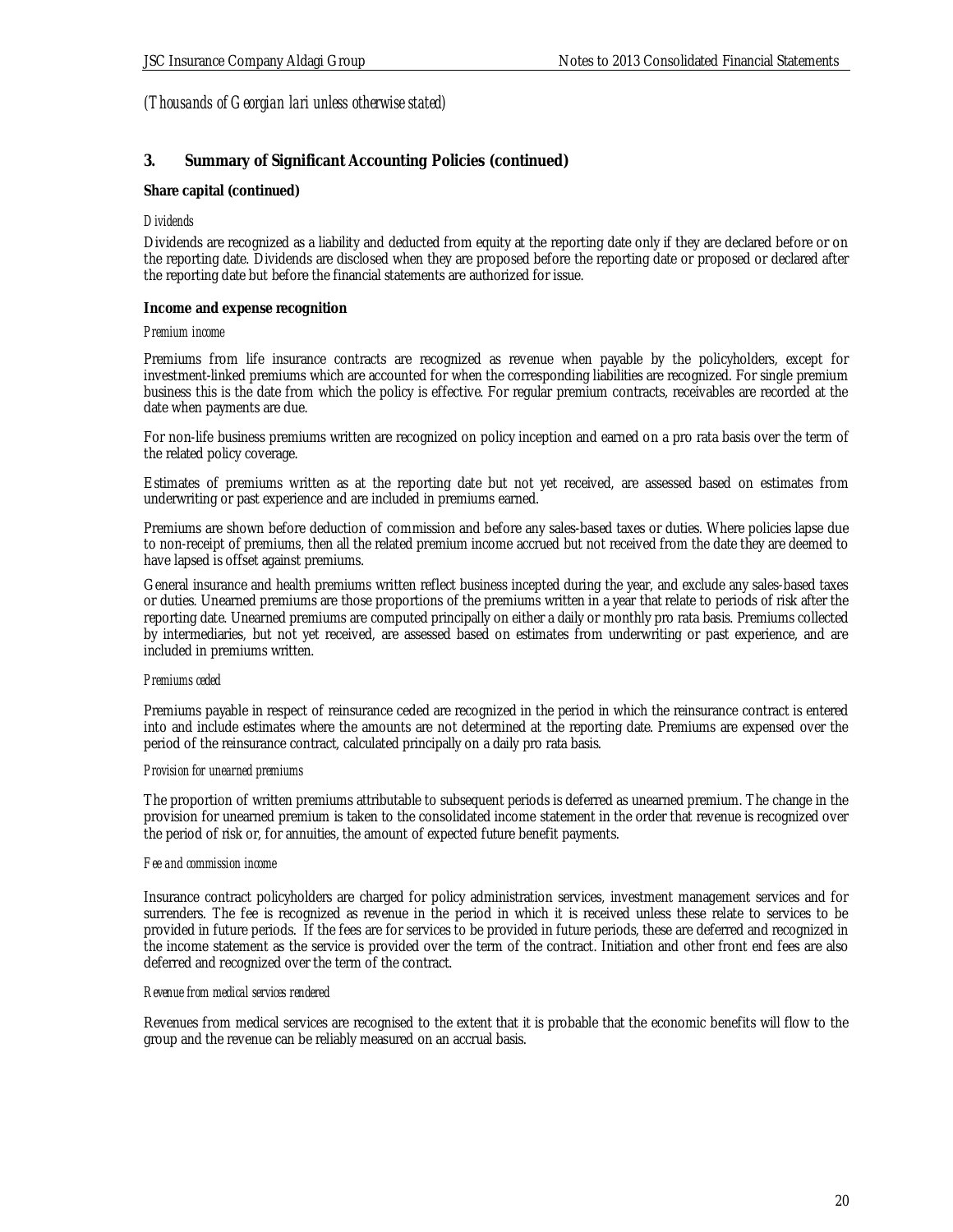### **3. Summary of Significant Accounting Policies (continued)**

#### **Share capital (continued)**

#### *Dividends*

Dividends are recognized as a liability and deducted from equity at the reporting date only if they are declared before or on the reporting date. Dividends are disclosed when they are proposed before the reporting date or proposed or declared after the reporting date but before the financial statements are authorized for issue.

#### **Income and expense recognition**

#### *Premium income*

Premiums from life insurance contracts are recognized as revenue when payable by the policyholders, except for investment-linked premiums which are accounted for when the corresponding liabilities are recognized. For single premium business this is the date from which the policy is effective. For regular premium contracts, receivables are recorded at the date when payments are due.

For non-life business premiums written are recognized on policy inception and earned on a pro rata basis over the term of the related policy coverage.

Estimates of premiums written as at the reporting date but not yet received, are assessed based on estimates from underwriting or past experience and are included in premiums earned.

Premiums are shown before deduction of commission and before any sales-based taxes or duties. Where policies lapse due to non-receipt of premiums, then all the related premium income accrued but not received from the date they are deemed to have lapsed is offset against premiums.

General insurance and health premiums written reflect business incepted during the year, and exclude any sales-based taxes or duties. Unearned premiums are those proportions of the premiums written in a year that relate to periods of risk after the reporting date. Unearned premiums are computed principally on either a daily or monthly pro rata basis. Premiums collected by intermediaries, but not yet received, are assessed based on estimates from underwriting or past experience, and are included in premiums written.

#### *Premiums ceded*

Premiums payable in respect of reinsurance ceded are recognized in the period in which the reinsurance contract is entered into and include estimates where the amounts are not determined at the reporting date. Premiums are expensed over the period of the reinsurance contract, calculated principally on a daily pro rata basis.

#### *Provision for unearned premiums*

The proportion of written premiums attributable to subsequent periods is deferred as unearned premium. The change in the provision for unearned premium is taken to the consolidated income statement in the order that revenue is recognized over the period of risk or, for annuities, the amount of expected future benefit payments.

#### *Fee and commission income*

Insurance contract policyholders are charged for policy administration services, investment management services and for surrenders. The fee is recognized as revenue in the period in which it is received unless these relate to services to be provided in future periods. If the fees are for services to be provided in future periods, these are deferred and recognized in the income statement as the service is provided over the term of the contract. Initiation and other front end fees are also deferred and recognized over the term of the contract.

#### *Revenue from medical services rendered*

Revenues from medical services are recognised to the extent that it is probable that the economic benefits will flow to the group and the revenue can be reliably measured on an accrual basis.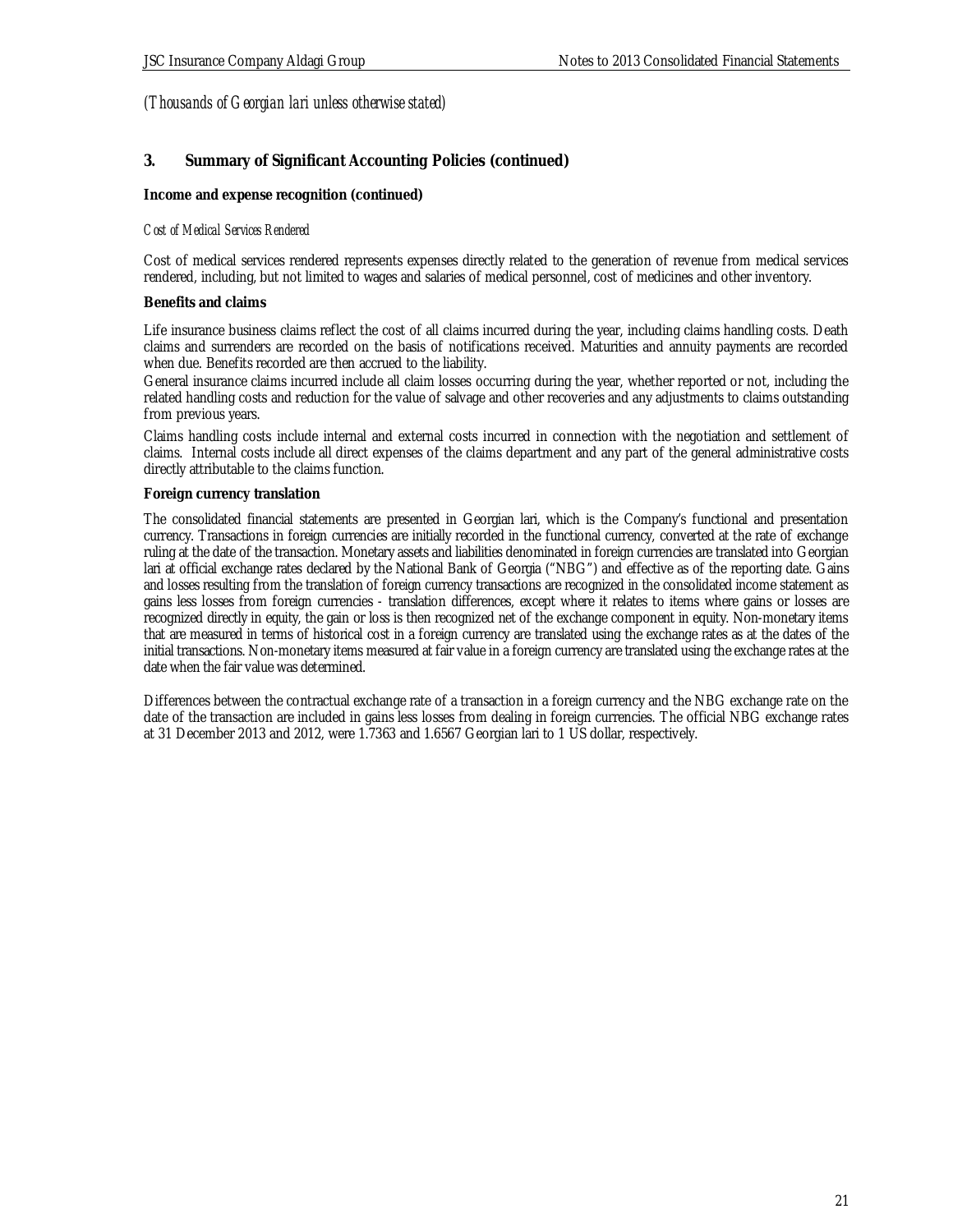### **3. Summary of Significant Accounting Policies (continued)**

**Income and expense recognition (continued)**

#### *Cost of Medical Services Rendered*

Cost of medical services rendered represents expenses directly related to the generation of revenue from medical services rendered, including, but not limited to wages and salaries of medical personnel, cost of medicines and other inventory.

#### **Benefits and claims**

Life insurance business claims reflect the cost of all claims incurred during the year, including claims handling costs. Death claims and surrenders are recorded on the basis of notifications received. Maturities and annuity payments are recorded when due. Benefits recorded are then accrued to the liability.

General insurance claims incurred include all claim losses occurring during the year, whether reported or not, including the related handling costs and reduction for the value of salvage and other recoveries and any adjustments to claims outstanding from previous years.

Claims handling costs include internal and external costs incurred in connection with the negotiation and settlement of claims. Internal costs include all direct expenses of the claims department and any part of the general administrative costs directly attributable to the claims function.

#### **Foreign currency translation**

The consolidated financial statements are presented in Georgian lari, which is the Company's functional and presentation currency. Transactions in foreign currencies are initially recorded in the functional currency, converted at the rate of exchange ruling at the date of the transaction. Monetary assets and liabilities denominated in foreign currencies are translated into Georgian lari at official exchange rates declared by the National Bank of Georgia ("NBG") and effective as of the reporting date. Gains and losses resulting from the translation of foreign currency transactions are recognized in the consolidated income statement as gains less losses from foreign currencies - translation differences, except where it relates to items where gains or losses are recognized directly in equity, the gain or loss is then recognized net of the exchange component in equity. Non-monetary items that are measured in terms of historical cost in a foreign currency are translated using the exchange rates as at the dates of the initial transactions. Non-monetary items measured at fair value in a foreign currency are translated using the exchange rates at the date when the fair value was determined.

Differences between the contractual exchange rate of a transaction in a foreign currency and the NBG exchange rate on the date of the transaction are included in gains less losses from dealing in foreign currencies. The official NBG exchange rates at 31 December 2013 and 2012, were 1.7363 and 1.6567 Georgian lari to 1 US dollar, respectively.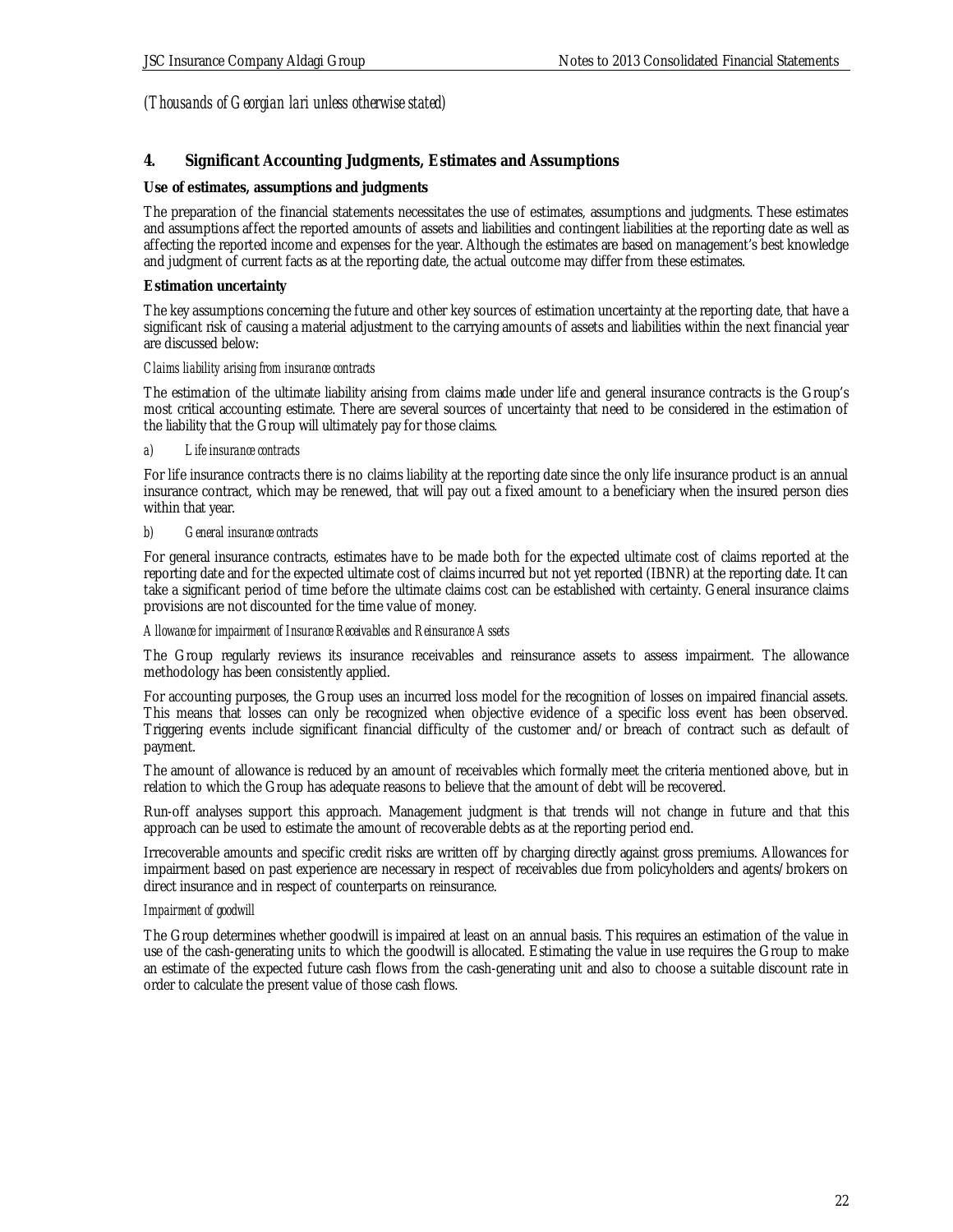### **4. Significant Accounting Judgments, Estimates and Assumptions**

### **Use of estimates, assumptions and judgments**

The preparation of the financial statements necessitates the use of estimates, assumptions and judgments. These estimates and assumptions affect the reported amounts of assets and liabilities and contingent liabilities at the reporting date as well as affecting the reported income and expenses for the year. Although the estimates are based on management's best knowledge and judgment of current facts as at the reporting date, the actual outcome may differ from these estimates.

### **Estimation uncertainty**

The key assumptions concerning the future and other key sources of estimation uncertainty at the reporting date, that have a significant risk of causing a material adjustment to the carrying amounts of assets and liabilities within the next financial year are discussed below:

### *Claims liability arising from insurance contracts*

The estimation of the ultimate liability arising from claims made under life and general insurance contracts is the Group's most critical accounting estimate. There are several sources of uncertainty that need to be considered in the estimation of the liability that the Group will ultimately pay for those claims.

### *a) Life insurance contracts*

For life insurance contracts there is no claims liability at the reporting date since the only life insurance product is an annual insurance contract, which may be renewed, that will pay out a fixed amount to a beneficiary when the insured person dies within that year.

### *b) General insurance contracts*

For general insurance contracts, estimates have to be made both for the expected ultimate cost of claims reported at the reporting date and for the expected ultimate cost of claims incurred but not yet reported (IBNR) at the reporting date. It can take a significant period of time before the ultimate claims cost can be established with certainty. General insurance claims provisions are not discounted for the time value of money.

#### *Allowance for impairment of Insurance Receivables and Reinsurance Assets*

The Group regularly reviews its insurance receivables and reinsurance assets to assess impairment. The allowance methodology has been consistently applied.

For accounting purposes, the Group uses an incurred loss model for the recognition of losses on impaired financial assets. This means that losses can only be recognized when objective evidence of a specific loss event has been observed. Triggering events include significant financial difficulty of the customer and/or breach of contract such as default of payment.

The amount of allowance is reduced by an amount of receivables which formally meet the criteria mentioned above, but in relation to which the Group has adequate reasons to believe that the amount of debt will be recovered.

Run-off analyses support this approach. Management judgment is that trends will not change in future and that this approach can be used to estimate the amount of recoverable debts as at the reporting period end.

Irrecoverable amounts and specific credit risks are written off by charging directly against gross premiums. Allowances for impairment based on past experience are necessary in respect of receivables due from policyholders and agents/brokers on direct insurance and in respect of counterparts on reinsurance.

#### *Impairment of goodwill*

The Group determines whether goodwill is impaired at least on an annual basis. This requires an estimation of the value in use of the cash-generating units to which the goodwill is allocated. Estimating the value in use requires the Group to make an estimate of the expected future cash flows from the cash-generating unit and also to choose a suitable discount rate in order to calculate the present value of those cash flows.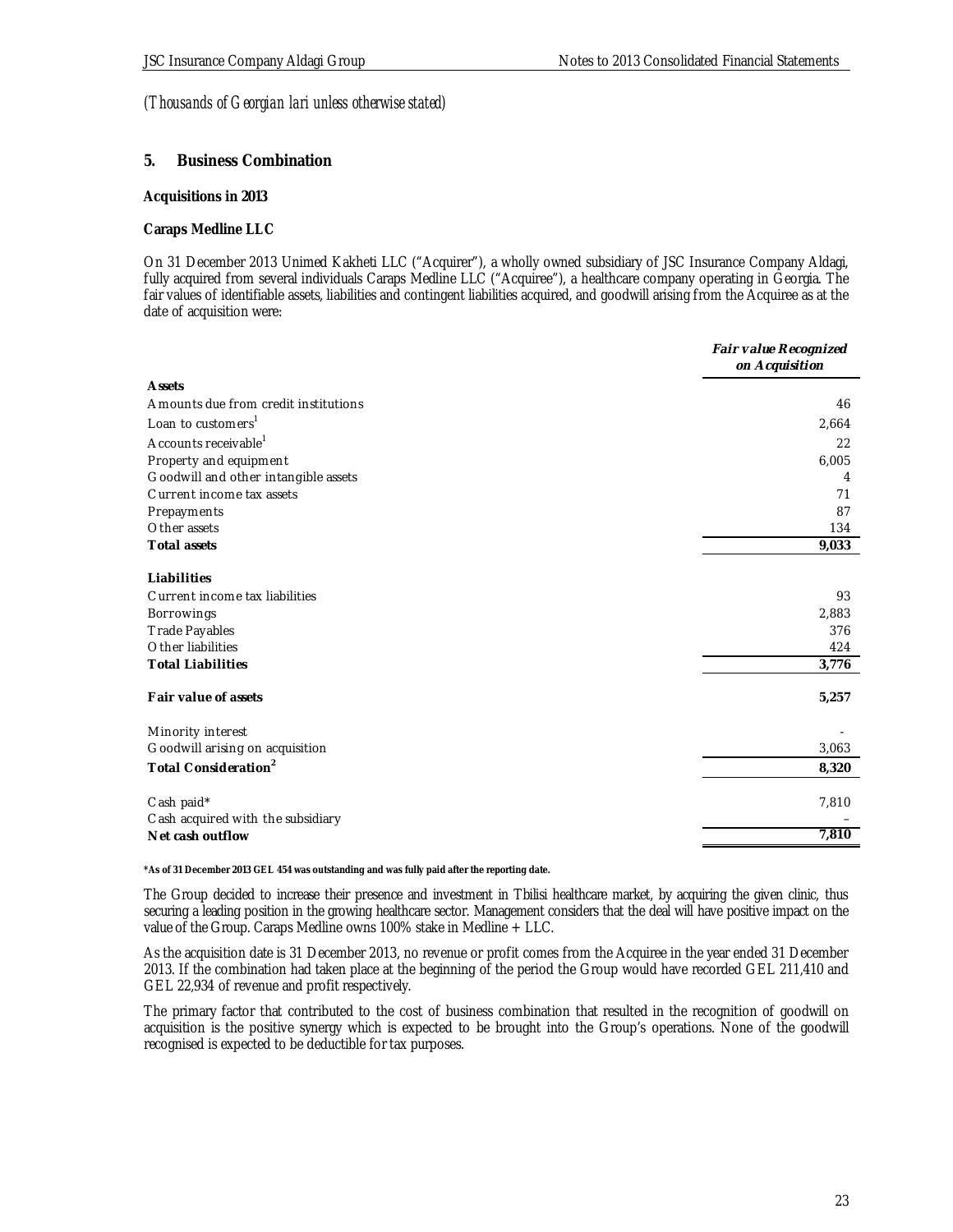#### **5. Business Combination**

#### **Acquisitions in 2013**

#### **Caraps Medline LLC**

On 31 December 2013 Unimed Kakheti LLC ("Acquirer"), a wholly owned subsidiary of JSC Insurance Company Aldagi, fully acquired from several individuals Caraps Medline LLC ("Acquiree"), a healthcare company operating in Georgia. The fair values of identifiable assets, liabilities and contingent liabilities acquired, and goodwill arising from the Acquiree as at the date of acquisition were:

|                                                 | Fair value Recognized<br>on Acquisition |
|-------------------------------------------------|-----------------------------------------|
| <b>A</b> ssets                                  |                                         |
| Amounts due from credit institutions            | 46                                      |
| Loan to customers <sup>1</sup>                  | 2,664                                   |
| Accounts receivable <sup>1</sup>                | 22                                      |
| Property and equipment                          | 6,005                                   |
| Goodwill and other intangible assets            | 4                                       |
| Current income tax assets                       | 71                                      |
| Prepayments                                     | 87                                      |
| Other assets                                    | 134                                     |
| Total assets                                    | 9,033                                   |
| Liabilities                                     |                                         |
| Current income tax liabilities                  | 93                                      |
| Borrowings                                      | 2,883                                   |
| <b>Trade Payables</b>                           | 376                                     |
| Other liabilities                               | 424                                     |
| <b>Total Liabilities</b>                        | 3,776                                   |
| Fair value of assets                            | 5,257                                   |
| Minority interest                               |                                         |
| Goodwill arising on acquisition                 | 3,063                                   |
| Total Consideration <sup>2</sup>                | 8,320                                   |
| Cash paid*<br>Cash acquired with the subsidiary | 7,810                                   |
| Net cash outflow                                | 7,810                                   |

**\*As of 31 December 2013 GEL 454 was outstanding and was fully paid after the reporting date.**

The Group decided to increase their presence and investment in Tbilisi healthcare market, by acquiring the given clinic, thus securing a leading position in the growing healthcare sector. Management considers that the deal will have positive impact on the value of the Group. Caraps Medline owns 100% stake in Medline + LLC.

As the acquisition date is 31 December 2013, no revenue or profit comes from the Acquiree in the year ended 31 December 2013. If the combination had taken place at the beginning of the period the Group would have recorded GEL 211,410 and GEL 22,934 of revenue and profit respectively.

The primary factor that contributed to the cost of business combination that resulted in the recognition of goodwill on acquisition is the positive synergy which is expected to be brought into the Group's operations. None of the goodwill recognised is expected to be deductible for tax purposes.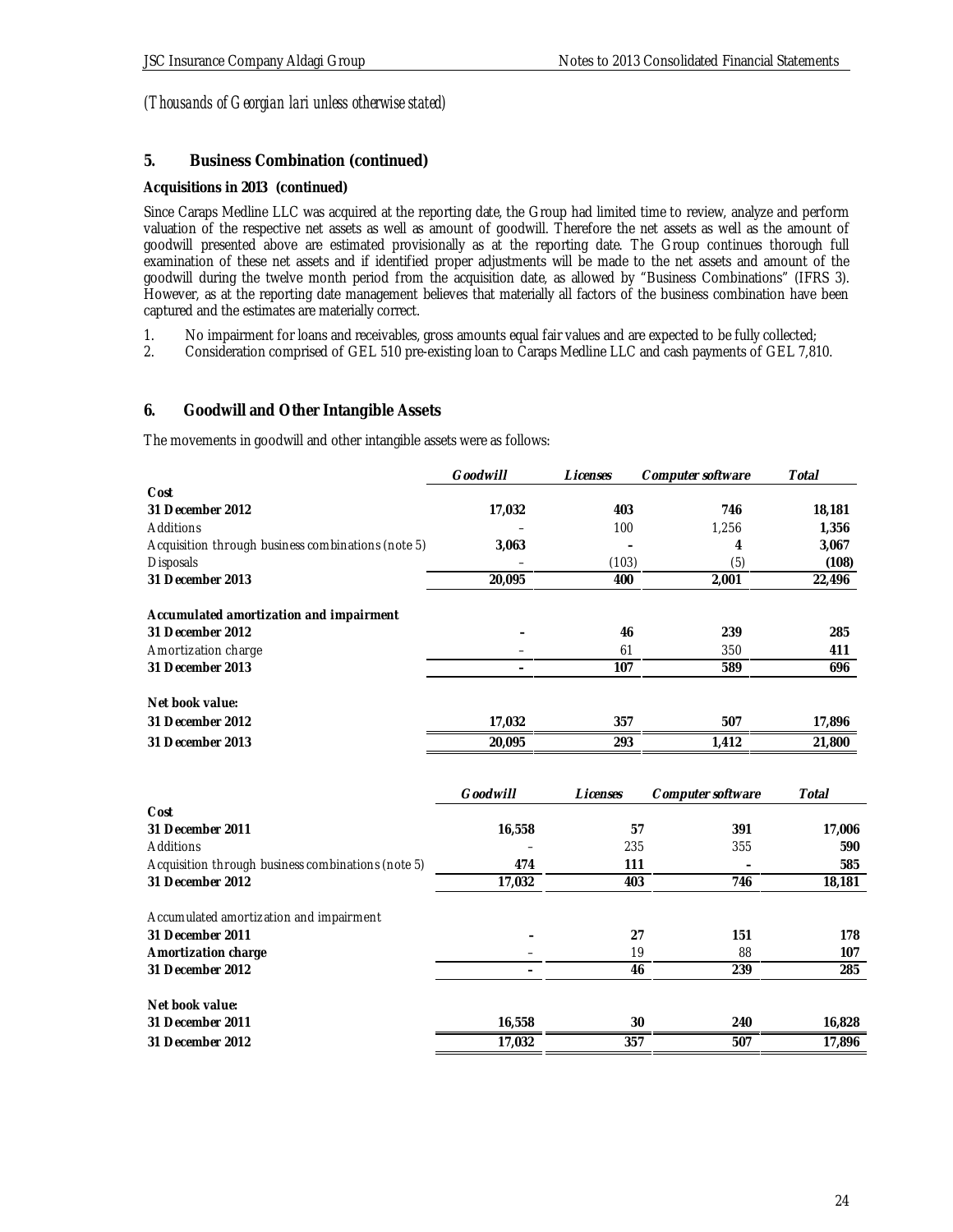### **5. Business Combination (continued)**

### **Acquisitions in 2013 (continued)**

Since Caraps Medline LLC was acquired at the reporting date, the Group had limited time to review, analyze and perform valuation of the respective net assets as well as amount of goodwill. Therefore the net assets as well as the amount of goodwill presented above are estimated provisionally as at the reporting date. The Group continues thorough full examination of these net assets and if identified proper adjustments will be made to the net assets and amount of the goodwill during the twelve month period from the acquisition date, as allowed by "Business Combinations" (IFRS 3). However, as at the reporting date management believes that materially all factors of the business combination have been captured and the estimates are materially correct.

- 1. No impairment for loans and receivables, gross amounts equal fair values and are expected to be fully collected;<br>2. Consideration comprised of GEL 510 pre-existing loan to Caraps Medline LLC and cash payments of GEL 7,8
- 2. Consideration comprised of GEL 510 pre-existing loan to Caraps Medline LLC and cash payments of GEL 7,810.

### **6. Goodwill and Other Intangible Assets**

The movements in goodwill and other intangible assets were as follows:

|                                                    | <b>Goodwill</b> | Licenses | Computer software | Total  |
|----------------------------------------------------|-----------------|----------|-------------------|--------|
| Cost                                               |                 |          |                   |        |
| 31 December 2012                                   | 17,032          | 403      | 746               | 18,181 |
| Additions                                          |                 | 100      | 1,256             | 1,356  |
| Acquisition through business combinations (note 5) | 3,063           |          | 4                 | 3,067  |
| <b>Disposals</b>                                   |                 | (103)    | (5)               | (108)  |
| 31 December 2013                                   | 20,095          | 400      | 2,001             | 22,496 |
|                                                    |                 |          |                   |        |
| Accumulated amortization and impairment            |                 |          |                   |        |
| 31 December 2012                                   |                 | 46       | 239               | 285    |
| Amortization charge                                |                 | 61       | 350               | 411    |
| 31 December 2013                                   |                 | 107      | 589               | 696    |
|                                                    |                 |          |                   |        |
| Net book value:                                    |                 |          |                   |        |
| 31 December 2012                                   | 17,032          | 357      | 507               | 17,896 |
| 31 December 2013                                   | 20,095          | 293      | 1,412             | 21,800 |
|                                                    |                 |          |                   |        |

|                                                    | Goodwill | Licenses | Computer software | Total  |
|----------------------------------------------------|----------|----------|-------------------|--------|
| Cost                                               |          |          |                   |        |
| 31 December 2011                                   | 16,558   | 57       | 391               | 17,006 |
| Additions                                          |          | 235      | 355               | 590    |
| Acquisition through business combinations (note 5) | 474      | 111      |                   | 585    |
| 31 December 2012                                   | 17,032   | 403      | 746               | 18,181 |
| Accumulated amortization and impairment            |          |          |                   |        |
| 31 December 2011                                   |          | 27       | 151               | 178    |
| Amortization charge                                |          | 19       | 88                | 107    |
| 31 December 2012                                   |          | 46       | 239               | 285    |
| Net book value:                                    |          |          |                   |        |
| 31 December 2011                                   | 16,558   | 30       | 240               | 16,828 |
| 31 December 2012                                   | 17,032   | 357      | 507               | 17,896 |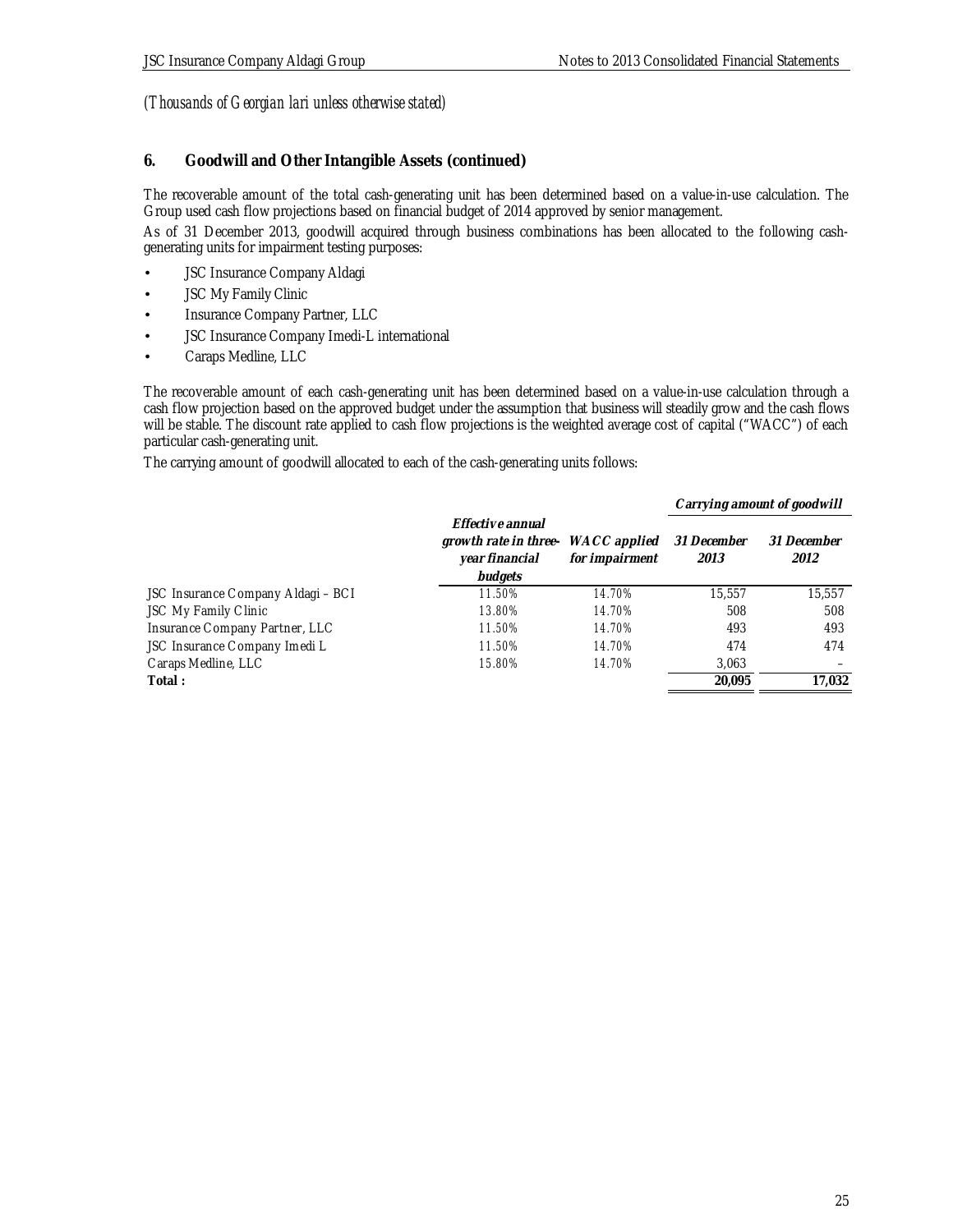# **6. Goodwill and Other Intangible Assets (continued)**

The recoverable amount of the total cash-generating unit has been determined based on a value-in-use calculation. The Group used cash flow projections based on financial budget of 2014 approved by senior management.

As of 31 December 2013, goodwill acquired through business combinations has been allocated to the following cashgenerating units for impairment testing purposes:

- JSC Insurance Company Aldagi
- **JSC My Family Clinic**
- Insurance Company Partner, LLC
- JSC Insurance Company Imedi-L international
- Caraps Medline, LLC

The recoverable amount of each cash-generating unit has been determined based on a value-in-use calculation through a cash flow projection based on the approved budget under the assumption that business will steadily grow and the cash flows will be stable. The discount rate applied to cash flow projections is the weighted average cost of capital ("WACC") of each particular cash-generating unit.

The carrying amount of goodwill allocated to each of the cash-generating units follows:

|                                    |                                                                        |                                       |                     | Carrying amount of goodwill |
|------------------------------------|------------------------------------------------------------------------|---------------------------------------|---------------------|-----------------------------|
|                                    | Effective annual<br>growth rate in three-<br>year financial<br>budgets | WACC applied<br>for <i>impairment</i> | 31 December<br>2013 | 31 December<br>2012         |
| JSC Insurance Company Aldagi - BCI | 11.50%                                                                 | 14.70%                                | 15,557              | 15.557                      |
| JSC My Family Clinic               | 13.80%                                                                 | 14.70%                                | 508                 | 508                         |
| Insurance Company Partner, LLC     | 11.50%                                                                 | 14.70%                                | 493                 | 493                         |
| JSC Insurance Company Imedi L      | 11.50%                                                                 | 14.70%                                | 474                 | 474                         |
| Caraps Medline, LLC                | 15.80%                                                                 | 14.70%                                | 3,063               |                             |
| Total:                             |                                                                        |                                       | 20.095              | 17.032                      |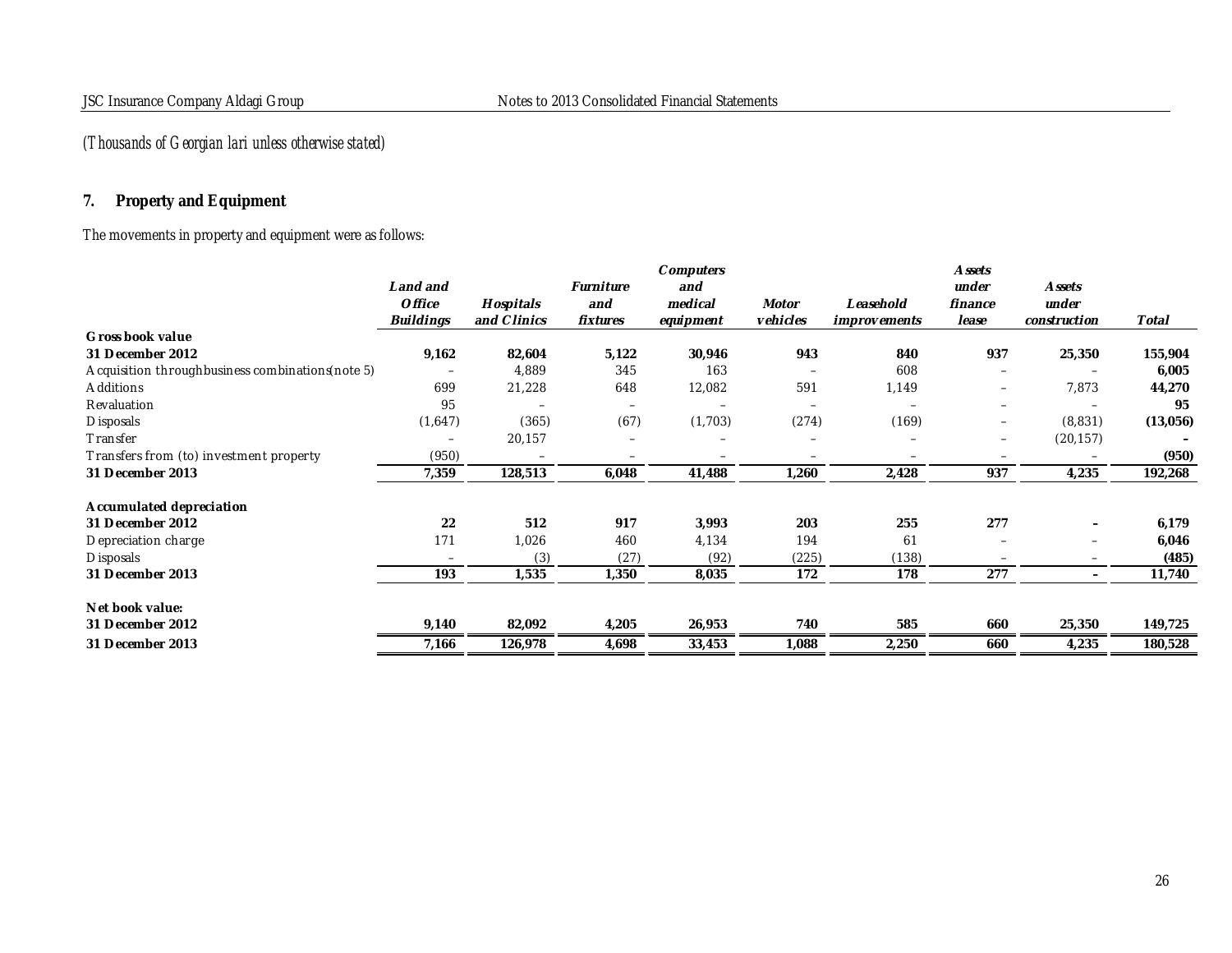# **7. Property and Equipment**

# The movements in property and equipment were as follows:

|                                                   |                          |             |                          | Computers |          |                     | A ssets                  |                          |          |
|---------------------------------------------------|--------------------------|-------------|--------------------------|-----------|----------|---------------------|--------------------------|--------------------------|----------|
|                                                   | Land and                 |             | Furniture                | and       |          |                     | under                    | <b>Assets</b>            |          |
|                                                   | <i>Office</i>            | Hospitals   | and                      | medical   | Motor    | Leasehold           | finance                  | under                    |          |
|                                                   | <b>Buildings</b>         | and Clinics | fixtures                 | equipment | vehicles | <i>improvements</i> | lease                    | construction             | Total    |
| Gross book value                                  |                          |             |                          |           |          |                     |                          |                          |          |
| 31 December 2012                                  | 9,162                    | 82,604      | 5,122                    | 30,946    | 943      | 840                 | 937                      | 25,350                   | 155,904  |
| Acquisition throughbusiness combinations (note 5) | $\overline{\phantom{m}}$ | 4,889       | 345                      | 163       |          | 608                 | $\overline{\phantom{m}}$ | $\overline{\phantom{0}}$ | 6,005    |
| Additions                                         | 699                      | 21,228      | 648                      | 12,082    | 591      | 1,149               | $\overline{\phantom{m}}$ | 7,873                    | 44,270   |
| Revaluation                                       | 95                       |             |                          |           |          |                     | $\overline{\phantom{m}}$ |                          | 95       |
| <b>Disposals</b>                                  | (1,647)                  | (365)       | (67)                     | (1,703)   | (274)    | (169)               | $\overline{\phantom{m}}$ | (8,831)                  | (13,056) |
| Transfer                                          | $\overline{\phantom{0}}$ | 20,157      | $\overline{\phantom{a}}$ |           |          |                     | $\overline{\phantom{m}}$ | (20, 157)                |          |
| Transfers from (to) investment property           | (950)                    | -           |                          |           |          |                     |                          |                          | (950)    |
| 31 December 2013                                  | 7,359                    | 128,513     | 6,048                    | 41,488    | 1,260    | 2,428               | 937                      | 4,235                    | 192,268  |
| Accumulated depreciation                          |                          |             |                          |           |          |                     |                          |                          |          |
| 31 December 2012                                  | 22                       | 512         | 917                      | 3,993     | 203      | 255                 | 277                      | $\overline{\phantom{0}}$ | 6,179    |
| Depreciation charge                               | 171                      | 1,026       | 460                      | 4,134     | 194      | 61                  |                          | $\overline{\phantom{m}}$ | 6,046    |
| <b>Disposals</b>                                  | $\overline{\phantom{m}}$ | (3)         | (27)                     | (92)      | (225)    | (138)               |                          |                          | (485)    |
| 31 December 2013                                  | 193                      | 1,535       | 1,350                    | 8,035     | 172      | 178                 | 277                      | $\overline{\phantom{0}}$ | 11,740   |
| Net book value:                                   |                          |             |                          |           |          |                     |                          |                          |          |
| 31 December 2012                                  | 9,140                    | 82,092      | 4,205                    | 26,953    | 740      | 585                 | 660                      | 25,350                   | 149,725  |
| 31 December 2013                                  | 7,166                    | 126,978     | 4,698                    | 33,453    | 1,088    | 2,250               | 660                      | 4,235                    | 180,528  |
|                                                   |                          |             |                          |           |          |                     |                          |                          |          |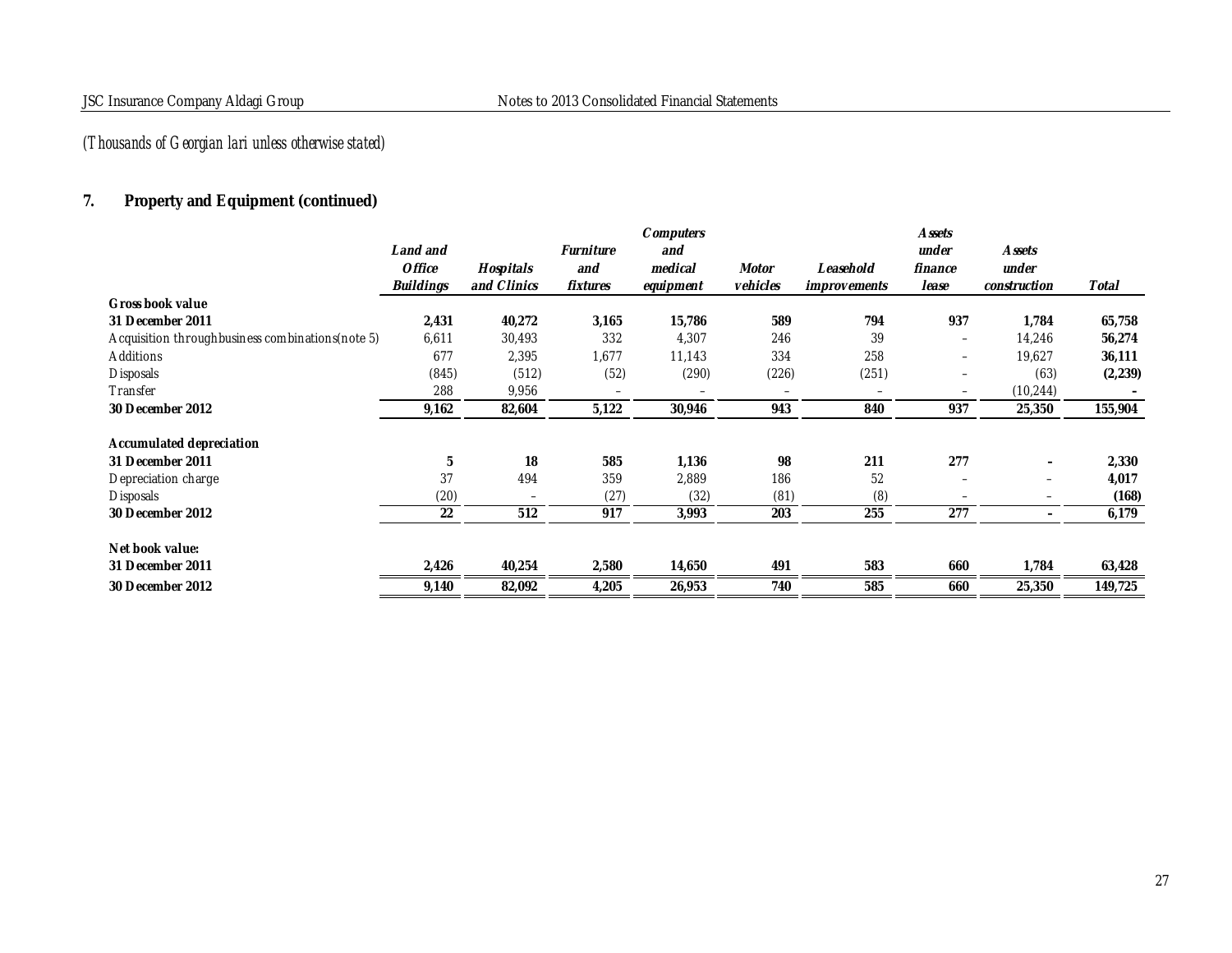# **7. Property and Equipment (continued)**

|                                                   |                  |             |           | Computers |          |                     | A ssets                  |                          |          |
|---------------------------------------------------|------------------|-------------|-----------|-----------|----------|---------------------|--------------------------|--------------------------|----------|
|                                                   | Land and         |             | Furniture | and       |          |                     | under                    | A ssets                  |          |
|                                                   | <b>Office</b>    | Hospitals   | and       | medical   | Motor    | Leasehold           | finance                  | under                    |          |
|                                                   | <b>Buildings</b> | and Clinics | fixtures  | equipment | vehicles | <i>improvements</i> | lease                    | construction             | Total    |
| Gross book value                                  |                  |             |           |           |          |                     |                          |                          |          |
| 31 December 2011                                  | 2,431            | 40,272      | 3,165     | 15,786    | 589      | 794                 | 937                      | 1,784                    | 65,758   |
| Acquisition throughbusiness combinations (note 5) | 6,611            | 30,493      | 332       | 4,307     | 246      | 39                  | $\qquad \qquad -$        | 14,246                   | 56,274   |
| Additions                                         | 677              | 2,395       | 1,677     | 11,143    | 334      | 258                 | -                        | 19,627                   | 36,111   |
| <b>Disposals</b>                                  | (845)            | (512)       | (52)      | (290)     | (226)    | (251)               | $\overline{\phantom{0}}$ | (63)                     | (2, 239) |
| Transfer                                          | 288              | 9,956       |           |           |          |                     |                          | (10, 244)                |          |
| 30 December 2012                                  | 9,162            | 82,604      | 5,122     | 30,946    | 943      | 840                 | 937                      | 25,350                   | 155,904  |
| Accumulated depreciation                          |                  |             |           |           |          |                     |                          |                          |          |
| 31 December 2011                                  | 5                | 18          | 585       | 1,136     | 98       | 211                 | 277                      |                          | 2,330    |
| Depreciation charge                               | 37               | 494         | 359       | 2,889     | 186      | 52                  |                          | $\overline{\phantom{0}}$ | 4,017    |
| <b>Disposals</b>                                  | (20)             |             | (27)      | (32)      | (81)     | (8)                 |                          | —                        | (168)    |
| 30 December 2012                                  | 22               | 512         | 917       | 3,993     | 203      | 255                 | 277                      | -                        | 6,179    |
| Net book value:                                   |                  |             |           |           |          |                     |                          |                          |          |
| 31 December 2011                                  | 2,426            | 40,254      | 2,580     | 14,650    | 491      | 583                 | 660                      | 1,784                    | 63,428   |
| 30 December 2012                                  | 9,140            | 82,092      | 4,205     | 26,953    | 740      | 585                 | 660                      | 25,350                   | 149,725  |
|                                                   |                  |             |           |           |          |                     |                          |                          |          |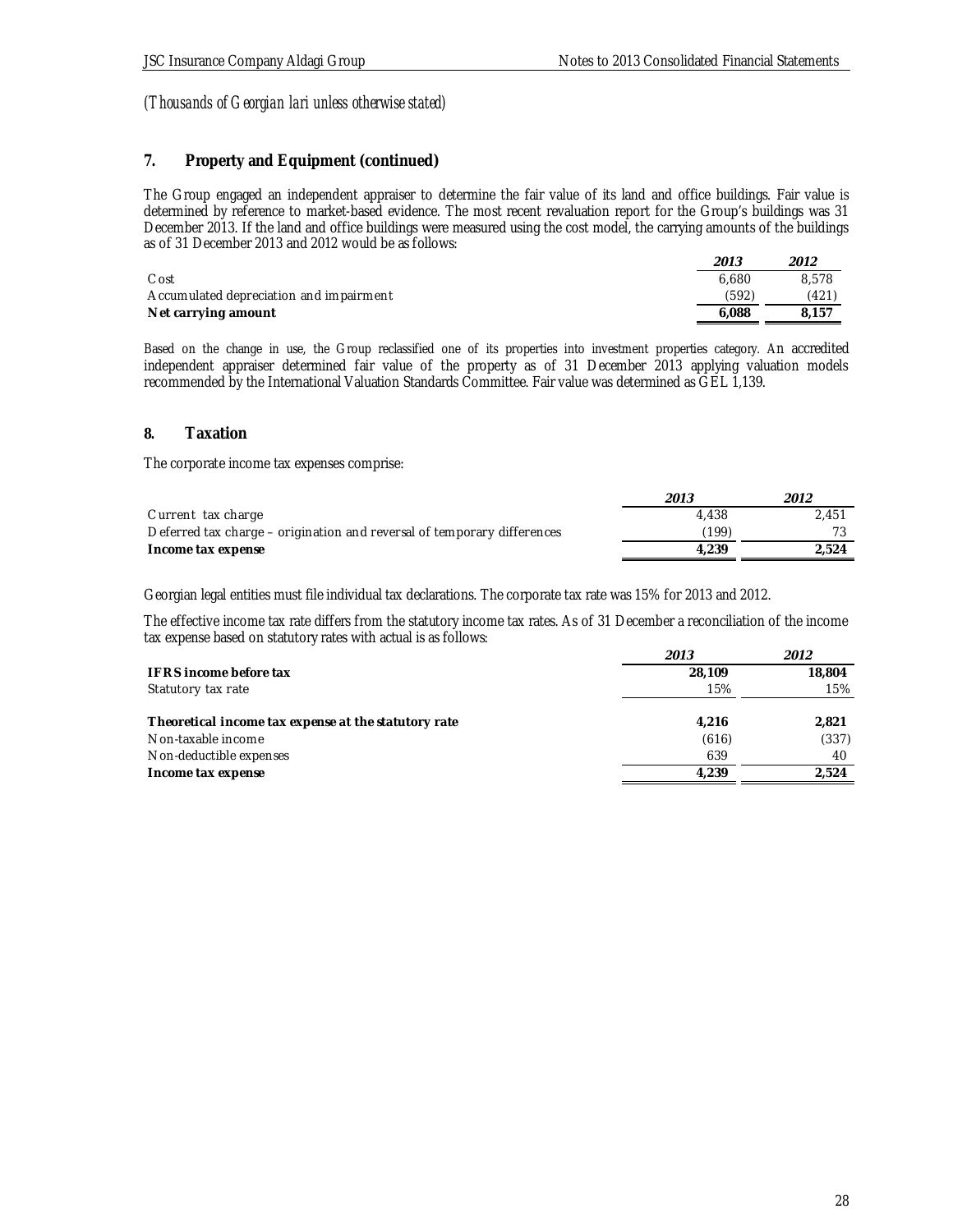### **7. Property and Equipment (continued)**

The Group engaged an independent appraiser to determine the fair value of its land and office buildings. Fair value is determined by reference to market-based evidence. The most recent revaluation report for the Group's buildings was 31 December 2013. If the land and office buildings were measured using the cost model, the carrying amounts of the buildings as of 31 December 2013 and 2012 would be as follows:

|                                         | 2013  | 2012  |
|-----------------------------------------|-------|-------|
| C ost                                   | 6.680 | 8.578 |
| Accumulated depreciation and impairment | (592) | (421  |
| Net carrying amount                     | 6.088 | 8.157 |

Based on the change in use, the Group reclassified one of its properties into investment properties category. An accredited independent appraiser determined fair value of the property as of 31 December 2013 applying valuation models recommended by the International Valuation Standards Committee. Fair value was determined as GEL 1,139.

### **8. Taxation**

The corporate income tax expenses comprise:

|                                                                         | 2013  | 2012  |
|-------------------------------------------------------------------------|-------|-------|
| Current tax charge                                                      | 4.438 | 2.451 |
| Deferred tax charge – origination and reversal of temporary differences | (199) |       |
| Income tax expense                                                      | 4.239 | 2.524 |

Georgian legal entities must file individual tax declarations. The corporate tax rate was 15% for 2013 and 2012.

The effective income tax rate differs from the statutory income tax rates. As of 31 December a reconciliation of the income tax expense based on statutory rates with actual is as follows:

| 2013   | 2012   |
|--------|--------|
| 28,109 | 18,804 |
| 15%    | 15%    |
| 4,216  | 2,821  |
| (616)  | (337)  |
| 639    | 40     |
| 4.239  | 2.524  |
|        |        |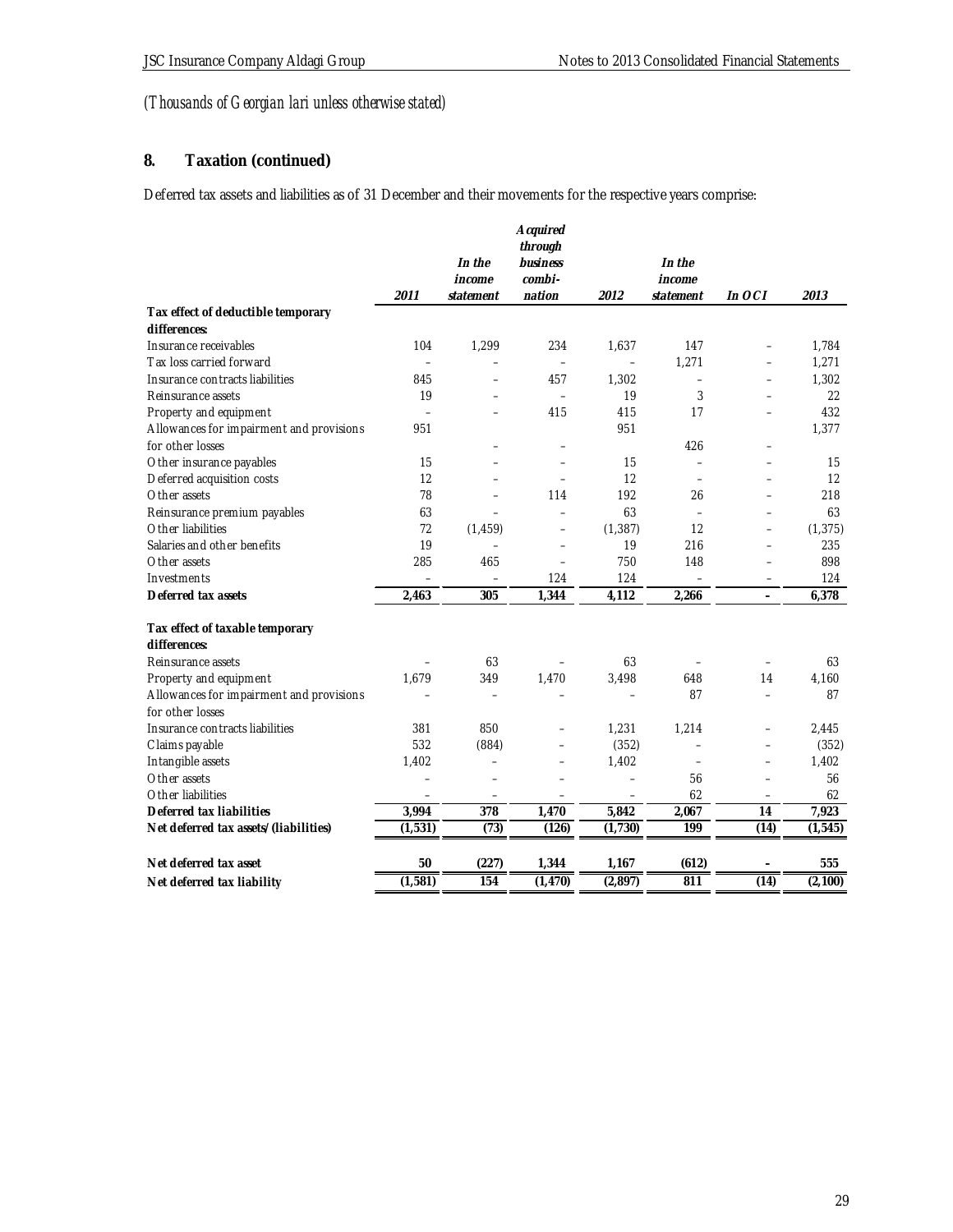# **8. Taxation (continued)**

Deferred tax assets and liabilities as of 31 December and their movements for the respective years comprise:

| through                                                                                                        |          |
|----------------------------------------------------------------------------------------------------------------|----------|
|                                                                                                                |          |
| In the<br>business<br>In the                                                                                   |          |
| $combi-$<br>income<br>income                                                                                   |          |
| 2011<br>nation<br>2012<br>In OCI<br>statement<br>statement                                                     | 2013     |
| Tax effect of deductible temporary                                                                             |          |
| differences:                                                                                                   |          |
| 104<br>1,299<br>234<br>147<br>Insurance receivables<br>1,637<br>$\overline{\phantom{0}}$                       | 1.784    |
| 1,271<br>Tax loss carried forward<br>$\equiv$<br>$\overline{\phantom{0}}$                                      | 1,271    |
| Insurance contracts liabilities<br>845<br>457<br>1.302<br>$\overline{\phantom{0}}$<br>$\overline{\phantom{0}}$ | 1,302    |
| 19<br>19<br>3<br>Reinsurance assets                                                                            | 22       |
| 415<br>415<br>17<br>Property and equipment<br>$\equiv$<br>$\equiv$                                             | 432      |
| Allowances for impairment and provisions<br>951<br>951                                                         | 1,377    |
| for other losses<br>426<br>÷                                                                                   |          |
| Other insurance payables<br>15<br>15<br>$\equiv$                                                               | 15       |
| Deferred acquisition costs<br>12<br>12<br>$\equiv$<br>$\equiv$<br>$\equiv$<br>$\equiv$                         | 12       |
| 78<br>192<br>Other assets<br>114<br>26<br>$\equiv$<br>$\overline{\phantom{0}}$                                 | 218      |
| 63<br>63<br>Reinsurance premium payables<br>$\overline{\phantom{0}}$<br>$\equiv$<br>L,                         | 63       |
| Other liabilities<br>72<br>(1, 459)<br>(1, 387)<br>12<br>-<br>$\overline{\phantom{0}}$                         | (1, 375) |
| 19<br>Salaries and other benefits<br>19<br>216<br>$\equiv$<br>$\equiv$                                         | 235      |
| 285<br>750<br>148<br>Other assets<br>465<br>$\equiv$<br>L.                                                     | 898      |
| Investments<br>124<br>124                                                                                      | 124      |
| 2,463<br>305<br>1,344<br>4,112<br>Deferred tax assets<br>2,266<br>$\overline{a}$                               | 6,378    |
| Tax effect of taxable temporary                                                                                |          |
| differences:                                                                                                   |          |
| Reinsurance assets<br>63<br>63                                                                                 | 63       |
| 1,679<br>1,470<br>Property and equipment<br>349<br>3,498<br>648<br>14                                          | 4,160    |
| Allowances for impairment and provisions<br>87<br>$\equiv$<br>$\overline{\phantom{0}}$                         | 87       |
| for other losses                                                                                               |          |
| 850<br>Insurance contracts liabilities<br>381<br>1,231<br>1,214<br>$\overline{\phantom{0}}$<br>÷,              | 2,445    |
| Claims payable<br>532<br>(884)<br>(352)<br>$\equiv$<br>$\overline{\phantom{0}}$                                | (352)    |
| 1,402<br>Intangible assets<br>1,402<br>$\qquad \qquad -$<br>$\equiv$<br>÷<br>L.                                | 1,402    |
| Other assets<br>56<br>$\overline{\phantom{0}}$                                                                 | 56       |
| Other liabilities<br>62<br>$\overline{\phantom{m}}$<br>$\qquad \qquad -$<br>$\equiv$<br>$\equiv$               | 62       |
| 5,842<br>3,994<br>378<br>1,470<br>2,067<br>Deferred tax liabilities<br>14                                      | 7,923    |
| 199<br>(1, 531)<br>(73)<br>(126)<br>(1,730)<br>(14)<br>Net deferred tax assets/(liabilities)                   | (1, 545) |
|                                                                                                                |          |
| Net deferred tax asset<br>50<br>(227)<br>1,167<br>1,344<br>(612)                                               | 555      |
| (1, 581)<br>(14)<br>154<br>(1, 470)<br>(2, 897)<br>811<br>Net deferred tax liability                           | (2,100)  |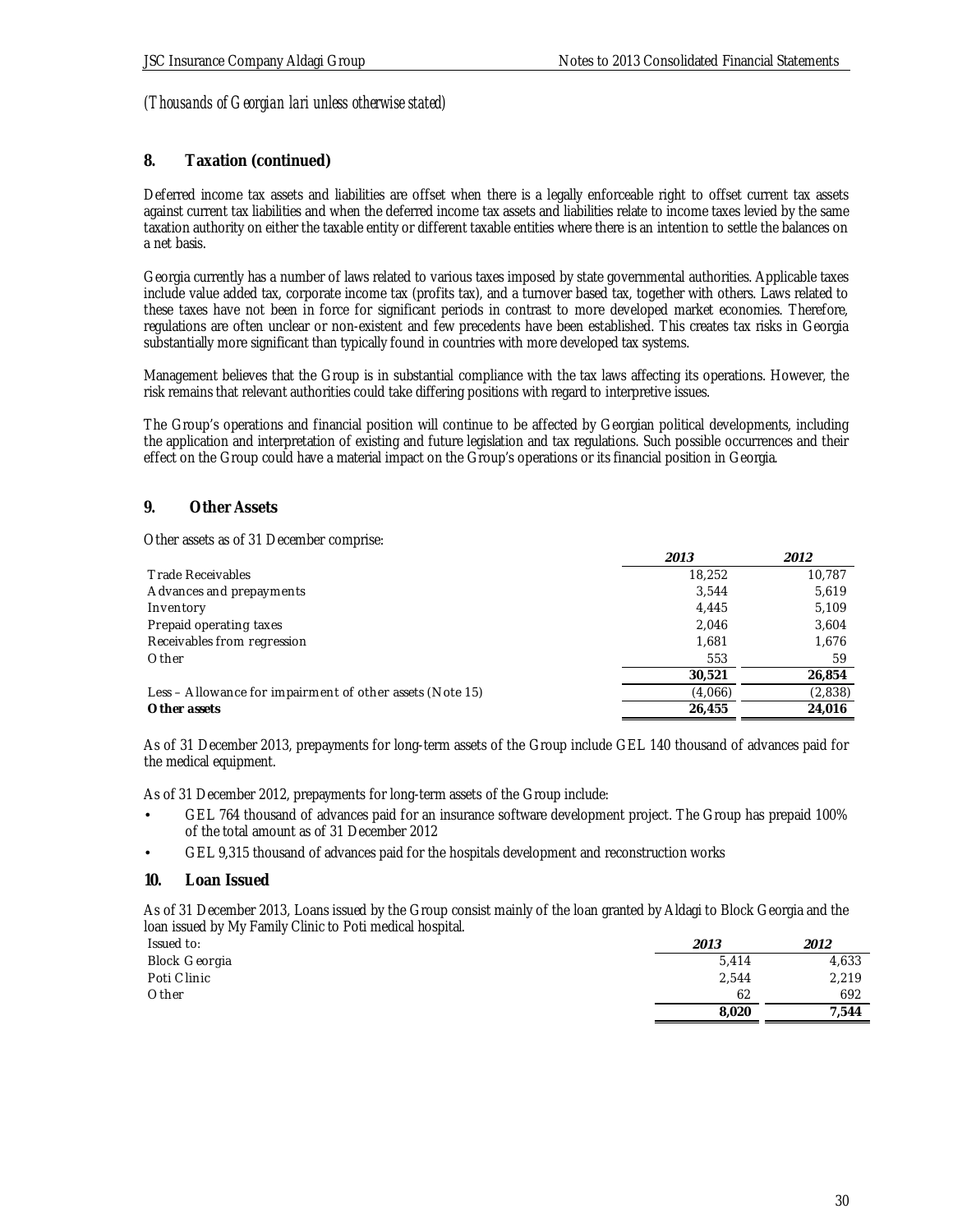### **8. Taxation (continued)**

Deferred income tax assets and liabilities are offset when there is a legally enforceable right to offset current tax assets against current tax liabilities and when the deferred income tax assets and liabilities relate to income taxes levied by the same taxation authority on either the taxable entity or different taxable entities where there is an intention to settle the balances on a net basis.

Georgia currently has a number of laws related to various taxes imposed by state governmental authorities. Applicable taxes include value added tax, corporate income tax (profits tax), and a turnover based tax, together with others. Laws related to these taxes have not been in force for significant periods in contrast to more developed market economies. Therefore, regulations are often unclear or non-existent and few precedents have been established. This creates tax risks in Georgia substantially more significant than typically found in countries with more developed tax systems.

Management believes that the Group is in substantial compliance with the tax laws affecting its operations. However, the risk remains that relevant authorities could take differing positions with regard to interpretive issues.

The Group's operations and financial position will continue to be affected by Georgian political developments, including the application and interpretation of existing and future legislation and tax regulations. Such possible occurrences and their effect on the Group could have a material impact on the Group's operations or its financial position in Georgia.

### **9. Other Assets**

Other assets as of 31 December comprise:

|                                                           | 2013    | 2012    |
|-----------------------------------------------------------|---------|---------|
| <b>Trade Receivables</b>                                  | 18,252  | 10.787  |
| Advances and prepayments                                  | 3.544   | 5,619   |
| Inventory                                                 | 4.445   | 5,109   |
| Prepaid operating taxes                                   | 2,046   | 3,604   |
| Receivables from regression                               | 1.681   | 1,676   |
| Other                                                     | 553     | 59      |
|                                                           | 30.521  | 26,854  |
| Less – Allowance for impairment of other assets (Note 15) | (4,066) | (2,838) |
| Other assets                                              | 26.455  | 24.016  |

As of 31 December 2013, prepayments for long-term assets of the Group include GEL 140 thousand of advances paid for the medical equipment.

As of 31 December 2012, prepayments for long-term assets of the Group include:

- GEL 764 thousand of advances paid for an insurance software development project. The Group has prepaid 100% of the total amount as of 31 December 2012
- GEL 9,315 thousand of advances paid for the hospitals development and reconstruction works
- **10. Loan Issued**

As of 31 December 2013, Loans issued by the Group consist mainly of the loan granted by Aldagi to Block Georgia and the loan issued by My Family Clinic to Poti medical hospital.

| Issued to:    | 2013  | 2012  |
|---------------|-------|-------|
| Block Georgia | 5,414 | 4,633 |
| Poti Clinic   | 2,544 | 2,219 |
| Other         | 62    | 692   |
|               | 8,020 | 7,544 |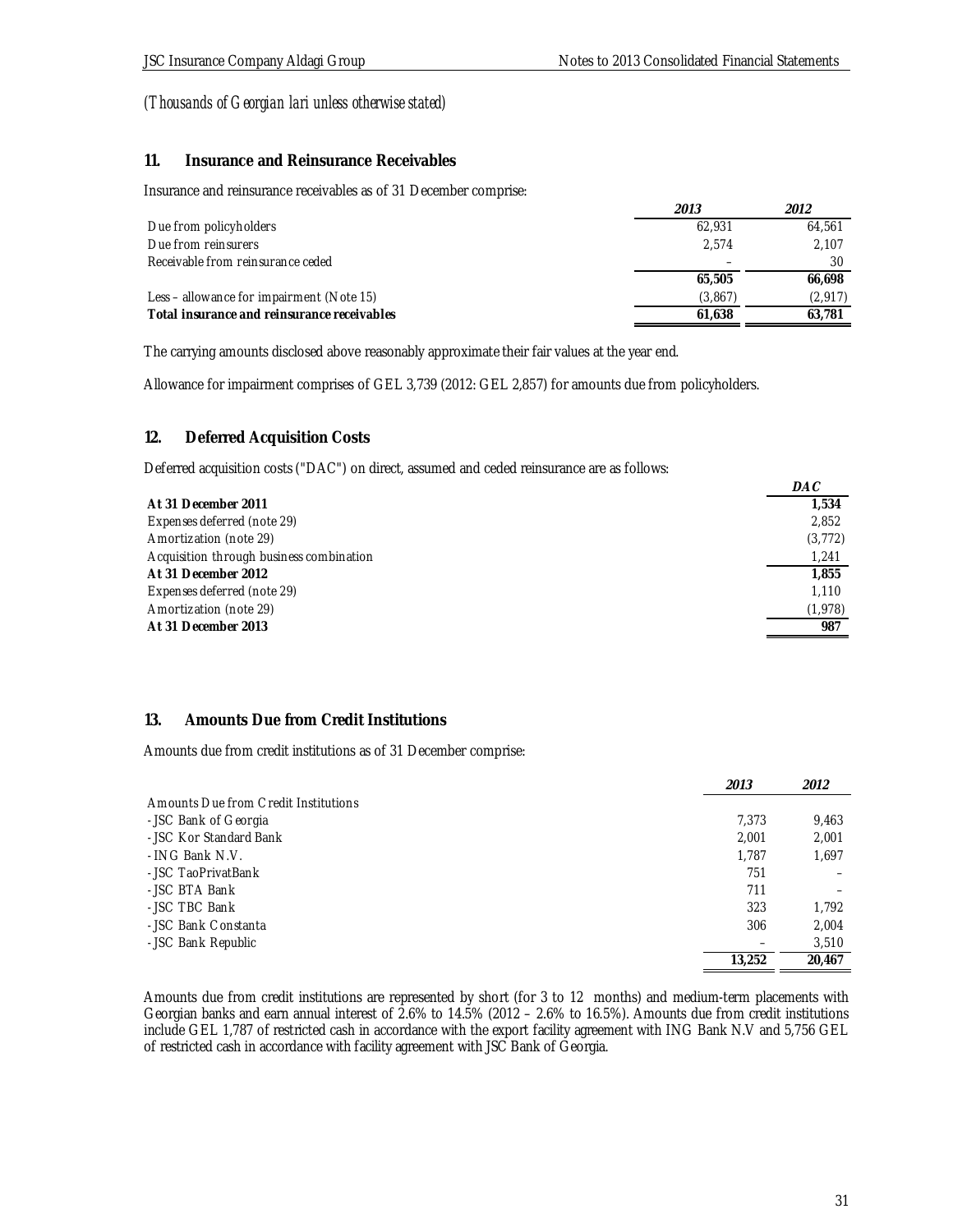### **11. Insurance and Reinsurance Receivables**

Insurance and reinsurance receivables as of 31 December comprise:

|                                             | 2013     | 2012     |
|---------------------------------------------|----------|----------|
| Due from policyholders                      | 62.931   | 64.561   |
| Due from reinsurers                         | 2.574    | 2.107    |
| Receivable from reinsurance ceded           |          | 30       |
|                                             | 65,505   | 66,698   |
| Less – allowance for impairment (Note 15)   | (3, 867) | (2, 917) |
| Total insurance and reinsurance receivables | 61.638   | 63.781   |

The carrying amounts disclosed above reasonably approximate their fair values at the year end.

Allowance for impairment comprises of GEL 3,739 (2012: GEL 2,857) for amounts due from policyholders.

### **12. Deferred Acquisition Costs**

Deferred acquisition costs ("DAC") on direct, assumed and ceded reinsurance are as follows:

|                                          | DAC      |
|------------------------------------------|----------|
| At 31 December 2011                      | 1.534    |
| Expenses deferred (note 29)              | 2,852    |
| Amortization (note 29)                   | (3, 772) |
| Acquisition through business combination | 1.241    |
| At 31 December 2012                      | 1.855    |
| Expenses deferred (note 29)              | 1.110    |
| Amortization (note 29)                   | (1,978)  |
| At 31 December 2013                      | 987      |

### **13. Amounts Due from Credit Institutions**

Amounts due from credit institutions as of 31 December comprise:

|                                      | 2013   | 2012   |
|--------------------------------------|--------|--------|
| Amounts Due from Credit Institutions |        |        |
| - JSC Bank of Georgia                | 7.373  | 9,463  |
| - JSC Kor Standard Bank              | 2.001  | 2,001  |
| - ING Bank N.V.                      | 1.787  | 1,697  |
| - JSC TaoPrivatBank                  | 751    |        |
| - JSC BTA Bank                       | 711    |        |
| - JSC TBC Bank                       | 323    | 1.792  |
| - JSC Bank Constanta                 | 306    | 2.004  |
| - JSC Bank Republic                  |        | 3,510  |
|                                      | 13.252 | 20.467 |

Amounts due from credit institutions are represented by short (for 3 to 12 months) and medium-term placements with Georgian banks and earn annual interest of 2.6% to 14.5% (2012 – 2.6% to 16.5%). Amounts due from credit institutions include GEL 1,787 of restricted cash in accordance with the export facility agreement with ING Bank N.V and 5,756 GEL of restricted cash in accordance with facility agreement with JSC Bank of Georgia.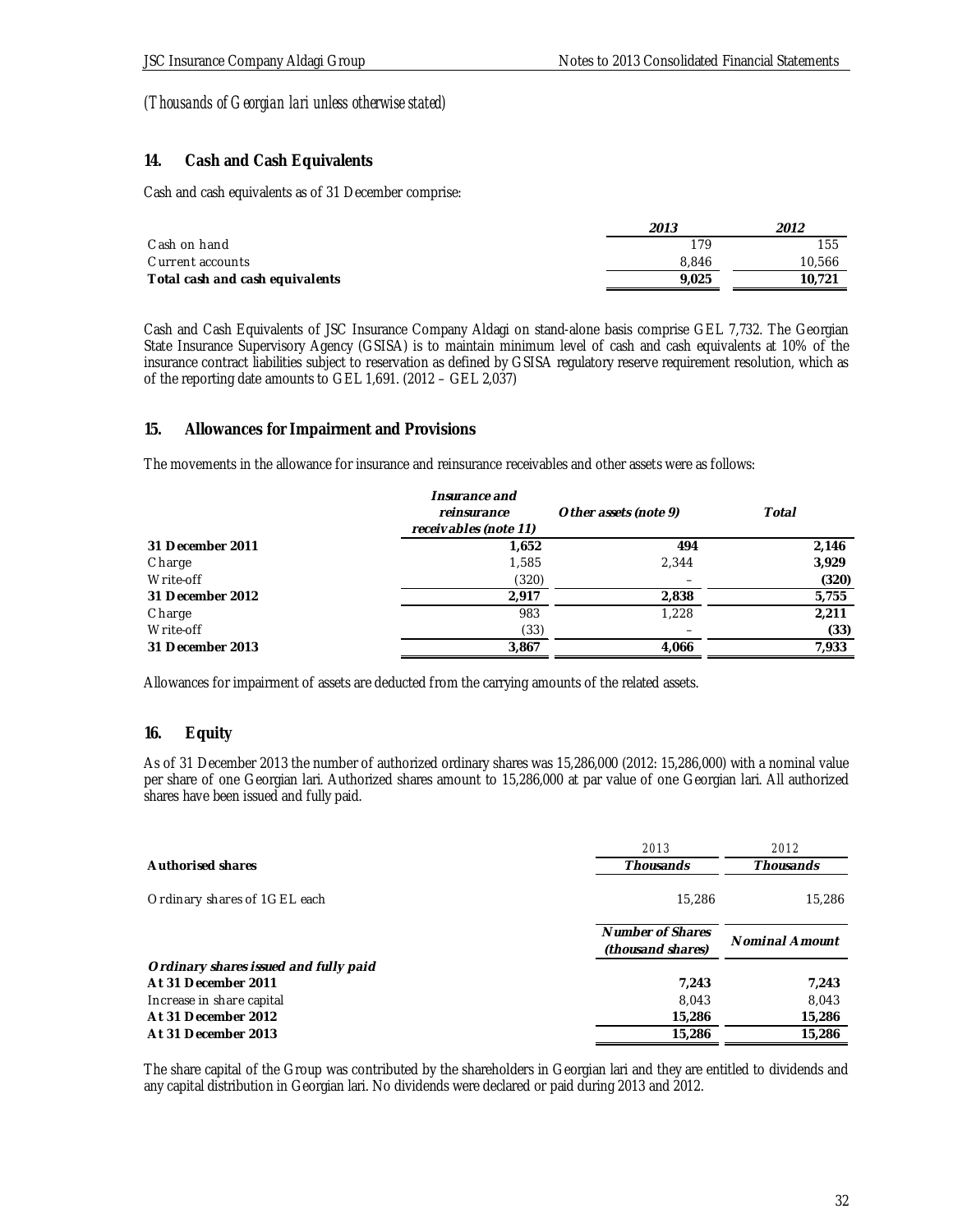### **14. Cash and Cash Equivalents**

Cash and cash equivalents as of 31 December comprise:

|                                 | 2013  | 2012   |
|---------------------------------|-------|--------|
| Cash on hand                    | 179   | 155    |
| Current accounts                | 8.846 | 10,566 |
| Total cash and cash equivalents | 9.025 | 10.721 |

Cash and Cash Equivalents of JSC Insurance Company Aldagi on stand-alone basis comprise GEL 7,732. The Georgian State Insurance Supervisory Agency (GSISA) is to maintain minimum level of cash and cash equivalents at 10% of the insurance contract liabilities subject to reservation as defined by GSISA regulatory reserve requirement resolution, which as of the reporting date amounts to GEL 1,691. (2012 – GEL 2,037)

### **15. Allowances for Impairment and Provisions**

The movements in the allowance for insurance and reinsurance receivables and other assets were as follows:

|                  | Insurance and<br>reinsurance<br>receivables (note 11) | Other assets (note 9) | Total |
|------------------|-------------------------------------------------------|-----------------------|-------|
| 31 December 2011 | 1,652                                                 | 494                   | 2,146 |
| Charge           | 1,585                                                 | 2,344                 | 3,929 |
| Write-off        | (320)                                                 |                       | (320) |
| 31 December 2012 | 2,917                                                 | 2,838                 | 5,755 |
| Charge           | 983                                                   | 1.228                 | 2,211 |
| Write-off        | (33)                                                  |                       | (33)  |
| 31 December 2013 | 3,867                                                 | 4,066                 | 7,933 |

Allowances for impairment of assets are deducted from the carrying amounts of the related assets.

### **16. Equity**

As of 31 December 2013 the number of authorized ordinary shares was 15,286,000 (2012: 15,286,000) with a nominal value per share of one Georgian lari. Authorized shares amount to 15,286,000 at par value of one Georgian lari. All authorized shares have been issued and fully paid.

|                                       | 2013                                  | 2012           |
|---------------------------------------|---------------------------------------|----------------|
| Authorised shares                     | <b>Thousands</b>                      | Thousands      |
| Ordinary shares of 1GEL each          | 15,286                                | 15,286         |
|                                       | Number of Shares<br>(thousand shares) | Nominal Amount |
| Ordinary shares issued and fully paid |                                       |                |
| At 31 December 2011                   | 7.243                                 | 7,243          |
| Increase in share capital             | 8.043                                 | 8,043          |
| At 31 December 2012                   | 15,286                                | 15,286         |
| At 31 December 2013                   | 15,286                                | 15.286         |

The share capital of the Group was contributed by the shareholders in Georgian lari and they are entitled to dividends and any capital distribution in Georgian lari. No dividends were declared or paid during 2013 and 2012.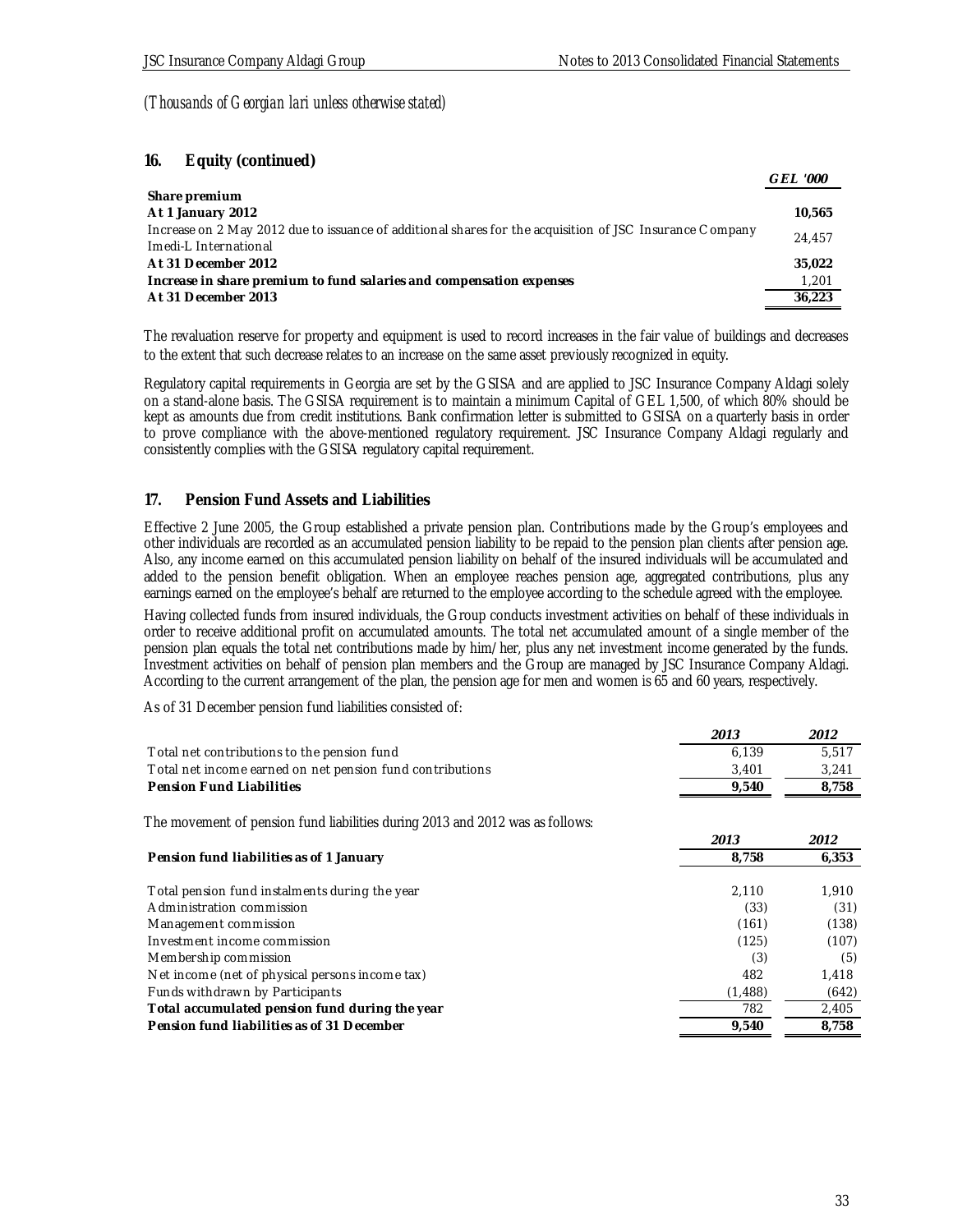### **16. Equity (continued)**

|                                                                                                          | <i>GEL '000</i> |
|----------------------------------------------------------------------------------------------------------|-----------------|
| Share premium                                                                                            |                 |
| At 1 January 2012                                                                                        | 10.565          |
| Increase on 2 May 2012 due to issuance of additional shares for the acquisition of JSC Insurance Company | 24,457          |
| Imedi-L International                                                                                    |                 |
| At 31 December 2012                                                                                      | 35.022          |
| Increase in share premium to fund salaries and compensation expenses                                     | 1,201           |
| At 31 December 2013                                                                                      | 36.223          |

The revaluation reserve for property and equipment is used to record increases in the fair value of buildings and decreases to the extent that such decrease relates to an increase on the same asset previously recognized in equity.

Regulatory capital requirements in Georgia are set by the GSISA and are applied to JSC Insurance Company Aldagi solely on a stand-alone basis. The GSISA requirement is to maintain a minimum Capital of GEL 1,500, of which 80% should be kept as amounts due from credit institutions. Bank confirmation letter is submitted to GSISA on a quarterly basis in order to prove compliance with the above-mentioned regulatory requirement. JSC Insurance Company Aldagi regularly and consistently complies with the GSISA regulatory capital requirement.

### **17. Pension Fund Assets and Liabilities**

Effective 2 June 2005, the Group established a private pension plan. Contributions made by the Group's employees and other individuals are recorded as an accumulated pension liability to be repaid to the pension plan clients after pension age. Also, any income earned on this accumulated pension liability on behalf of the insured individuals will be accumulated and added to the pension benefit obligation. When an employee reaches pension age, aggregated contributions, plus any earnings earned on the employee's behalf are returned to the employee according to the schedule agreed with the employee.

Having collected funds from insured individuals, the Group conducts investment activities on behalf of these individuals in order to receive additional profit on accumulated amounts. The total net accumulated amount of a single member of the pension plan equals the total net contributions made by him/her, plus any net investment income generated by the funds. Investment activities on behalf of pension plan members and the Group are managed by JSC Insurance Company Aldagi. According to the current arrangement of the plan, the pension age for men and women is 65 and 60 years, respectively.

As of 31 December pension fund liabilities consisted of:

|                                                                               | 2013     | 2012  |
|-------------------------------------------------------------------------------|----------|-------|
| Total net contributions to the pension fund                                   | 6,139    | 5,517 |
| Total net income earned on net pension fund contributions                     | 3,401    | 3,241 |
| Pension Fund Liabilities                                                      | 9,540    | 8,758 |
| The movement of pension fund liabilities during 2013 and 2012 was as follows: |          |       |
|                                                                               | 2013     | 2012  |
| Pension fund liabilities as of 1 January                                      | 8,758    | 6,353 |
| Total pension fund instalments during the year                                | 2,110    | 1,910 |
| Administration commission                                                     | (33)     | (31)  |
| Management commission                                                         | (161)    | (138) |
| Investment income commission                                                  | (125)    | (107) |
| Member ship commission                                                        | (3)      | (5)   |
| Net income (net of physical persons income tax)                               | 482      | 1,418 |
| Funds withdrawn by Participants                                               | (1, 488) | (642) |
| Total accumulated pension fund during the year                                | 782      | 2,405 |
| Pension fund liabilities as of 31 December                                    | 9,540    | 8,758 |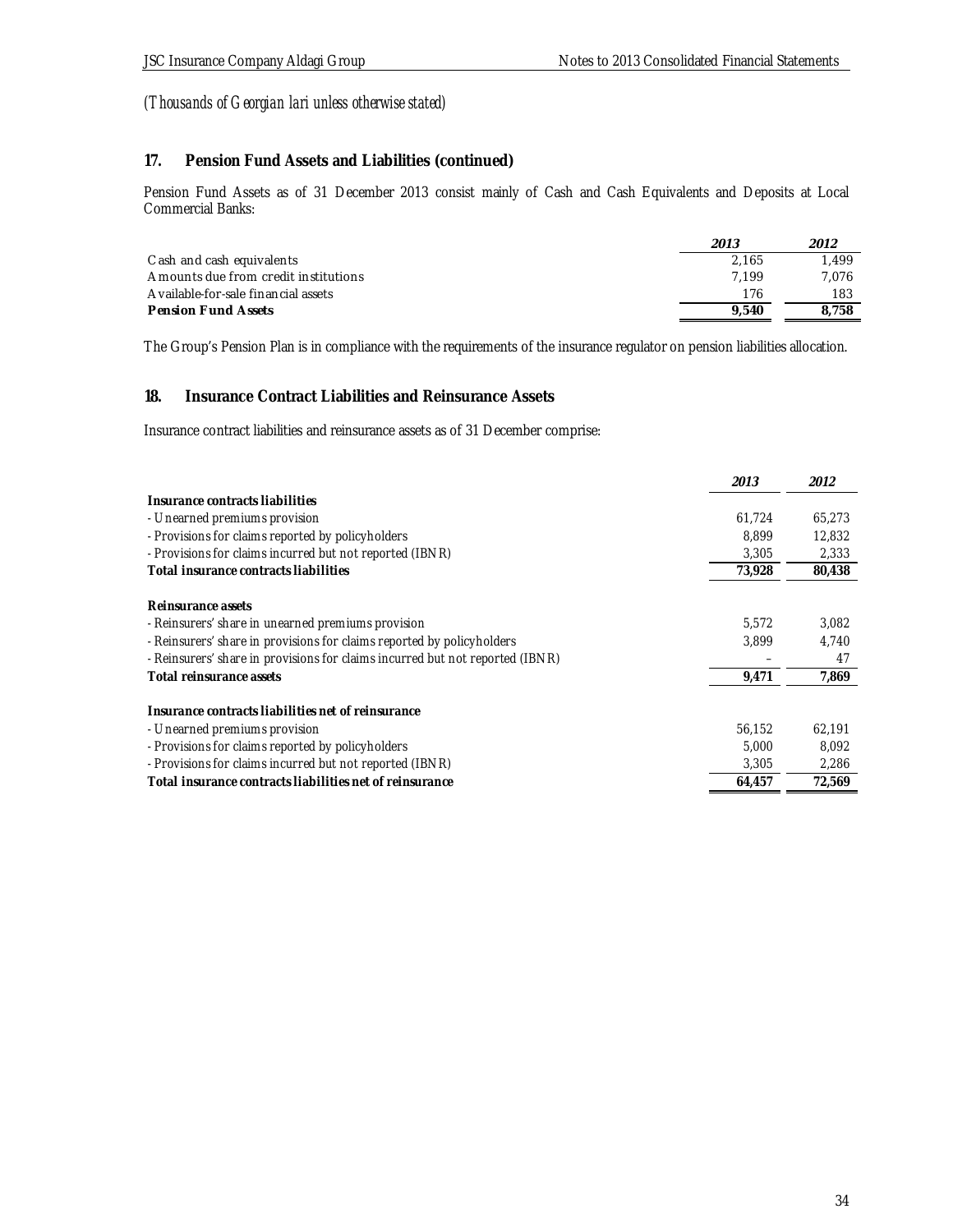# **17. Pension Fund Assets and Liabilities (continued)**

Pension Fund Assets as of 31 December 2013 consist mainly of Cash and Cash Equivalents and Deposits at Local Commercial Banks:

|                                      | 2013  | 2012  |
|--------------------------------------|-------|-------|
| C ash and cash equivalents           | 2.165 | 1.499 |
| Amounts due from credit institutions | 7.199 | 7.076 |
| A vailable-for-sale financial assets | 176   | 183   |
| Pension Fund Assets                  | 9.540 | 8.758 |

The Group's Pension Plan is in compliance with the requirements of the insurance regulator on pension liabilities allocation.

### **18. Insurance Contract Liabilities and Reinsurance Assets**

Insurance contract liabilities and reinsurance assets as of 31 December comprise:

|                                                                               | 2013   | 2012   |
|-------------------------------------------------------------------------------|--------|--------|
| Insurance contracts liabilities                                               |        |        |
| - Unearned premiums provision                                                 | 61,724 | 65,273 |
| - Provisions for claims reported by policyholders                             | 8.899  | 12,832 |
| - Provisions for claims incurred but not reported (IBNR)                      | 3,305  | 2,333  |
| Total insurance contracts liabilities                                         | 73,928 | 80,438 |
| Reinsurance assets                                                            |        |        |
| - Reinsurers' share in unearned premiums provision                            | 5.572  | 3,082  |
| - Reinsurers' share in provisions for claims reported by policy holders       | 3.899  | 4,740  |
| - Reinsurers' share in provisions for claims incurred but not reported (IBNR) |        | 47     |
| Total reinsurance assets                                                      | 9,471  | 7,869  |
| Insurance contracts liabilities net of reinsurance                            |        |        |
| - Unearned premiums provision                                                 | 56,152 | 62,191 |
| - Provisions for claims reported by policyholders                             | 5,000  | 8,092  |
| - Provisions for claims incurred but not reported (IBNR)                      | 3,305  | 2,286  |
| Total insurance contracts liabilities net of reinsurance                      | 64,457 | 72,569 |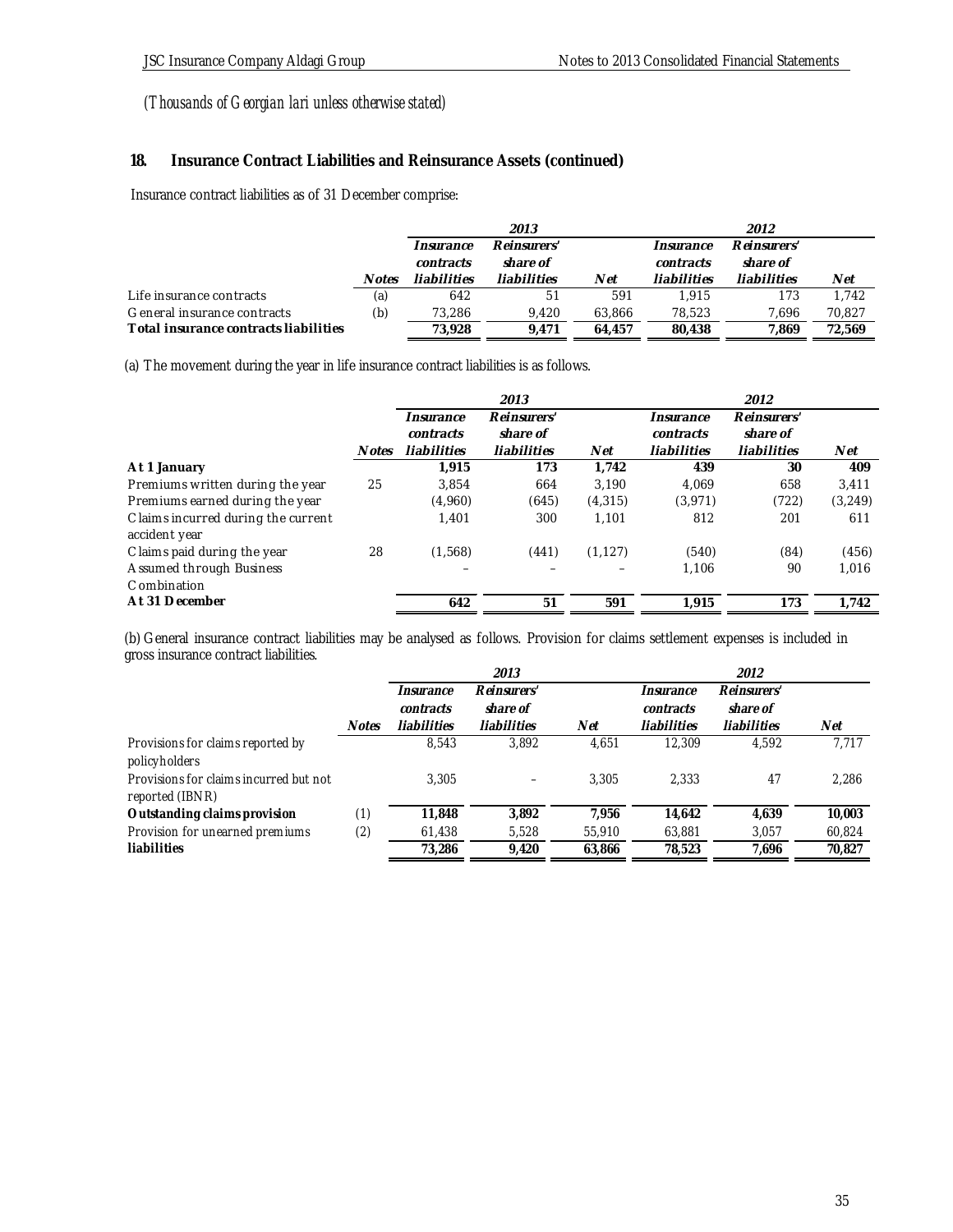# **18. Insurance Contract Liabilities and Reinsurance Assets (continued)**

Insurance contract liabilities as of 31 December comprise:

|                                       |              | 2013        |             |        | 2012        |             |        |
|---------------------------------------|--------------|-------------|-------------|--------|-------------|-------------|--------|
|                                       |              | Insurance   | Reinsurers' |        | Insurance   | Reinsurers' |        |
|                                       |              | contracts   | share of    |        | contracts   | share of    |        |
|                                       | <b>Notes</b> | liabilities | liabilities | Net    | liabilities | liabilities | Net    |
| Life insurance contracts              | (a)          | 642         | 51          | 591    | 1.915       | 173         | 1.742  |
| General insurance contracts           | (b)          | 73.286      | 9.420       | 63.866 | 78.523      | 7.696       | 70,827 |
| Total insurance contracts liabilities |              | 73.928      | 9.471       | 64.457 | 80.438      | 1.869       | 72.569 |

(a) The movement during the year in life insurance contract liabilities is as follows.

|                                    |              |             | 2013        |          |             | 2012        |          |
|------------------------------------|--------------|-------------|-------------|----------|-------------|-------------|----------|
|                                    |              | Insurance   | Reinsurers' |          | Insurance   | Reinsurers' |          |
|                                    |              | contracts   | share of    |          | contracts   | share of    |          |
|                                    | <b>Notes</b> | liabilities | liabilities | Net      | liabilities | liabilities | Net      |
| At 1 January                       |              | 1.915       | 173         | 1.742    | 439         | 30          | 409      |
| Premiums written during the year   | 25           | 3.854       | 664         | 3.190    | 4.069       | 658         | 3,411    |
| Premiums earned during the year    |              | (4,960)     | (645)       | (4, 315) | (3,971)     | (722)       | (3, 249) |
| Claims incurred during the current |              | 1.401       | 300         | 1.101    | 812         | 201         | 611      |
| accident year                      |              |             |             |          |             |             |          |
| Claims paid during the year        | 28           | (1,568)     | (441)       | (1, 127) | (540)       | (84)        | (456)    |
| Assumed through Business           |              |             |             |          | 1,106       | 90          | 1.016    |
| Combination                        |              |             |             |          |             |             |          |
| At 31 December                     |              | 642         | 51          | 591      | 1.915       | 173         | 1,742    |

(b) General insurance contract liabilities may be analysed as follows. Provision for claims settlement expenses is included in gross insurance contract liabilities.

|                                                           |       |             | 2013        |        |             | 2012        |        |
|-----------------------------------------------------------|-------|-------------|-------------|--------|-------------|-------------|--------|
|                                                           |       | Insurance   | Reinsurers' |        | Insurance   | Reinsurers' |        |
|                                                           |       | contracts   | share of    |        | contracts   | share of    |        |
|                                                           | Notes | liabilities | liabilities | Net    | liabilities | liabilities | Net    |
| Provisions for claims reported by<br>policyholders        |       | 8.543       | 3,892       | 4.651  | 12.309      | 4.592       | 7,717  |
| Provisions for claims incurred but not<br>reported (IBNR) |       | 3.305       |             | 3.305  | 2.333       | 47          | 2,286  |
| Outstanding claims provision                              | (1)   | 11,848      | 3.892       | 7.956  | 14.642      | 4.639       | 10,003 |
| Provision for unearned premiums                           | (2)   | 61,438      | 5,528       | 55,910 | 63,881      | 3.057       | 60,824 |
| liabilities                                               |       | 73.286      | 9.420       | 63.866 | 78,523      | 7.696       | 70,827 |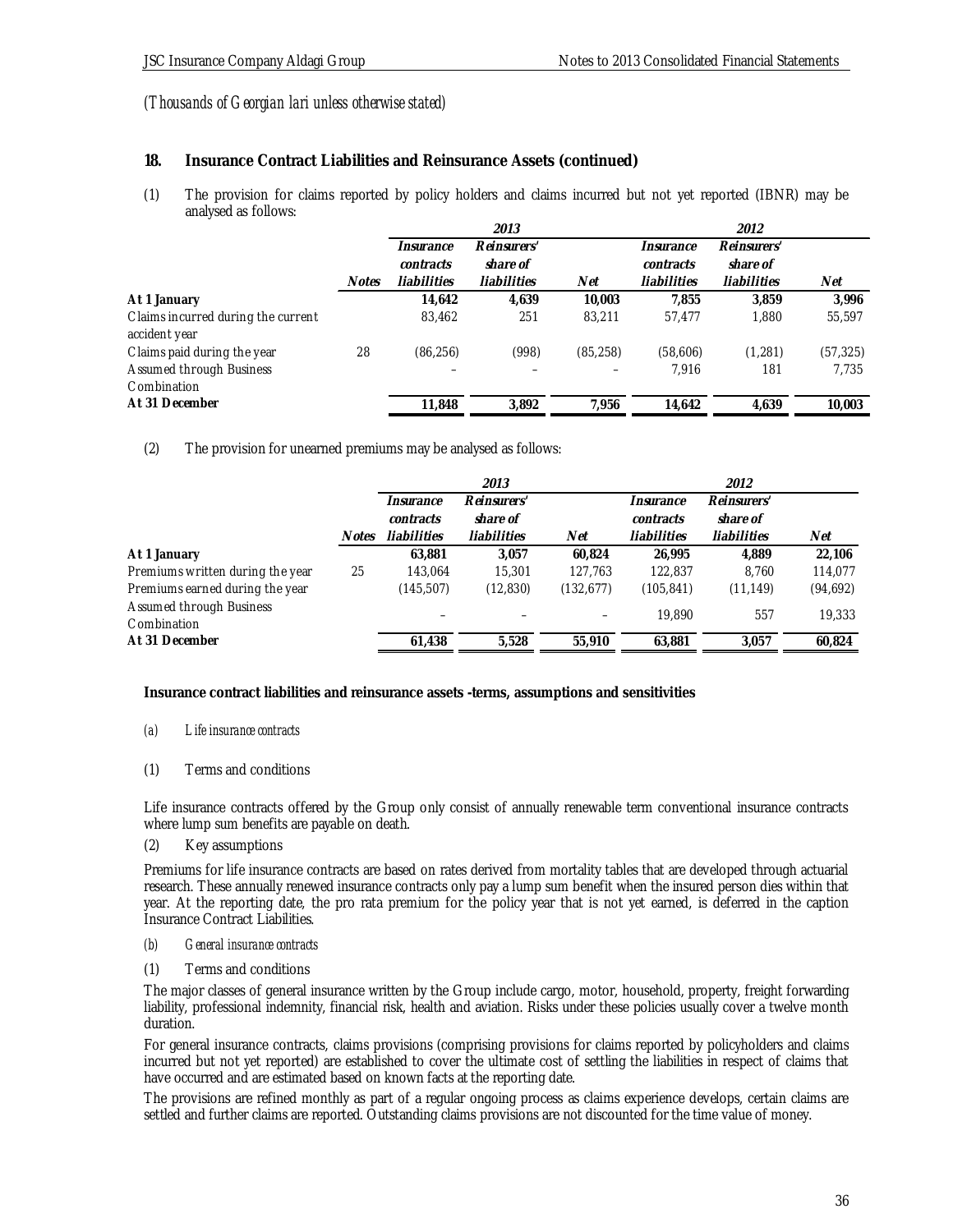### **18. Insurance Contract Liabilities and Reinsurance Assets (continued)**

(1) The provision for claims reported by policy holders and claims incurred but not yet reported (IBNR) may be analysed as follows:

|              |             | 2013        |           |             | 2012        |           |
|--------------|-------------|-------------|-----------|-------------|-------------|-----------|
|              | Insurance   | Reinsurers' |           | Insurance   | Reinsurers' |           |
|              | contracts   | share of    |           | contracts   | share of    |           |
| <b>Notes</b> | liabilities | liabilities | Net       | liabilities | liabilities | Net       |
|              | 14,642      | 4,639       | 10,003    | 7.855       | 3,859       | 3.996     |
|              | 83,462      | 251         | 83.211    | 57,477      | 1.880       | 55,597    |
| 28           | (86, 256)   | (998)       | (85, 258) | (58,606)    | (1, 281)    | (57, 325) |
|              |             |             |           | 7,916       | 181         | 7,735     |
|              | 11,848      | 3,892       | 7.956     | 14.642      | 4.639       | 10,003    |
|              |             |             |           |             |             |           |

(2) The provision for unearned premiums may be analysed as follows:

|                                  |       |             | 2013        |            |             | 2012        |           |
|----------------------------------|-------|-------------|-------------|------------|-------------|-------------|-----------|
|                                  |       | Insurance   | Reinsurers' |            | Insurance   | Reinsurers' |           |
|                                  |       | contracts   | share of    |            | contracts   | share of    |           |
|                                  | Notes | liabilities | liabilities | Net        | liabilities | liabilities | Net       |
| At 1 January                     |       | 63,881      | 3.057       | 60.824     | 26.995      | 4.889       | 22,106    |
| Premiums written during the year | 25    | 143.064     | 15,301      | 127,763    | 122,837     | 8.760       | 114,077   |
| Premiums earned during the year  |       | (145, 507)  | (12, 830)   | (132, 677) | (105, 841)  | (11, 149)   | (94, 692) |
| Assumed through Business         |       |             |             |            | 19,890      | 557         | 19,333    |
| Combination                      |       |             |             |            |             |             |           |
| At 31 December                   |       | 61.438      | 5.528       | 55,910     | 63.881      | 3.057       | 60.824    |
|                                  |       |             |             |            |             |             |           |

**Insurance contract liabilities and reinsurance assets -terms, assumptions and sensitivities**

### *(a) Life insurance contracts*

### (1) Terms and conditions

Life insurance contracts offered by the Group only consist of annually renewable term conventional insurance contracts where lump sum benefits are payable on death.

(2) Key assumptions

Premiums for life insurance contracts are based on rates derived from mortality tables that are developed through actuarial research. These annually renewed insurance contracts only pay a lump sum benefit when the insured person dies within that year. At the reporting date, the pro rata premium for the policy year that is not yet earned, is deferred in the caption Insurance Contract Liabilities.

#### *(b) General insurance contracts*

(1) Terms and conditions

The major classes of general insurance written by the Group include cargo, motor, household, property, freight forwarding liability, professional indemnity, financial risk, health and aviation. Risks under these policies usually cover a twelve month duration.

For general insurance contracts, claims provisions (comprising provisions for claims reported by policyholders and claims incurred but not yet reported) are established to cover the ultimate cost of settling the liabilities in respect of claims that have occurred and are estimated based on known facts at the reporting date.

The provisions are refined monthly as part of a regular ongoing process as claims experience develops, certain claims are settled and further claims are reported. Outstanding claims provisions are not discounted for the time value of money.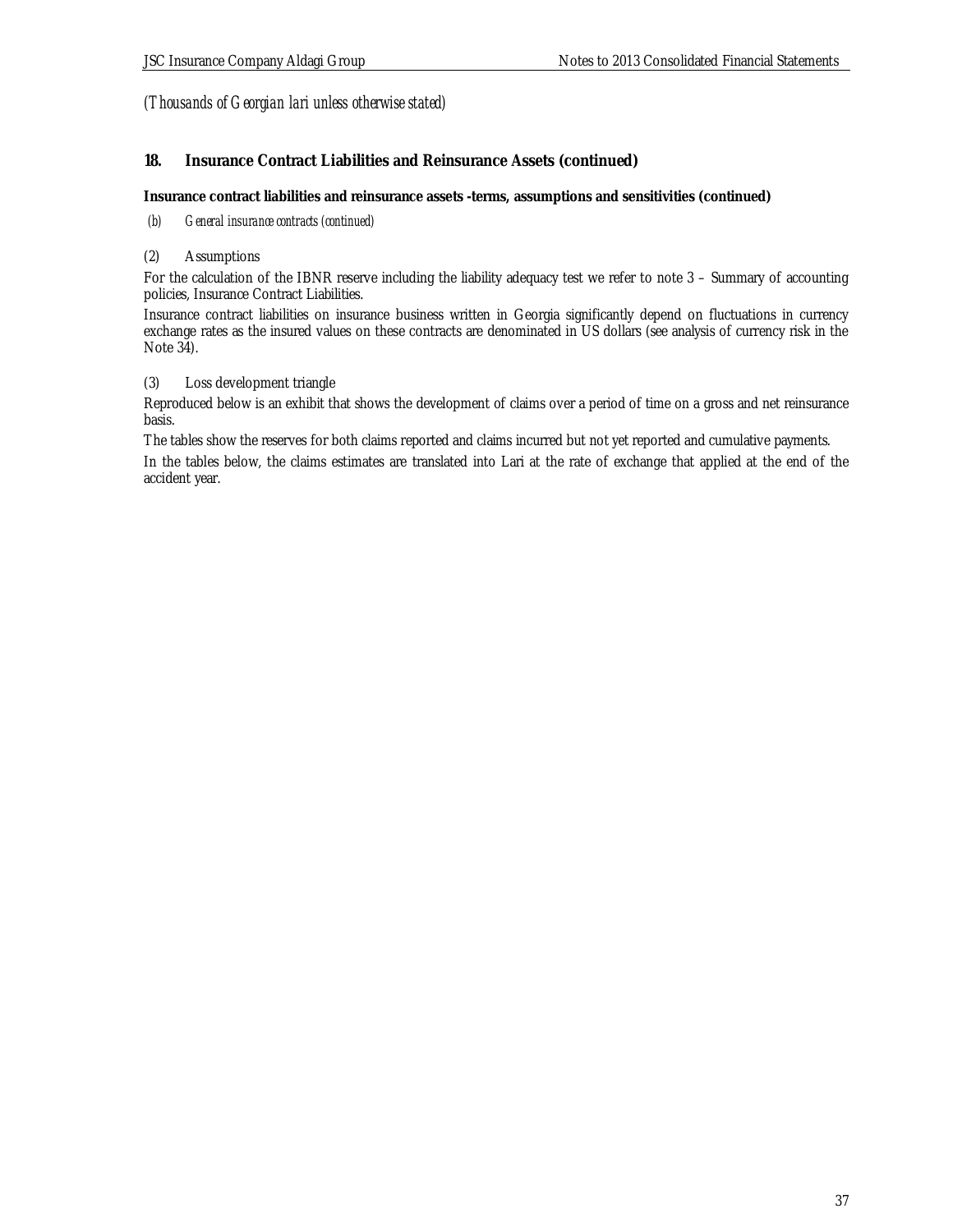### **18. Insurance Contract Liabilities and Reinsurance Assets (continued)**

**Insurance contract liabilities and reinsurance assets -terms, assumptions and sensitivities (continued)**

 *(b) General insurance contracts (continued)*

### (2) Assumptions

For the calculation of the IBNR reserve including the liability adequacy test we refer to note 3 – Summary of accounting policies, Insurance Contract Liabilities.

Insurance contract liabilities on insurance business written in Georgia significantly depend on fluctuations in currency exchange rates as the insured values on these contracts are denominated in US dollars (see analysis of currency risk in the Note 34).

### (3) Loss development triangle

Reproduced below is an exhibit that shows the development of claims over a period of time on a gross and net reinsurance basis.

The tables show the reserves for both claims reported and claims incurred but not yet reported and cumulative payments. In the tables below, the claims estimates are translated into Lari at the rate of exchange that applied at the end of the accident year.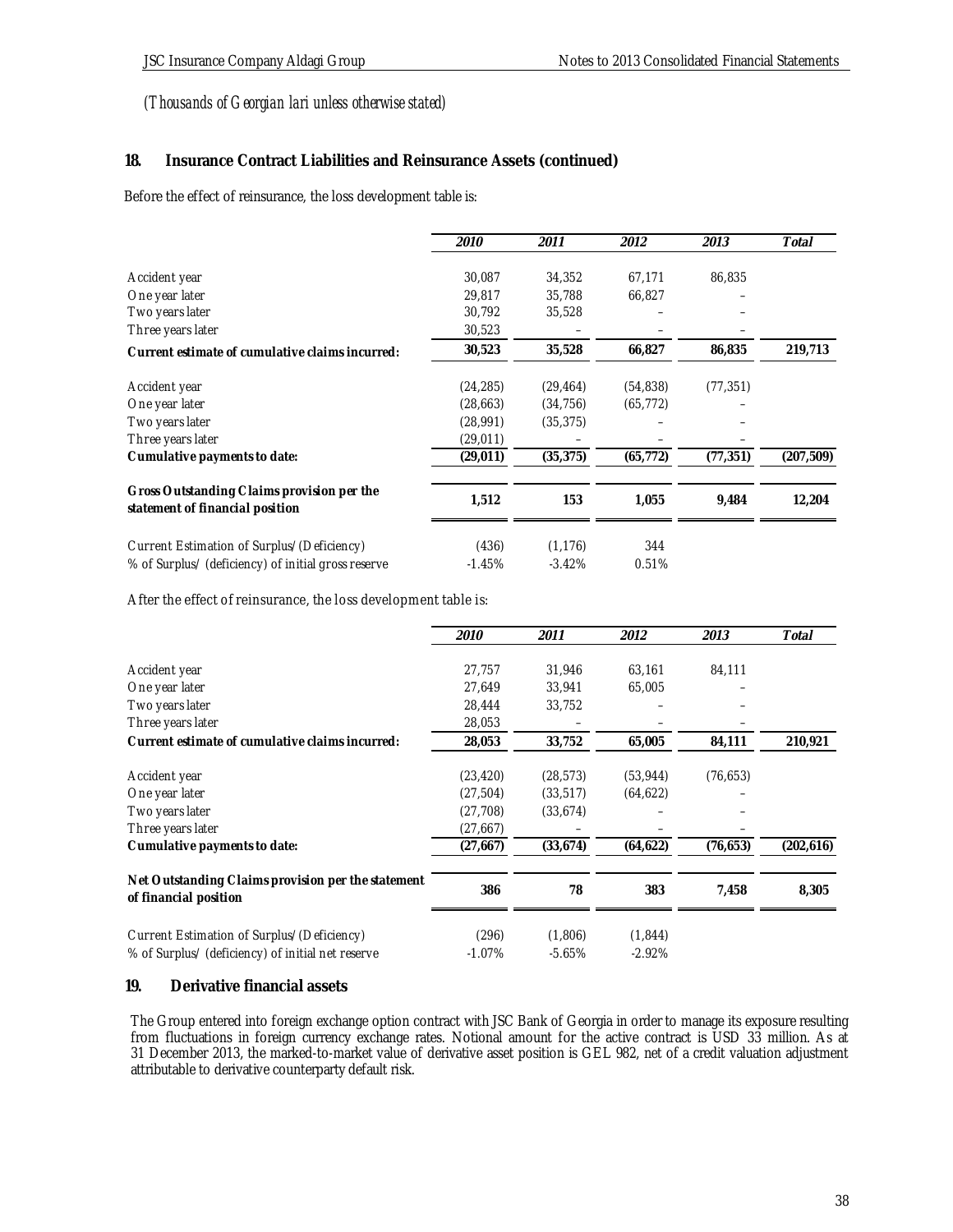## **18. Insurance Contract Liabilities and Reinsurance Assets (continued)**

Before the effect of reinsurance, the loss development table is:

|                                                                               | <i>2010</i> | 2011      | 2012      | 2013      | Total      |
|-------------------------------------------------------------------------------|-------------|-----------|-----------|-----------|------------|
|                                                                               |             |           |           |           |            |
| Accident year                                                                 | 30,087      | 34,352    | 67,171    | 86,835    |            |
| One year later                                                                | 29,817      | 35,788    | 66,827    |           |            |
| Two years later                                                               | 30,792      | 35,528    |           |           |            |
| Three years later                                                             | 30,523      |           |           |           |            |
| Current estimate of cumulative claims incurred:                               | 30,523      | 35,528    | 66,827    | 86,835    | 219,713    |
| Accident year                                                                 | (24, 285)   | (29, 464) | (54, 838) | (77, 351) |            |
| One year later                                                                | (28, 663)   | (34, 756) | (65, 772) |           |            |
| Two years later                                                               | (28, 991)   | (35, 375) |           |           |            |
| Three years later                                                             | (29,011)    |           |           |           |            |
| Cumulative payments to date:                                                  | (29, 011)   | (35, 375) | (65, 772) | (77, 351) | (207, 509) |
|                                                                               |             |           |           |           |            |
| Gross Outstanding Claims provision per the<br>statement of financial position | 1,512       | 153       | 1,055     | 9,484     | 12,204     |
| Current Estimation of Surplus/(Deficiency)                                    | (436)       | (1, 176)  | 344       |           |            |
| % of Surplus/ (deficiency) of initial gross reserve                           | $-1.45%$    | $-3.42%$  | 0.51%     |           |            |
|                                                                               |             |           |           |           |            |

After the effect of reinsurance, the loss development table is:

|                                                                                                 | 2010                   | 2011                   | 2012                   | 2013      | Total      |
|-------------------------------------------------------------------------------------------------|------------------------|------------------------|------------------------|-----------|------------|
| Accident year                                                                                   | 27,757                 | 31,946                 | 63,161                 | 84,111    |            |
| One year later                                                                                  | 27,649                 | 33,941                 | 65,005                 |           |            |
| Two years later                                                                                 | 28,444                 | 33,752                 |                        |           |            |
| Three years later                                                                               | 28,053                 |                        |                        |           |            |
| Current estimate of cumulative claims incurred:                                                 | 28,053                 | 33,752                 | 65,005                 | 84,111    | 210,921    |
| Accident year<br>One year later                                                                 | (23, 420)<br>(27, 504) | (28, 573)<br>(33, 517) | (53, 944)<br>(64, 622) | (76, 653) |            |
| Two years later                                                                                 | (27, 708)              | (33, 674)              |                        |           |            |
| Three years later                                                                               | (27,667)               |                        |                        |           |            |
| Cumulative payments to date:                                                                    | (27, 667)              | (33, 674)              | (64, 622)              | (76, 653) | (202, 616) |
| Net Outstanding Claims provision per the statement<br>of financial position                     | 386                    | 78                     | 383                    | 7,458     | 8,305      |
| Current Estimation of Surplus/(Deficiency)<br>% of Surplus/ (deficiency) of initial net reserve | (296)<br>$-1.07%$      | (1,806)<br>$-5.65%$    | (1, 844)<br>$-2.92%$   |           |            |

### **19. Derivative financial assets**

The Group entered into foreign exchange option contract with JSC Bank of Georgia in order to manage its exposure resulting from fluctuations in foreign currency exchange rates. Notional amount for the active contract is USD 33 million. As at 31 December 2013, the marked-to-market value of derivative asset position is GEL 982, net of a credit valuation adjustment attributable to derivative counterparty default risk.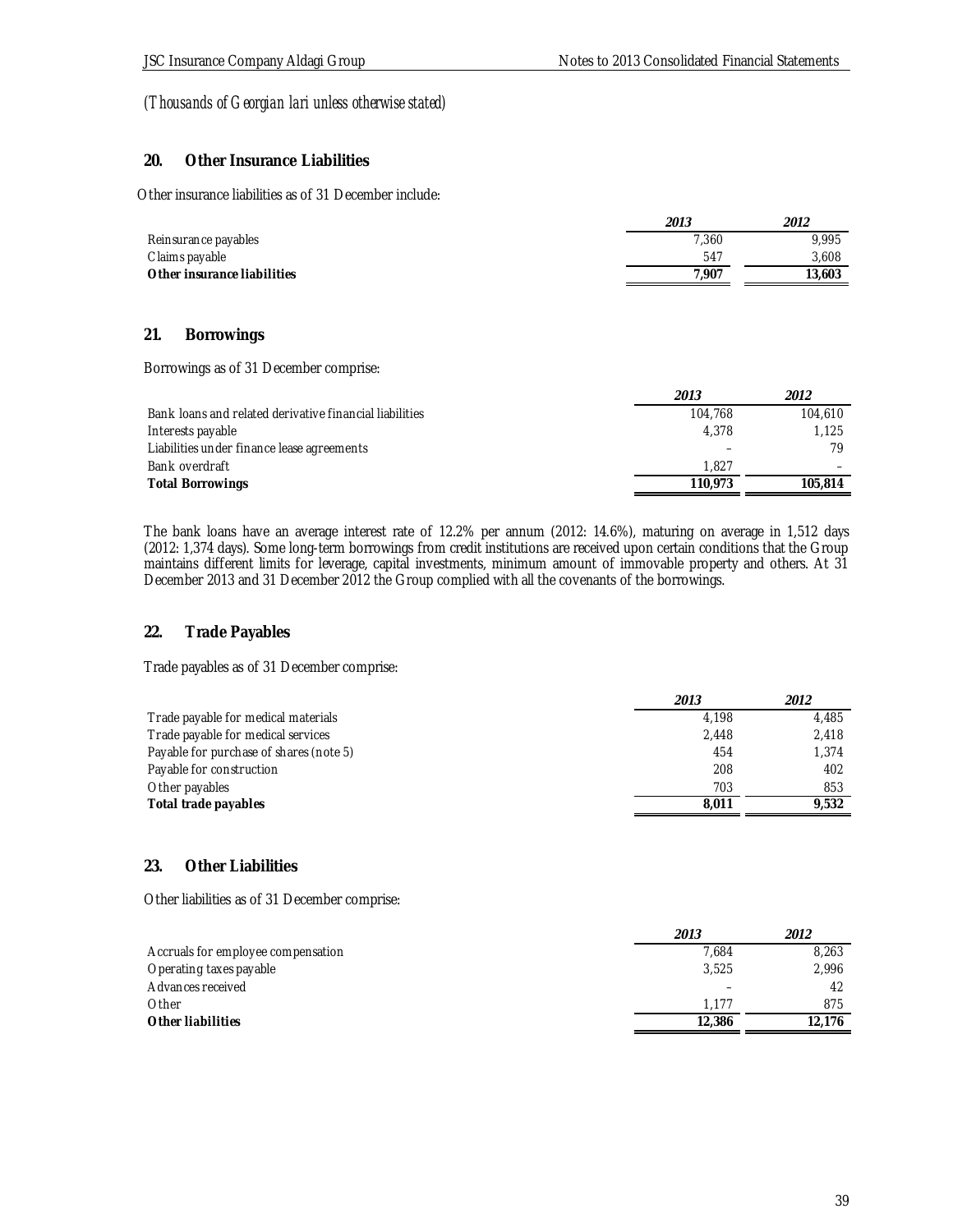### **20. Other Insurance Liabilities**

Other insurance liabilities as of 31 December include:

|                             | 2013  | 2012   |
|-----------------------------|-------|--------|
| Reinsurance payables        | 7,360 | 9.995  |
| C laims payable             | 547   | 3.608  |
| Other insurance liabilities | 7.907 | 13,603 |

### **21. Borrowings**

Borrowings as of 31 December comprise:

|                                                         | 2013    | 2012    |
|---------------------------------------------------------|---------|---------|
| Bank loans and related derivative financial liabilities | 104.768 | 104,610 |
| Interests payable                                       | 4.378   | 1.125   |
| Liabilities under finance lease agreements              |         | 79      |
| Bank overdraft                                          | 1.827   |         |
| <b>Total Borrowings</b>                                 | 110.973 | 105.814 |

The bank loans have an average interest rate of 12.2% per annum (2012: 14.6%), maturing on average in 1,512 days (2012: 1,374 days). Some long-term borrowings from credit institutions are received upon certain conditions that the Group maintains different limits for leverage, capital investments, minimum amount of immovable property and others. At 31 December 2013 and 31 December 2012 the Group complied with all the covenants of the borrowings.

## **22. Trade Payables**

Trade payables as of 31 December comprise:

|                                         | 2013  | 2012  |
|-----------------------------------------|-------|-------|
| Trade payable for medical materials     | 4.198 | 4,485 |
| Trade payable for medical services      | 2.448 | 2,418 |
| Payable for purchase of shares (note 5) | 454   | 1.374 |
| Payable for construction                | 208   | 402   |
| Other payables                          | 703   | 853   |
| Total trade payables                    | 8.011 | 9.532 |
|                                         |       |       |

# **23. Other Liabilities**

Other liabilities as of 31 December comprise:

|                                    | 2013   | 2012   |
|------------------------------------|--------|--------|
| Accruals for employee compensation | 7.684  | 8.263  |
| Operating taxes payable            | 3.525  | 2,996  |
| Advances received                  |        | 42     |
| Other                              | 1.177  | 875    |
| Other liabilities                  | 12,386 | 12,176 |
|                                    |        |        |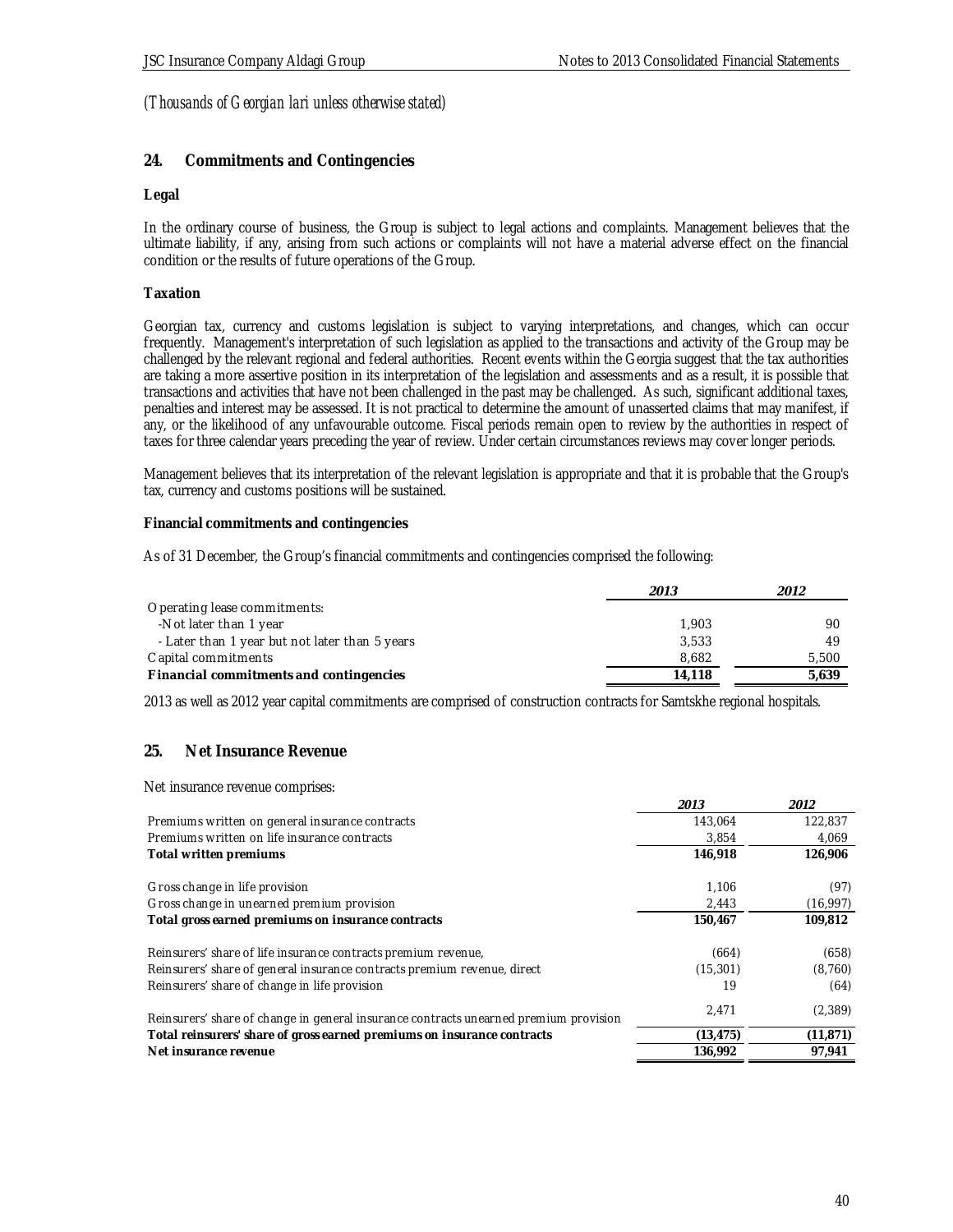### **24. Commitments and Contingencies**

#### **Legal**

In the ordinary course of business, the Group is subject to legal actions and complaints. Management believes that the ultimate liability, if any, arising from such actions or complaints will not have a material adverse effect on the financial condition or the results of future operations of the Group.

### **Taxation**

Georgian tax, currency and customs legislation is subject to varying interpretations, and changes, which can occur frequently. Management's interpretation of such legislation as applied to the transactions and activity of the Group may be challenged by the relevant regional and federal authorities. Recent events within the Georgia suggest that the tax authorities are taking a more assertive position in its interpretation of the legislation and assessments and as a result, it is possible that transactions and activities that have not been challenged in the past may be challenged. As such, significant additional taxes, penalties and interest may be assessed. It is not practical to determine the amount of unasserted claims that may manifest, if any, or the likelihood of any unfavourable outcome. Fiscal periods remain open to review by the authorities in respect of taxes for three calendar years preceding the year of review. Under certain circumstances reviews may cover longer periods.

Management believes that its interpretation of the relevant legislation is appropriate and that it is probable that the Group's tax, currency and customs positions will be sustained.

**Financial commitments and contingencies**

As of 31 December, the Group's financial commitments and contingencies comprised the following:

|                                                | 2013   | 2012  |
|------------------------------------------------|--------|-------|
| Operating lease commitments:                   |        |       |
| -Not later than 1 year                         | 1.903  | 90    |
| - Later than 1 year but not later than 5 years | 3.533  | 49    |
| Capital commitments                            | 8.682  | 5,500 |
| Financial commitments and contingencies        | 14.118 | 5.639 |

2013 as well as 2012 year capital commitments are comprised of construction contracts for Samtskhe regional hospitals.

### **25. Net Insurance Revenue**

Net insurance revenue comprises: **2013 2012** Premiums written on general insurance contracts 143,064 122,837 Premiums written on life insurance contracts and the state of the state of the state 3,854 4,069 **Total written premiums 146,918 126,906** Gross change in life provision the contract of the contract of the contract of the contract of the contract of the contract of the contract of the contract of the contract of the contract of the contract of the contract of Gross change in unearned premium provision and the contract of the contract of the contract of the contract of the contract of the contract of the contract of the contract of the contract of the contract of the contract of **Total gross earned premiums on insurance contracts 150,467 109,812** Reinsurers' share of life insurance contracts premium revenue, (664) (658) Reinsurers' share of general insurance contracts premium revenue, direct (15,301) (8,760) Reinsurers' share of change in life provision 19 (64) Reinsurers' share of change in general insurance contracts unearned premium provision 2,471 (2,389) **Total reinsurers' share of gross earned premiums on insurance contracts (13,475) (11,871) Net insurance revenue 136,992 97,941 136,992 97,941**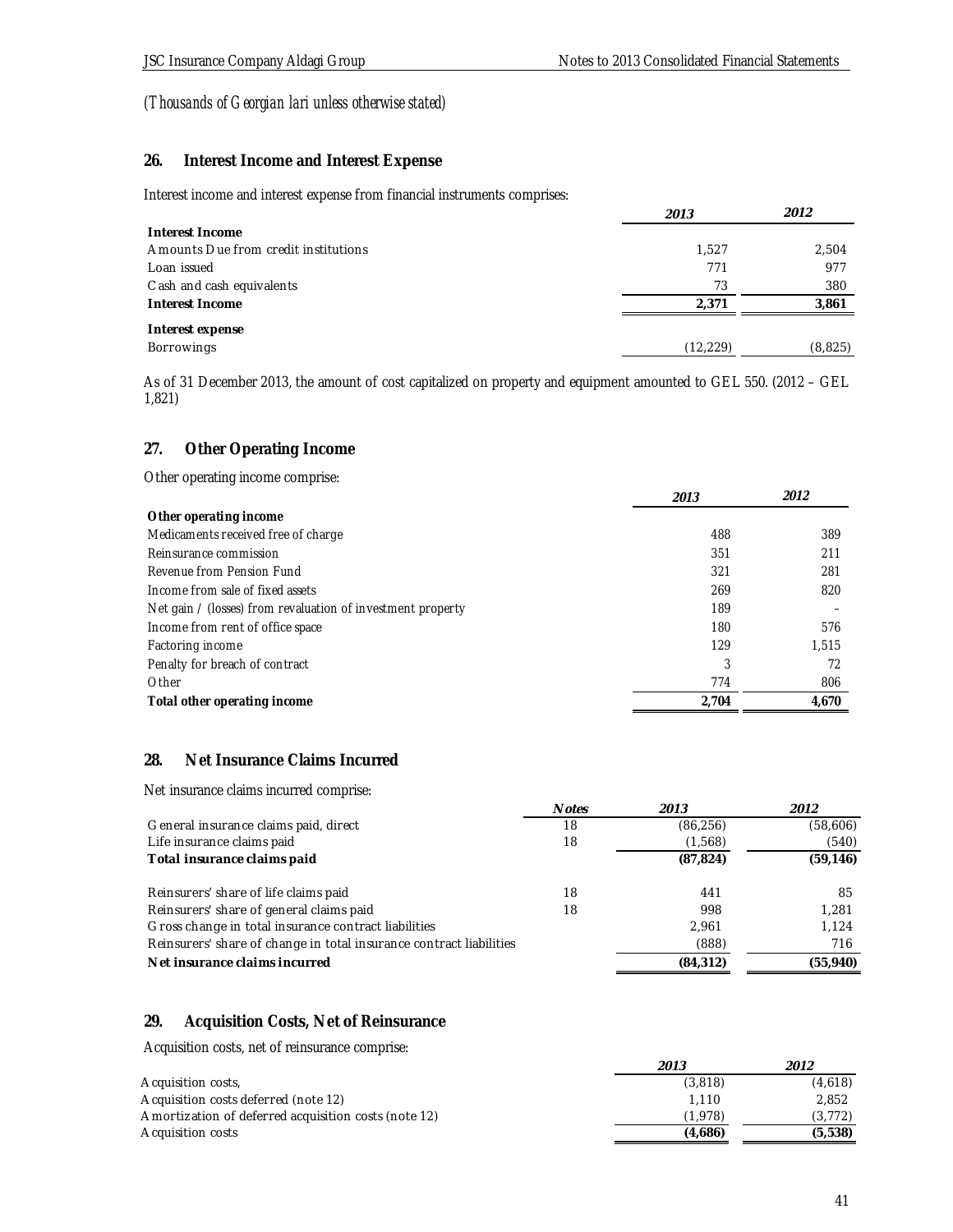## **26. Interest Income and Interest Expense**

Interest income and interest expense from financial instruments comprises:

|                                      | 2013      | 2012     |
|--------------------------------------|-----------|----------|
| Interest Income                      |           |          |
| Amounts Due from credit institutions | 1.527     | 2,504    |
| Loan issued                          | 771       | 977      |
| C ash and cash equivalents           | 73        | 380      |
| Interest Income                      | 2.371     | 3,861    |
| Interest expense                     |           |          |
| Borrowings                           | (12, 229) | (8, 825) |

As of 31 December 2013, the amount of cost capitalized on property and equipment amounted to GEL 550. (2012 – GEL 1,821)

### **27. Other Operating Income**

Other operating income comprise:

|                                                             | 2013  | 2012  |
|-------------------------------------------------------------|-------|-------|
| Other operating income                                      |       |       |
| Medicaments received free of charge                         | 488   | 389   |
| Reinsurance commission                                      | 351   | 211   |
| Revenue from Pension Fund                                   | 321   | 281   |
| Income from sale of fixed assets                            | 269   | 820   |
| Net gain / (losses) from revaluation of investment property | 189   |       |
| Income from rent of office space                            | 180   | 576   |
| Factoring income                                            | 129   | 1.515 |
| Penalty for breach of contract                              | 3     | 72    |
| Other                                                       | 774   | 806   |
| Total other operating income                                | 2.704 | 4,670 |

# **28. Net Insurance Claims Incurred**

Net insurance claims incurred comprise:

|                                                                     | Notes | 2013      | 2012      |
|---------------------------------------------------------------------|-------|-----------|-----------|
| General insurance claims paid, direct                               | 18    | (86, 256) | (58,606)  |
| Life insurance claims paid                                          | 18    | (1,568)   | (540)     |
| Total insurance claims paid                                         |       | (87, 824) | (59, 146) |
| Reinsurers' share of life claims paid                               | 18    | 441       | 85        |
| Reinsurers' share of general claims paid                            | 18    | 998       | 1.281     |
| Gross change in total insurance contract liabilities                |       | 2.961     | 1.124     |
| Reinsurers' share of change in total insurance contract liabilities | (888) | 716       |           |
| Net insurance claims incurred                                       |       | (84, 312) | (55, 940) |

# **29. Acquisition Costs, Net of Reinsurance**

Acquisition costs, net of reinsurance comprise:

|                                                      | 2013    | 2012    |
|------------------------------------------------------|---------|---------|
| Acquisition costs,                                   | (3,818) | (4.618) |
| Acquisition costs deferred (note 12)                 | 1.110   | 2.852   |
| Amortization of deferred acquisition costs (note 12) | (1.978) | (3.772) |
| Acquisition costs                                    | (4.686) | (5,538) |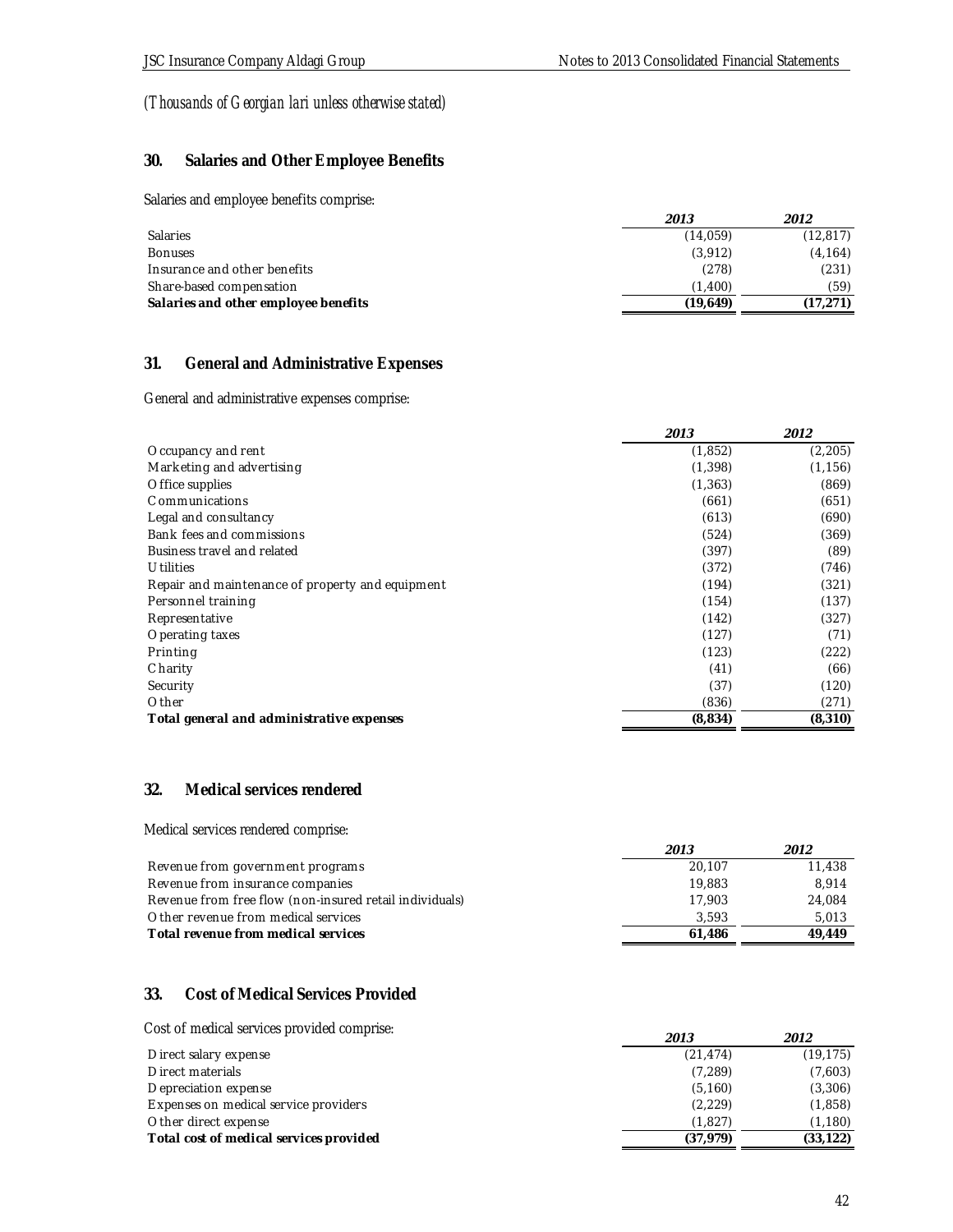## **30. Salaries and Other Employee Benefits**

Salaries and employee benefits comprise:

|                                      | 2013     | 2012      |
|--------------------------------------|----------|-----------|
| <b>Salaries</b>                      | (14.059) | (12, 817) |
| <b>Bonuses</b>                       | (3,912)  | (4, 164)  |
| Insurance and other benefits         | (278)    | (231)     |
| Share-based compensation             | (1.400)  | (59)      |
| Salaries and other employee benefits | (19.649) | (17.271   |

## **31. General and Administrative Expenses**

General and administrative expenses comprise:

|                                                  | 2013     | 2012     |
|--------------------------------------------------|----------|----------|
| Occupancy and rent                               | (1, 852) | (2, 205) |
| Marketing and advertising                        | (1, 398) | (1, 156) |
| Office supplies                                  | (1, 363) | (869)    |
| C ommunications                                  | (661)    | (651)    |
| Legal and consultancy                            | (613)    | (690)    |
| Bank fees and commissions                        | (524)    | (369)    |
| Business travel and related                      | (397)    | (89)     |
| <b>Utilities</b>                                 | (372)    | (746)    |
| Repair and maintenance of property and equipment | (194)    | (321)    |
| Personnel training                               | (154)    | (137)    |
| Representative                                   | (142)    | (327)    |
| Operating taxes                                  | (127)    | (71)     |
| Printing                                         | (123)    | (222)    |
| Charity                                          | (41)     | (66)     |
| Security                                         | (37)     | (120)    |
| Other                                            | (836)    | (271)    |
| Total general and administrative expenses        | (8,834)  | (8,310)  |

### **32. Medical services rendered**

Medical services rendered comprise:

|                                                         | 2013   | 2012   |
|---------------------------------------------------------|--------|--------|
| Revenue from government programs                        | 20.107 | 11,438 |
| Revenue from insurance companies                        | 19.883 | 8.914  |
| Revenue from free flow (non-insured retail individuals) | 17.903 | 24.084 |
| Other revenue from medical services                     | 3.593  | 5.013  |
| Total revenue from medical services                     | 61.486 | 49.449 |

### **33. Cost of Medical Services Provided**

Cost of medical services provided comprise:

| COST OF MEDICAL SELVICES DIOVIDED COMPLISE: | 2013      | 2012      |
|---------------------------------------------|-----------|-----------|
| Direct salary expense                       | (21, 474) | (19, 175) |
| Direct materials                            | (7, 289)  | (7,603)   |
| Depreciation expense                        | (5, 160)  | (3,306)   |
| Expenses on medical service providers       | (2, 229)  | (1,858)   |
| Other direct expense                        | (1.827)   | (1, 180)  |
| Total cost of medical services provided     | (37.979)  | (33, 122) |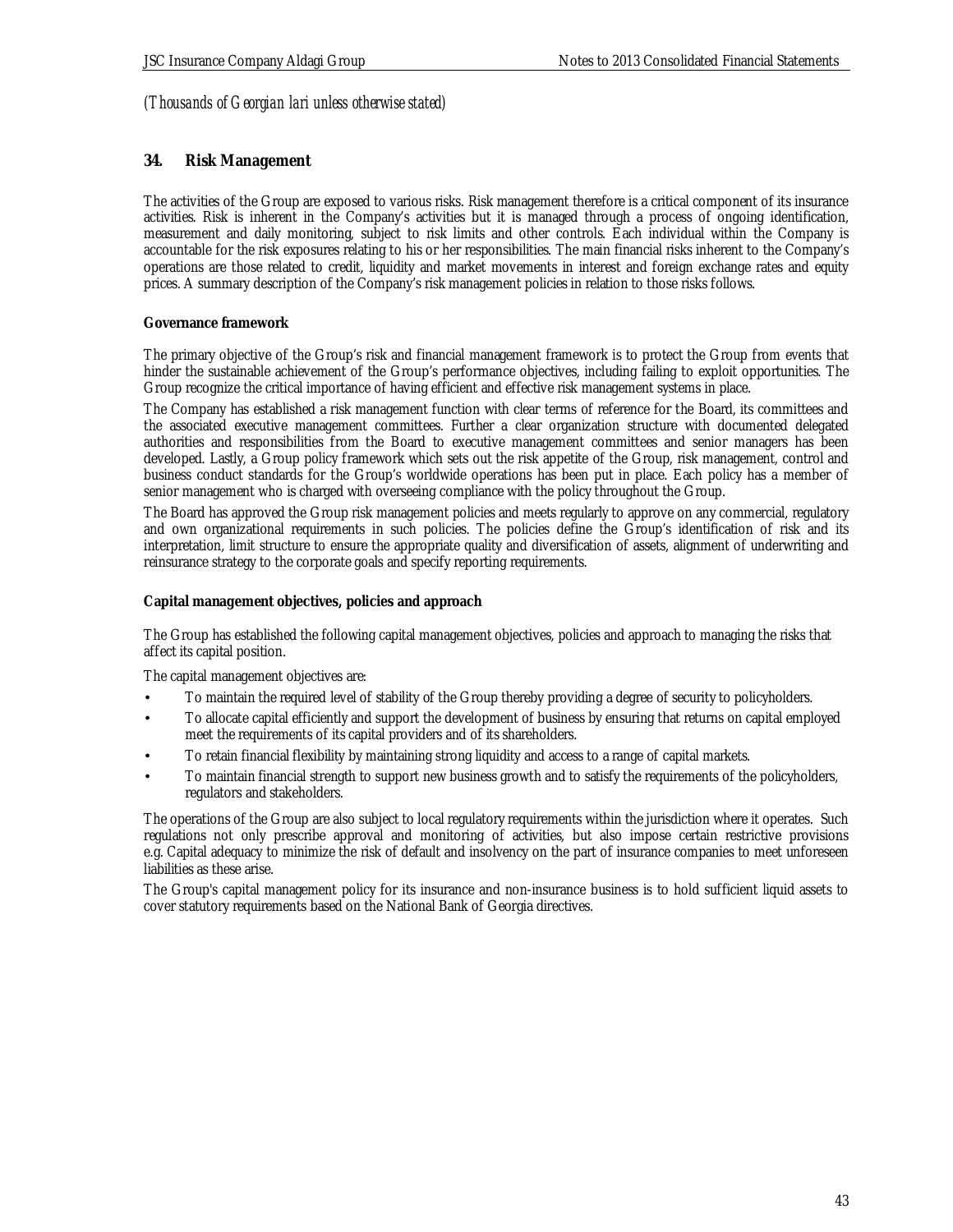### **34. Risk Management**

The activities of the Group are exposed to various risks. Risk management therefore is a critical component of its insurance activities. Risk is inherent in the Company's activities but it is managed through a process of ongoing identification, measurement and daily monitoring, subject to risk limits and other controls. Each individual within the Company is accountable for the risk exposures relating to his or her responsibilities. The main financial risks inherent to the Company's operations are those related to credit, liquidity and market movements in interest and foreign exchange rates and equity prices. A summary description of the Company's risk management policies in relation to those risks follows.

### **Governance framework**

The primary objective of the Group's risk and financial management framework is to protect the Group from events that hinder the sustainable achievement of the Group's performance objectives, including failing to exploit opportunities. The Group recognize the critical importance of having efficient and effective risk management systems in place.

The Company has established a risk management function with clear terms of reference for the Board, its committees and the associated executive management committees. Further a clear organization structure with documented delegated authorities and responsibilities from the Board to executive management committees and senior managers has been developed. Lastly, a Group policy framework which sets out the risk appetite of the Group, risk management, control and business conduct standards for the Group's worldwide operations has been put in place. Each policy has a member of senior management who is charged with overseeing compliance with the policy throughout the Group.

The Board has approved the Group risk management policies and meets regularly to approve on any commercial, regulatory and own organizational requirements in such policies. The policies define the Group's identification of risk and its interpretation, limit structure to ensure the appropriate quality and diversification of assets, alignment of underwriting and reinsurance strategy to the corporate goals and specify reporting requirements.

### **Capital management objectives, policies and approach**

The Group has established the following capital management objectives, policies and approach to managing the risks that affect its capital position.

The capital management objectives are:

- To maintain the required level of stability of the Group thereby providing a degree of security to policyholders.
- To allocate capital efficiently and support the development of business by ensuring that returns on capital employed meet the requirements of its capital providers and of its shareholders.
- To retain financial flexibility by maintaining strong liquidity and access to a range of capital markets.
- To maintain financial strength to support new business growth and to satisfy the requirements of the policyholders, regulators and stakeholders.

The operations of the Group are also subject to local regulatory requirements within the jurisdiction where it operates. Such regulations not only prescribe approval and monitoring of activities, but also impose certain restrictive provisions e.g. Capital adequacy to minimize the risk of default and insolvency on the part of insurance companies to meet unforeseen liabilities as these arise.

The Group's capital management policy for its insurance and non-insurance business is to hold sufficient liquid assets to cover statutory requirements based on the National Bank of Georgia directives.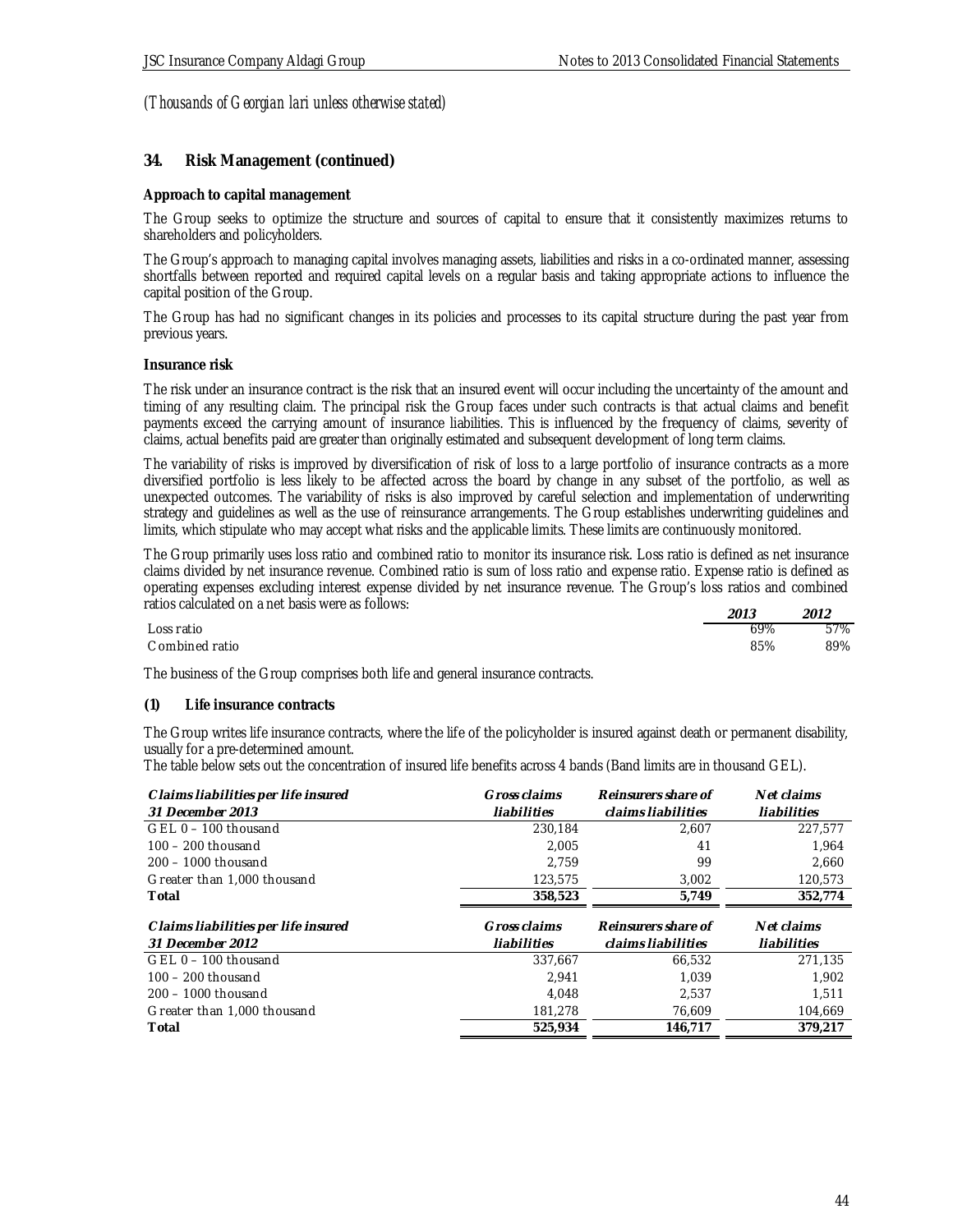### **34. Risk Management (continued)**

### **Approach to capital management**

The Group seeks to optimize the structure and sources of capital to ensure that it consistently maximizes returns to shareholders and policyholders.

The Group's approach to managing capital involves managing assets, liabilities and risks in a co-ordinated manner, assessing shortfalls between reported and required capital levels on a regular basis and taking appropriate actions to influence the capital position of the Group.

The Group has had no significant changes in its policies and processes to its capital structure during the past year from previous years.

#### **Insurance risk**

The risk under an insurance contract is the risk that an insured event will occur including the uncertainty of the amount and timing of any resulting claim. The principal risk the Group faces under such contracts is that actual claims and benefit payments exceed the carrying amount of insurance liabilities. This is influenced by the frequency of claims, severity of claims, actual benefits paid are greater than originally estimated and subsequent development of long term claims.

The variability of risks is improved by diversification of risk of loss to a large portfolio of insurance contracts as a more diversified portfolio is less likely to be affected across the board by change in any subset of the portfolio, as well as unexpected outcomes. The variability of risks is also improved by careful selection and implementation of underwriting strategy and guidelines as well as the use of reinsurance arrangements. The Group establishes underwriting guidelines and limits, which stipulate who may accept what risks and the applicable limits. These limits are continuously monitored.

The Group primarily uses loss ratio and combined ratio to monitor its insurance risk. Loss ratio is defined as net insurance claims divided by net insurance revenue. Combined ratio is sum of loss ratio and expense ratio. Expense ratio is defined as operating expenses excluding interest expense divided by net insurance revenue. The Group's loss ratios and combined ratios calculated on a net basis were as follows:

|                 | 2013 | 2012 |
|-----------------|------|------|
| Loss ratio      | 69%  | 57%  |
| C ombined ratio | 85%  | 89%  |

The business of the Group comprises both life and general insurance contracts.

#### **(1) Life insurance contracts**

The Group writes life insurance contracts, where the life of the policyholder is insured against death or permanent disability, usually for a pre-determined amount.

The table below sets out the concentration of insured life benefits across 4 bands (Band limits are in thousand GEL).

| Claims liabilities per life insured<br>31 December 2013 | Gross claims<br>liabilities | Reinsurers share of<br>claims liabilities | Net claims<br>liabilities |
|---------------------------------------------------------|-----------------------------|-------------------------------------------|---------------------------|
| $GEL 0 - 100$ thousand                                  | 230.184                     | 2,607                                     | 227,577                   |
| $100 - 200$ thousand                                    | 2.005                       | 41                                        | 1.964                     |
| $200 - 1000$ thousand                                   | 2.759                       | 99                                        | 2.660                     |
| Greater than 1,000 thousand                             | 123,575                     | 3,002                                     | 120,573                   |
| Total                                                   | 358,523                     | 5,749                                     | 352,774                   |
| Claims liabilities per life insured<br>31 December 2012 | Gross claims<br>liabilities | Reinsurers share of<br>claims liabilities | Net claims<br>liabilities |
| GEL 0 - 100 thousand                                    | 337,667                     | 66,532                                    | 271.135                   |
| $100 - 200$ thousand                                    | 2.941                       | 1.039                                     | 1.902                     |
| $200 - 1000$ thousand                                   | 4.048                       | 2.537                                     | 1.511                     |
| Greater than 1,000 thousand                             | 181,278                     | 76,609                                    | 104,669                   |
| Total                                                   | 525,934                     | 146.717                                   | 379.217                   |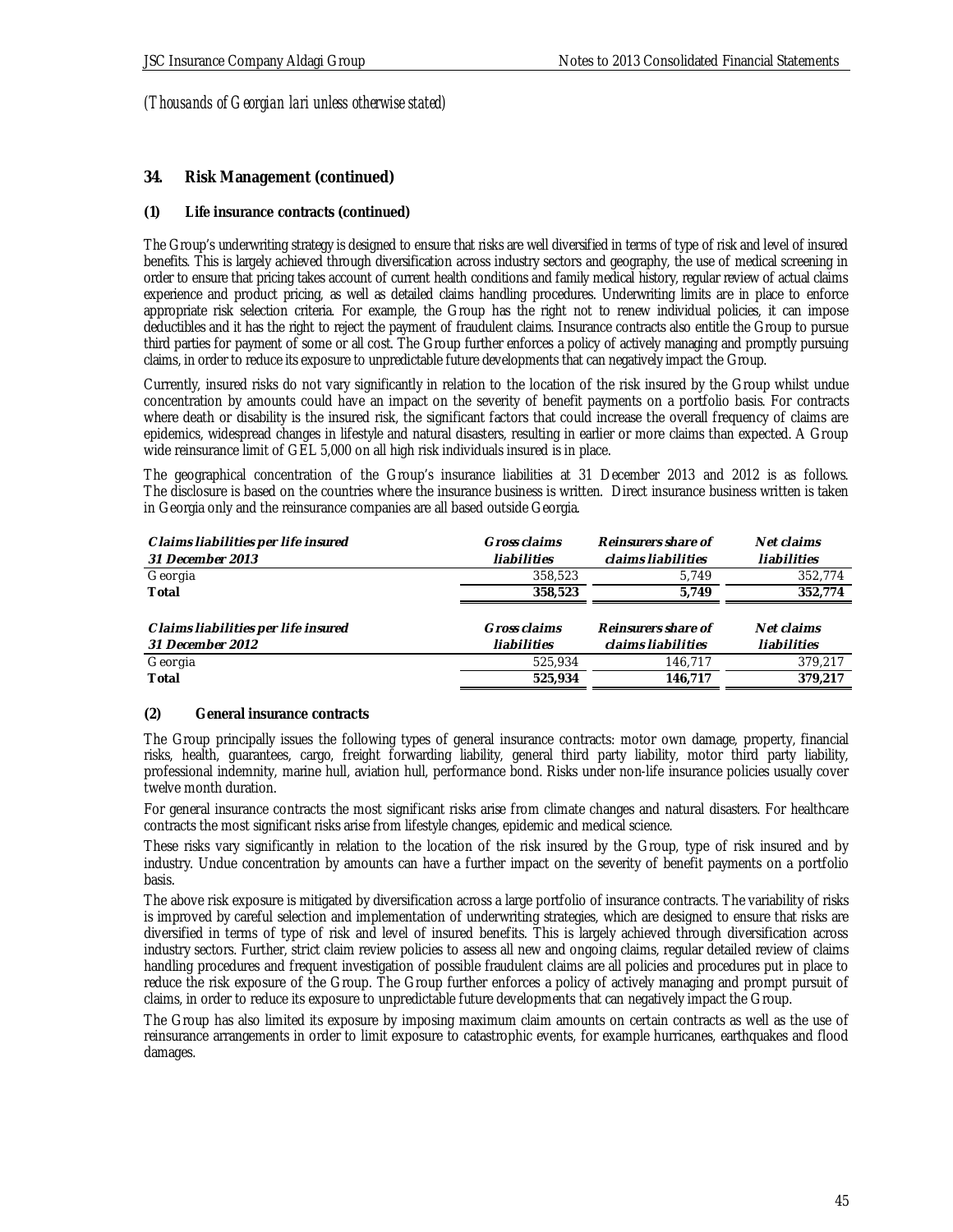### **34. Risk Management (continued)**

### **(1) Life insurance contracts (continued)**

The Group's underwriting strategy is designed to ensure that risks are well diversified in terms of type of risk and level of insured benefits. This is largely achieved through diversification across industry sectors and geography, the use of medical screening in order to ensure that pricing takes account of current health conditions and family medical history, regular review of actual claims experience and product pricing, as well as detailed claims handling procedures. Underwriting limits are in place to enforce appropriate risk selection criteria. For example, the Group has the right not to renew individual policies, it can impose deductibles and it has the right to reject the payment of fraudulent claims. Insurance contracts also entitle the Group to pursue third parties for payment of some or all cost. The Group further enforces a policy of actively managing and promptly pursuing claims, in order to reduce its exposure to unpredictable future developments that can negatively impact the Group.

Currently, insured risks do not vary significantly in relation to the location of the risk insured by the Group whilst undue concentration by amounts could have an impact on the severity of benefit payments on a portfolio basis. For contracts where death or disability is the insured risk, the significant factors that could increase the overall frequency of claims are epidemics, widespread changes in lifestyle and natural disasters, resulting in earlier or more claims than expected. A Group wide reinsurance limit of GEL 5,000 on all high risk individuals insured is in place.

The geographical concentration of the Group's insurance liabilities at 31 December 2013 and 2012 is as follows. The disclosure is based on the countries where the insurance business is written. Direct insurance business written is taken in Georgia only and the reinsurance companies are all based outside Georgia.

| Claims liabilities per life insured | Gross claims | Reinsurers share of | Net claims  |
|-------------------------------------|--------------|---------------------|-------------|
| 31 December 2013                    | liabilities  | claims liabilities  | liabilities |
| Georgia                             | 358,523      | 5.749               | 352.774     |
| Total                               | 358,523      | 5.749               | 352.774     |
|                                     |              |                     |             |
| Claims liabilities per life insured | Gross claims | Reinsurers share of | Net claims  |
| 31 December 2012                    | liabilities  | claims liabilities  | liabilities |
| Georgia                             | 525.934      | 146.717             | 379.217     |
| Total                               | 525.934      | 146.717             | 379.217     |

#### **(2) General insurance contracts**

The Group principally issues the following types of general insurance contracts: motor own damage, property, financial risks, health, guarantees, cargo, freight forwarding liability, general third party liability, motor third party liability, professional indemnity, marine hull, aviation hull, performance bond. Risks under non-life insurance policies usually cover twelve month duration.

For general insurance contracts the most significant risks arise from climate changes and natural disasters. For healthcare contracts the most significant risks arise from lifestyle changes, epidemic and medical science.

These risks vary significantly in relation to the location of the risk insured by the Group, type of risk insured and by industry. Undue concentration by amounts can have a further impact on the severity of benefit payments on a portfolio basis.

The above risk exposure is mitigated by diversification across a large portfolio of insurance contracts. The variability of risks is improved by careful selection and implementation of underwriting strategies, which are designed to ensure that risks are diversified in terms of type of risk and level of insured benefits. This is largely achieved through diversification across industry sectors. Further, strict claim review policies to assess all new and ongoing claims, regular detailed review of claims handling procedures and frequent investigation of possible fraudulent claims are all policies and procedures put in place to reduce the risk exposure of the Group. The Group further enforces a policy of actively managing and prompt pursuit of claims, in order to reduce its exposure to unpredictable future developments that can negatively impact the Group.

The Group has also limited its exposure by imposing maximum claim amounts on certain contracts as well as the use of reinsurance arrangements in order to limit exposure to catastrophic events, for example hurricanes, earthquakes and flood damages.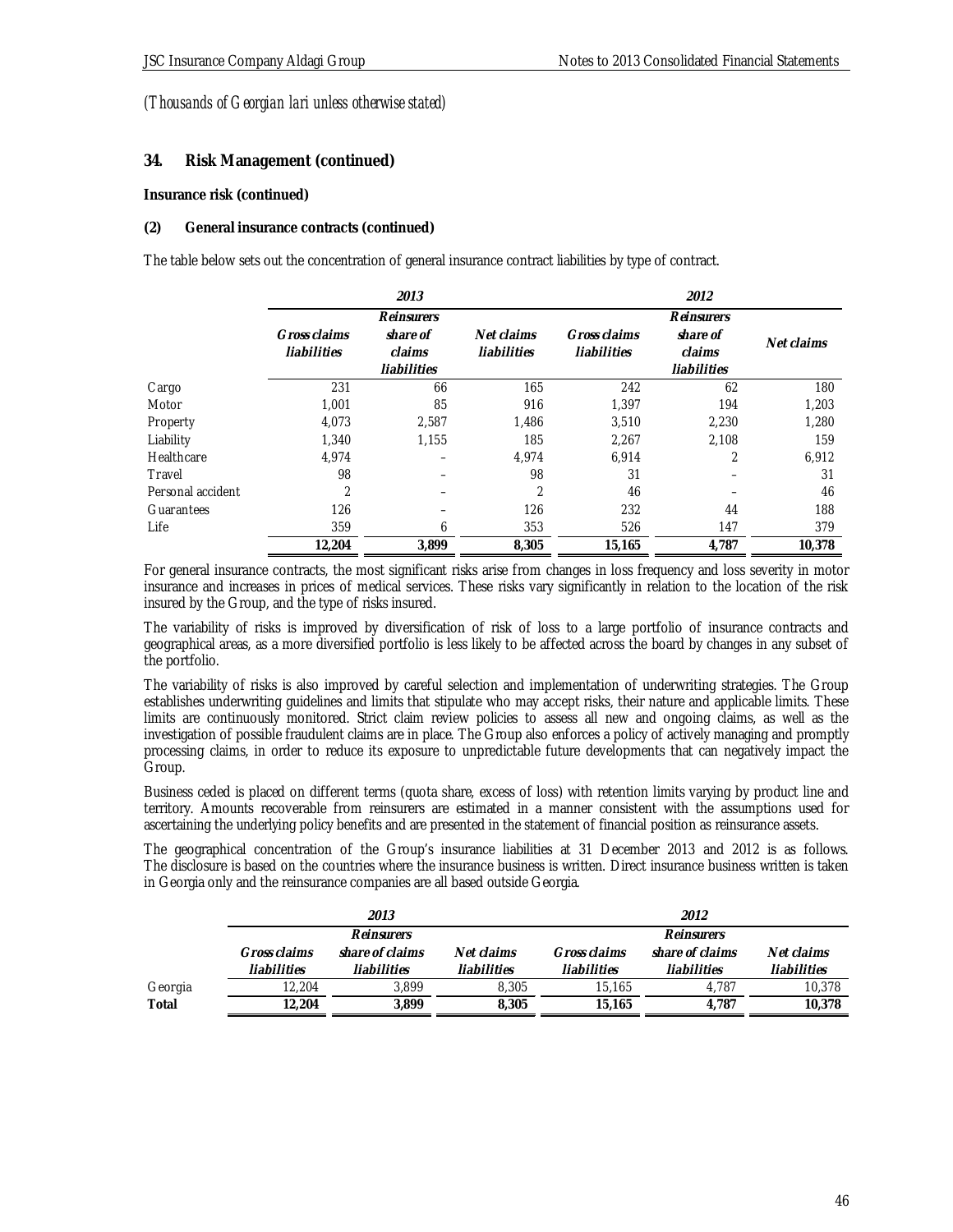## **34. Risk Management (continued)**

**Insurance risk (continued)**

### **(2) General insurance contracts (continued)**

The table below sets out the concentration of general insurance contract liabilities by type of contract.

|                   |                | 2013        |                |              | 2012        |            |
|-------------------|----------------|-------------|----------------|--------------|-------------|------------|
|                   |                | Reinsurers  |                |              | Reinsurers  |            |
|                   | Gross claims   | share of    | Net claims     | Gross claims | share of    | Net claims |
|                   | liabilities    | claims      | liabilities    | liabilities  | claims      |            |
|                   |                | liabilities |                |              | liabilities |            |
| Cargo             | 231            | 66          | 165            | 242          | 62          | 180        |
| Motor             | 1,001          | 85          | 916            | 1,397        | 194         | 1,203      |
| Property          | 4.073          | 2,587       | 1,486          | 3,510        | 2.230       | 1.280      |
| Liability         | 1.340          | 1.155       | 185            | 2,267        | 2.108       | 159        |
| Healthcare        | 4,974          |             | 4,974          | 6,914        |             | 6,912      |
| Travel            | 98             |             | 98             | 31           |             | 31         |
| Personal accident | $\overline{2}$ |             | $\overline{2}$ | 46           |             | 46         |
| Guarantees        | 126            |             | 126            | 232          | 44          | 188        |
| Life              | 359            | 6           | 353            | 526          | 147         | 379        |
|                   | 12,204         | 3,899       | 8,305          | 15,165       | 4,787       | 10,378     |

For general insurance contracts, the most significant risks arise from changes in loss frequency and loss severity in motor insurance and increases in prices of medical services. These risks vary significantly in relation to the location of the risk insured by the Group, and the type of risks insured.

The variability of risks is improved by diversification of risk of loss to a large portfolio of insurance contracts and geographical areas, as a more diversified portfolio is less likely to be affected across the board by changes in any subset of the portfolio.

The variability of risks is also improved by careful selection and implementation of underwriting strategies. The Group establishes underwriting guidelines and limits that stipulate who may accept risks, their nature and applicable limits. These limits are continuously monitored. Strict claim review policies to assess all new and ongoing claims, as well as the investigation of possible fraudulent claims are in place. The Group also enforces a policy of actively managing and promptly processing claims, in order to reduce its exposure to unpredictable future developments that can negatively impact the Group.

Business ceded is placed on different terms (quota share, excess of loss) with retention limits varying by product line and territory. Amounts recoverable from reinsurers are estimated in a manner consistent with the assumptions used for ascertaining the underlying policy benefits and are presented in the statement of financial position as reinsurance assets.

The geographical concentration of the Group's insurance liabilities at 31 December 2013 and 2012 is as follows. The disclosure is based on the countries where the insurance business is written. Direct insurance business written is taken in Georgia only and the reinsurance companies are all based outside Georgia.

|         | 2013         |                 |             | 2012         |                 |             |
|---------|--------------|-----------------|-------------|--------------|-----------------|-------------|
|         |              | Reinsurers      |             |              | Reinsurers      |             |
|         | Gross claims | share of claims | Net claims  | Gross claims | share of claims | Net claims  |
|         | liabilities  | liabilities     | liabilities | liabilities  | liabilities     | liabilities |
| Georgia | 12.204       | 3.899           | 8.305       | 15.165       | 4.787           | 10.378      |
| Total   | 12.204       | 3.899           | 8,305       | 15.165       | 4.787           | 10,378      |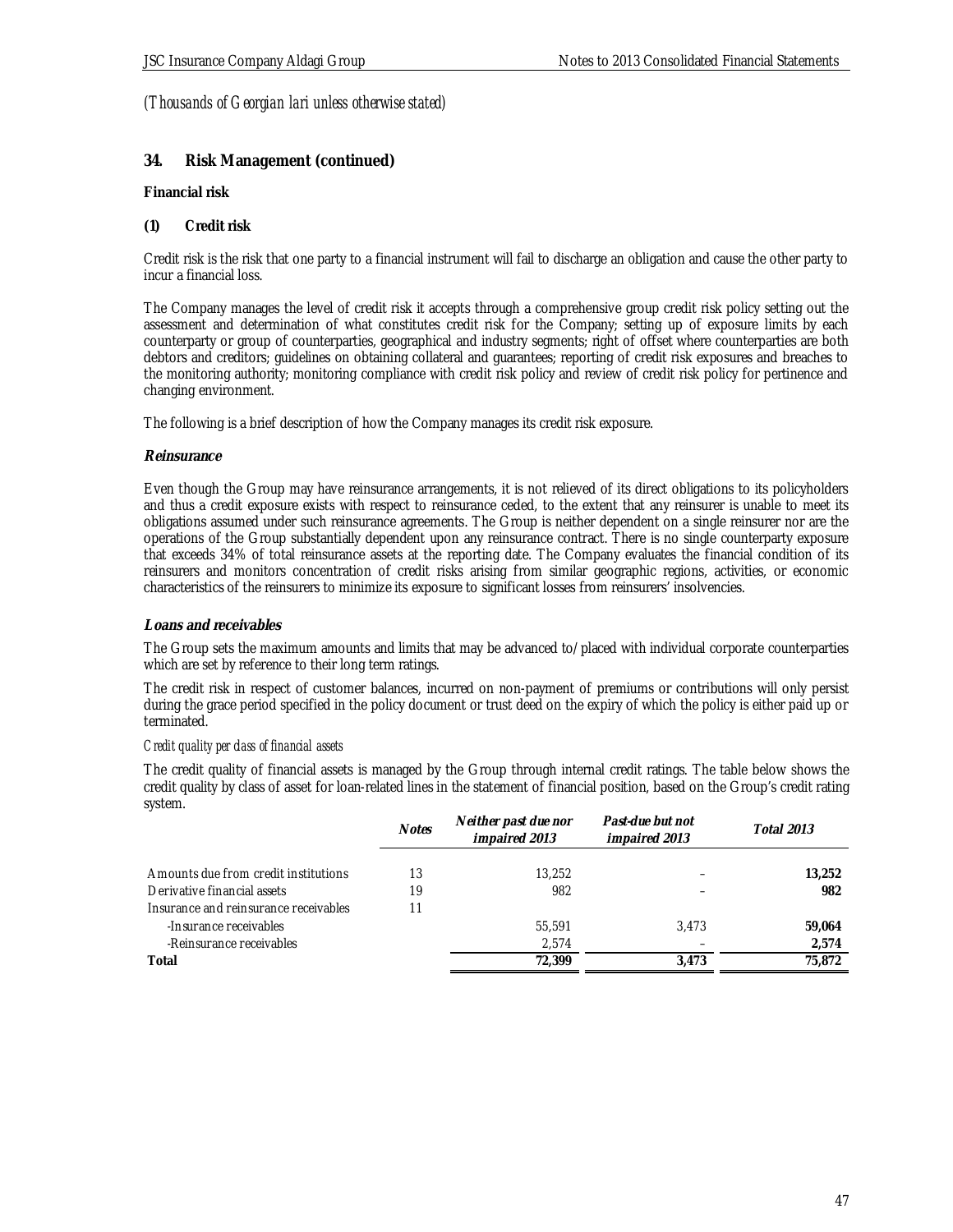### **34. Risk Management (continued)**

**Financial risk**

**(1) Credit risk**

Credit risk is the risk that one party to a financial instrument will fail to discharge an obligation and cause the other party to incur a financial loss.

The Company manages the level of credit risk it accepts through a comprehensive group credit risk policy setting out the assessment and determination of what constitutes credit risk for the Company; setting up of exposure limits by each counterparty or group of counterparties, geographical and industry segments; right of offset where counterparties are both debtors and creditors; guidelines on obtaining collateral and guarantees; reporting of credit risk exposures and breaches to the monitoring authority; monitoring compliance with credit risk policy and review of credit risk policy for pertinence and changing environment.

The following is a brief description of how the Company manages its credit risk exposure.

### **Reinsurance**

Even though the Group may have reinsurance arrangements, it is not relieved of its direct obligations to its policyholders and thus a credit exposure exists with respect to reinsurance ceded, to the extent that any reinsurer is unable to meet its obligations assumed under such reinsurance agreements. The Group is neither dependent on a single reinsurer nor are the operations of the Group substantially dependent upon any reinsurance contract. There is no single counterparty exposure that exceeds 34% of total reinsurance assets at the reporting date. The Company evaluates the financial condition of its reinsurers and monitors concentration of credit risks arising from similar geographic regions, activities, or economic characteristics of the reinsurers to minimize its exposure to significant losses from reinsurers' insolvencies.

### **Loans and receivables**

The Group sets the maximum amounts and limits that may be advanced to/placed with individual corporate counterparties which are set by reference to their long term ratings.

The credit risk in respect of customer balances, incurred on non-payment of premiums or contributions will only persist during the grace period specified in the policy document or trust deed on the expiry of which the policy is either paid up or terminated.

#### *Credit quality per class of financial assets*

The credit quality of financial assets is managed by the Group through internal credit ratings. The table below shows the credit quality by class of asset for loan-related lines in the statement of financial position, based on the Group's credit rating system.

|                                       | <b>Notes</b> | Neither past due nor<br>impaired 2013 | Past-due but not<br>impaired 2013 | Total 2013 |
|---------------------------------------|--------------|---------------------------------------|-----------------------------------|------------|
| Amounts due from credit institutions  | 13           | 13,252                                |                                   | 13,252     |
| Derivative financial assets           | 19           | 982                                   |                                   | 982        |
| Insurance and reinsurance receivables |              |                                       |                                   |            |
| -Insurance receivables                |              | 55.591                                | 3.473                             | 59.064     |
| -Reinsurance receivables              |              | 2.574                                 |                                   | 2,574      |
| Total                                 |              | 72,399                                | 3.473                             | 75.872     |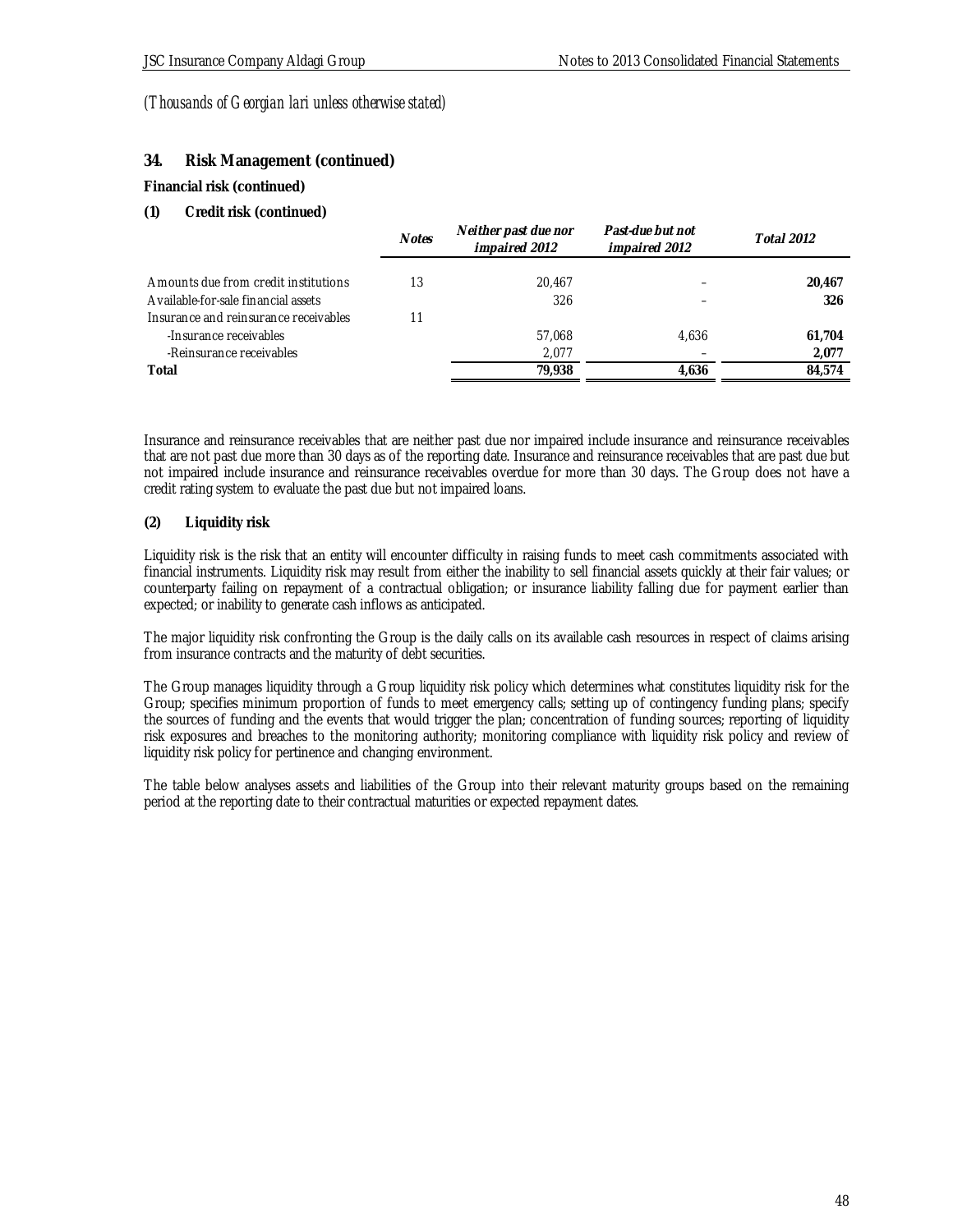# **34. Risk Management (continued)**

### **Financial risk (continued)**

### **(1) Credit risk (continued)**

|                                       | <b>Notes</b> | Neither past due nor<br>impaired 2012 | Past-due but not<br>impaired 2012 | <b>Total 2012</b> |
|---------------------------------------|--------------|---------------------------------------|-----------------------------------|-------------------|
| Amounts due from credit institutions  | 13           | 20.467                                |                                   | 20,467            |
| Available-for-sale financial assets   |              | 326                                   |                                   | 326               |
| Insurance and reinsurance receivables | 11           |                                       |                                   |                   |
| -Insurance receivables                |              | 57.068                                | 4.636                             | 61,704            |
| -Reinsurance receivables              |              | 2.077                                 |                                   | 2,077             |
| Total                                 |              | 79.938                                | 4,636                             | 84.574            |

Insurance and reinsurance receivables that are neither past due nor impaired include insurance and reinsurance receivables that are not past due more than 30 days as of the reporting date. Insurance and reinsurance receivables that are past due but not impaired include insurance and reinsurance receivables overdue for more than 30 days. The Group does not have a credit rating system to evaluate the past due but not impaired loans.

### **(2) Liquidity risk**

Liquidity risk is the risk that an entity will encounter difficulty in raising funds to meet cash commitments associated with financial instruments. Liquidity risk may result from either the inability to sell financial assets quickly at their fair values; or counterparty failing on repayment of a contractual obligation; or insurance liability falling due for payment earlier than expected; or inability to generate cash inflows as anticipated.

The major liquidity risk confronting the Group is the daily calls on its available cash resources in respect of claims arising from insurance contracts and the maturity of debt securities.

The Group manages liquidity through a Group liquidity risk policy which determines what constitutes liquidity risk for the Group; specifies minimum proportion of funds to meet emergency calls; setting up of contingency funding plans; specify the sources of funding and the events that would trigger the plan; concentration of funding sources; reporting of liquidity risk exposures and breaches to the monitoring authority; monitoring compliance with liquidity risk policy and review of liquidity risk policy for pertinence and changing environment.

The table below analyses assets and liabilities of the Group into their relevant maturity groups based on the remaining period at the reporting date to their contractual maturities or expected repayment dates.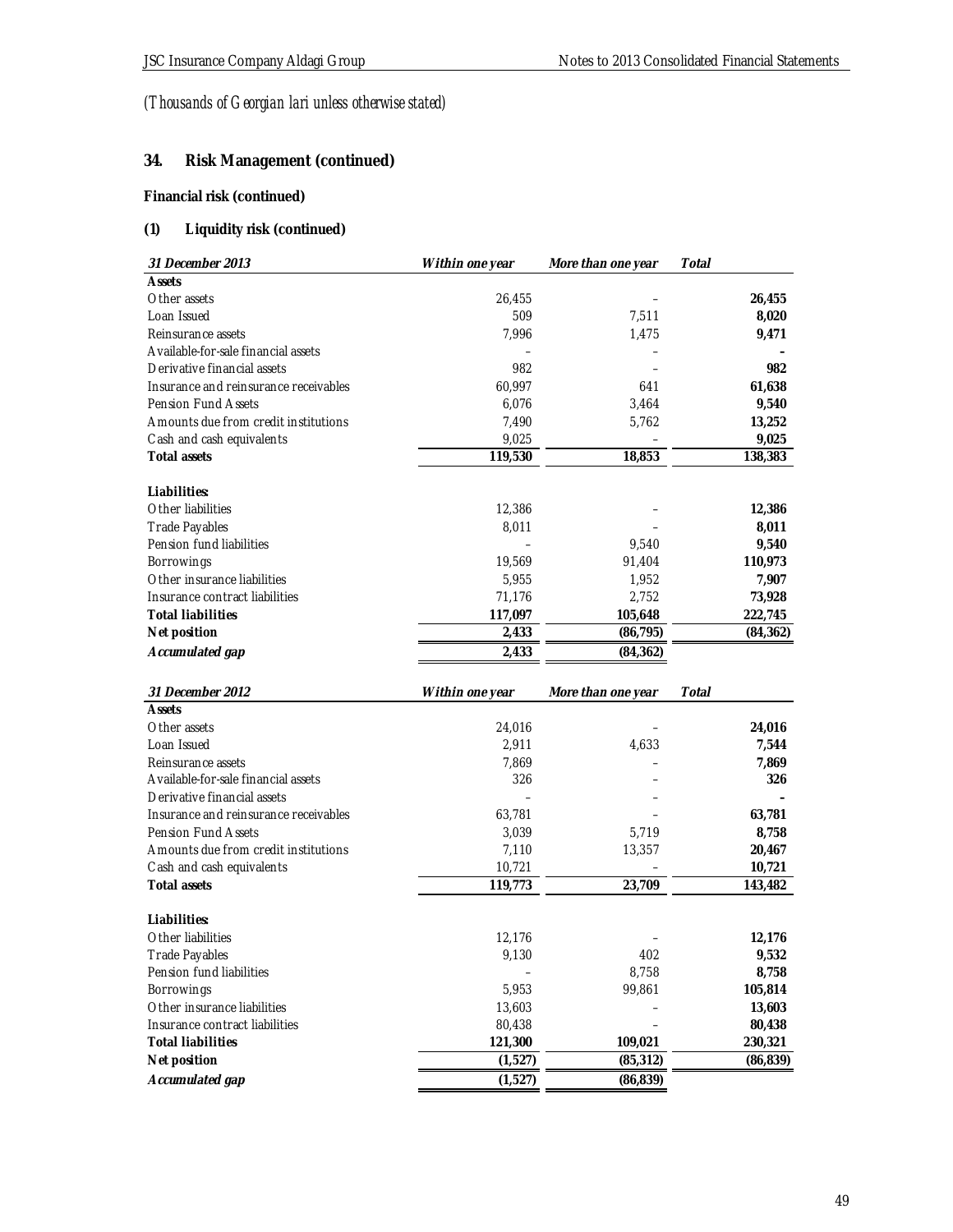# **34. Risk Management (continued)**

# **Financial risk (continued)**

# **(1) Liquidity risk (continued)**

| 31 December 2013                      | Within one year | More than one year | Total     |
|---------------------------------------|-----------------|--------------------|-----------|
| <b>Assets</b>                         |                 |                    |           |
| Other assets                          | 26,455          |                    | 26,455    |
| Loan Issued                           | 509             | 7,511              | 8,020     |
| Reinsurance assets                    | 7,996           | 1,475              | 9,471     |
| Available-for-sale financial assets   |                 |                    |           |
| Derivative financial assets           | 982             |                    | 982       |
| Insurance and reinsurance receivables | 60,997          | 641                | 61,638    |
| <b>Pension Fund Assets</b>            | 6,076           | 3,464              | 9,540     |
| Amounts due from credit institutions  | 7,490           | 5,762              | 13,252    |
| Cash and cash equivalents             | 9,025           |                    | 9,025     |
| Total assets                          | 119,530         | 18,853             | 138,383   |
| Liabilities:                          |                 |                    |           |
| Other liabilities                     | 12,386          |                    | 12,386    |
| Trade Payables                        | 8,011           |                    | 8,011     |
| Pension fund liabilities              |                 | 9,540              | 9,540     |
| Borrowings                            | 19,569          | 91,404             | 110,973   |
| Other insurance liabilities           | 5,955           | 1,952              | 7,907     |
| Insurance contract liabilities        | 71,176          | 2,752              | 73,928    |
| <b>Total liabilities</b>              | 117,097         | 105,648            | 222,745   |
| Net position                          | 2,433           | (86, 795)          | (84, 362) |
| Accumulated gap                       | 2,433           | (84, 362)          |           |
|                                       |                 |                    |           |
|                                       |                 |                    |           |
| 31 December 2012                      | Within one year | More than one year | Total     |
| <b>Assets</b>                         |                 |                    |           |
| Other assets                          | 24,016          |                    | 24,016    |
| Loan Issued                           | 2,911           | 4,633              | 7,544     |
| Reinsurance assets                    | 7,869           |                    | 7,869     |
| Available-for-sale financial assets   | 326             |                    | 326       |
| Derivative financial assets           |                 |                    |           |
| Insurance and reinsurance receivables | 63,781          |                    | 63,781    |
| <b>Pension Fund Assets</b>            | 3,039           | 5,719              | 8,758     |
| Amounts due from credit institutions  | 7,110           | 13,357             | 20,467    |
| Cash and cash equivalents             | 10,721          |                    | 10,721    |
| Total assets                          | 119,773         | 23,709             | 143,482   |
| Liabilities:                          |                 |                    |           |
| Other liabilities                     | 12,176          |                    | 12,176    |
| Trade Payables                        | 9,130           | 402                | 9,532     |
| Pension fund liabilities              |                 | 8,758              | 8,758     |
| Borrowings                            | 5,953           | 99,861             | 105,814   |
| Other insurance liabilities           | 13,603          |                    | 13,603    |
| Insurance contract liabilities        | 80,438          |                    | 80,438    |
| <b>Total liabilities</b>              | 121,300         | 109,021            | 230,321   |
| Net position<br>Accumulated gap       | (1,527)         | (85, 312)          | (86, 839) |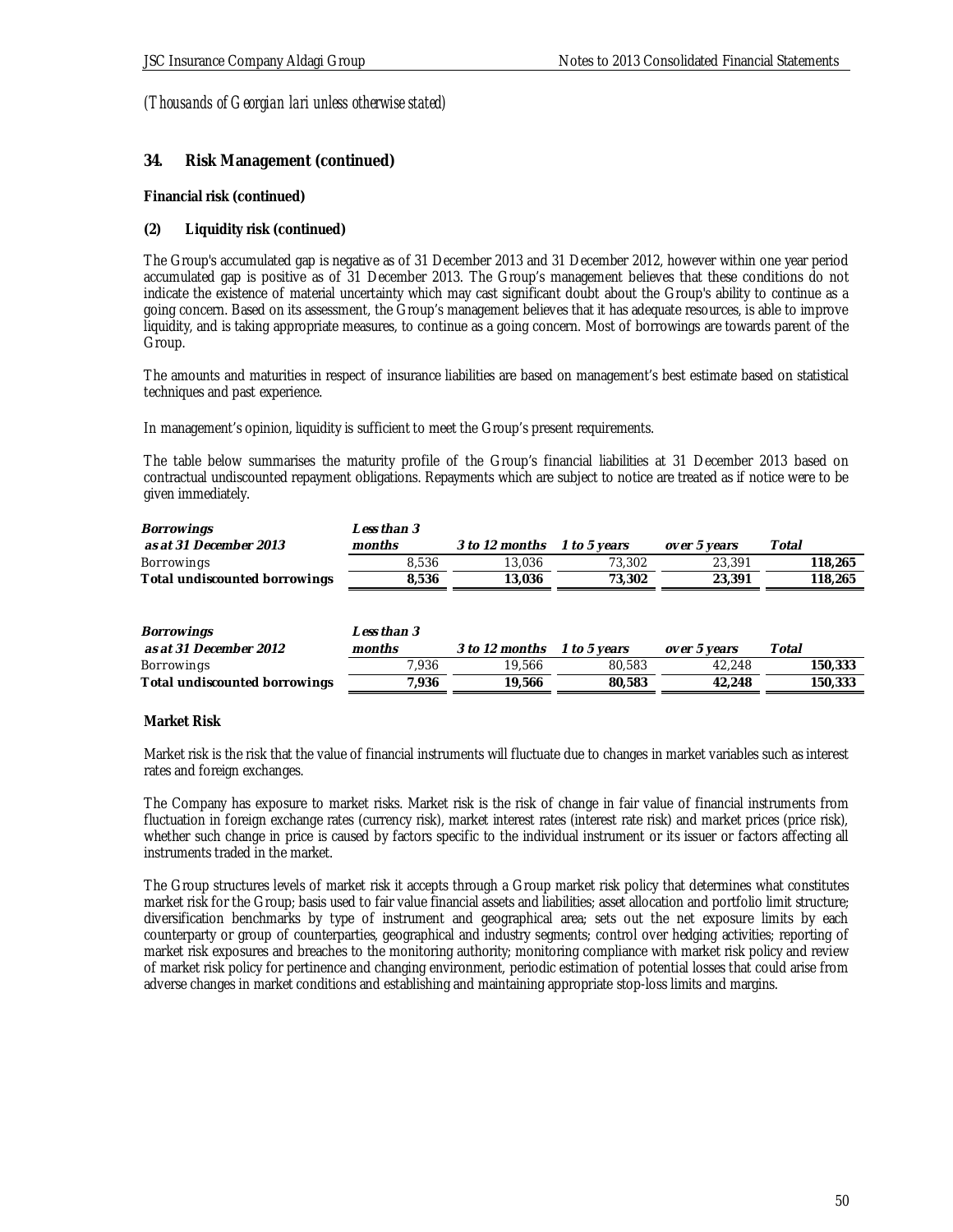### **34. Risk Management (continued)**

**Financial risk (continued)**

#### **(2) Liquidity risk (continued)**

The Group's accumulated gap is negative as of 31 December 2013 and 31 December 2012, however within one year period accumulated gap is positive as of 31 December 2013. The Group's management believes that these conditions do not indicate the existence of material uncertainty which may cast significant doubt about the Group's ability to continue as a going concern. Based on its assessment, the Group's management believes that it has adequate resources, is able to improve liquidity, and is taking appropriate measures, to continue as a going concern. Most of borrowings are towards parent of the Group.

The amounts and maturities in respect of insurance liabilities are based on management's best estimate based on statistical techniques and past experience.

In management's opinion, liquidity is sufficient to meet the Group's present requirements.

The table below summarises the maturity profile of the Group's financial liabilities at 31 December 2013 based on contractual undiscounted repayment obligations. Repayments which are subject to notice are treated as if notice were to be given immediately.

| Borrowings                    | Less than 3 |                |                     |              |         |
|-------------------------------|-------------|----------------|---------------------|--------------|---------|
| as at 31 December 2013        | months      | 3 to 12 months | <i>1 to 5 vears</i> | over 5 years | Total   |
| Borrowings                    | 8.536       | 13.036         | 73.302              | 23,391       | 118,265 |
| Total undiscounted borrowings | 8.536       | 13.036         | 73.302              | 23,391       | 118,265 |

| Borrowings                    | Less than 3 |                |                     |              |         |
|-------------------------------|-------------|----------------|---------------------|--------------|---------|
| as at 31 December 2012        | months      | 3 to 12 months | <i>1 to 5 vears</i> | over 5 years | Total   |
| Borrowings                    | 7,936       | 19.566         | 80.583              | 42.248       | 150,333 |
| Total undiscounted borrowings | 7.936       | 19.566         | 80.583              | 42.248       | 150,333 |

#### **Market Risk**

Market risk is the risk that the value of financial instruments will fluctuate due to changes in market variables such as interest rates and foreign exchanges.

The Company has exposure to market risks. Market risk is the risk of change in fair value of financial instruments from fluctuation in foreign exchange rates (currency risk), market interest rates (interest rate risk) and market prices (price risk), whether such change in price is caused by factors specific to the individual instrument or its issuer or factors affecting all instruments traded in the market.

The Group structures levels of market risk it accepts through a Group market risk policy that determines what constitutes market risk for the Group; basis used to fair value financial assets and liabilities; asset allocation and portfolio limit structure; diversification benchmarks by type of instrument and geographical area; sets out the net exposure limits by each counterparty or group of counterparties, geographical and industry segments; control over hedging activities; reporting of market risk exposures and breaches to the monitoring authority; monitoring compliance with market risk policy and review of market risk policy for pertinence and changing environment, periodic estimation of potential losses that could arise from adverse changes in market conditions and establishing and maintaining appropriate stop-loss limits and margins.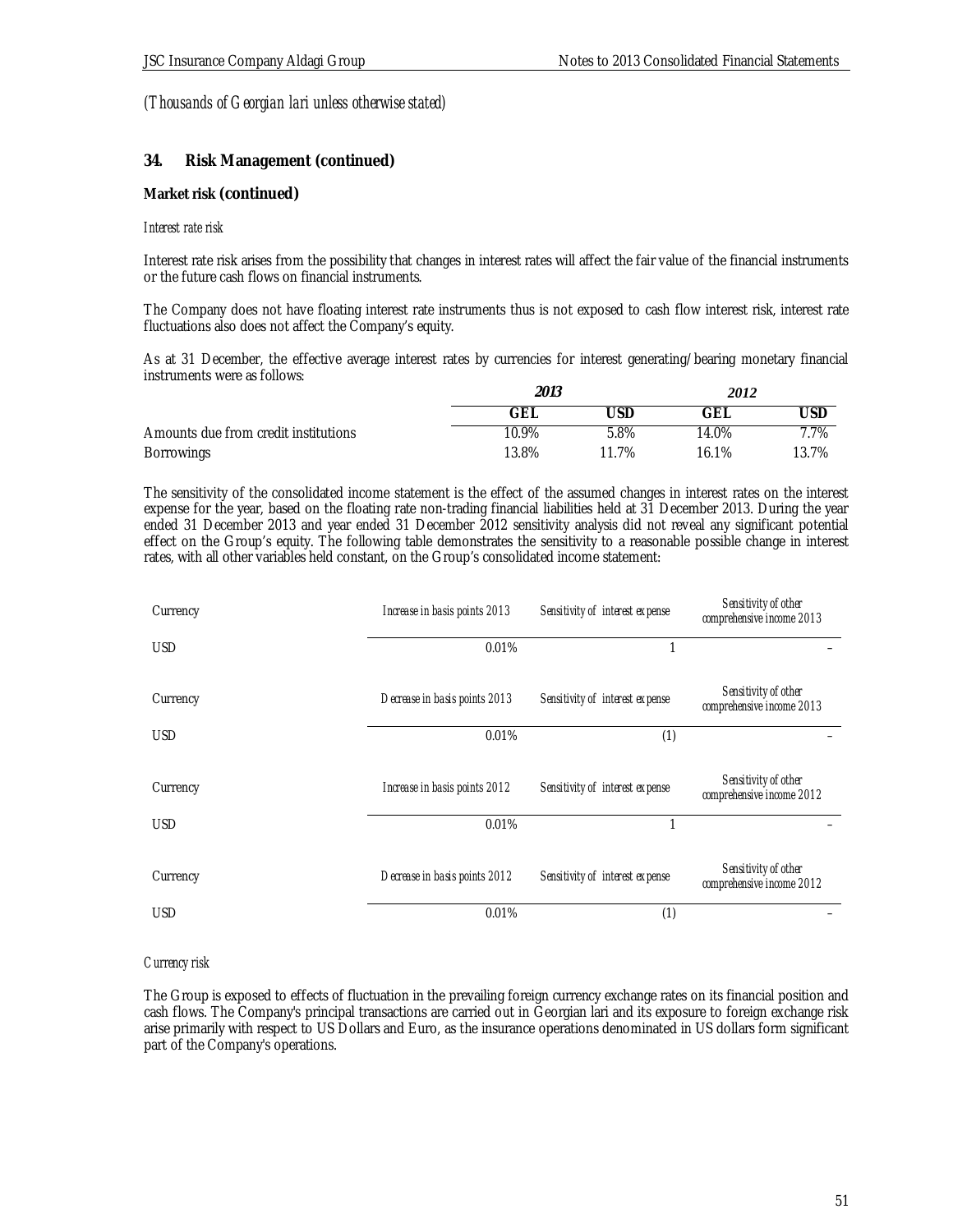### **34. Risk Management (continued)**

#### **Market risk (continued)**

#### *Interest rate risk*

Interest rate risk arises from the possibility that changes in interest rates will affect the fair value of the financial instruments or the future cash flows on financial instruments.

The Company does not have floating interest rate instruments thus is not exposed to cash flow interest risk, interest rate fluctuations also does not affect the Company's equity.

As at 31 December, the effective average interest rates by currencies for interest generating/bearing monetary financial instruments were as follows:

|                                      | 2013  |            | 2012       |       |
|--------------------------------------|-------|------------|------------|-------|
|                                      | GЕ    | <b>JSF</b> | <b>GEL</b> | 'JSL  |
| Amounts due from credit institutions | 10.9% | 5.8%       | 14.0%      | 7.7%  |
| <b>Borrowings</b>                    | 13.8% | 11.7%      | 16.1%      | 13.7% |

The sensitivity of the consolidated income statement is the effect of the assumed changes in interest rates on the interest expense for the year, based on the floating rate non-trading financial liabilities held at 31 December 2013. During the year ended 31 December 2013 and year ended 31 December 2012 sensitivity analysis did not reveal any significant potential effect on the Group's equity. The following table demonstrates the sensitivity to a reasonable possible change in interest rates, with all other variables held constant, on the Group's consolidated income statement:

| Currency   | Increase in basis points 2013 | Sensitivity of interest expense | Sensitivity of other<br>comprehensive income 2013 |
|------------|-------------------------------|---------------------------------|---------------------------------------------------|
| <b>USD</b> | 0.01%                         |                                 |                                                   |
| Currency   | Decrease in basis points 2013 | Sensitivity of interest expense | Sensitivity of other<br>comprehensive income 2013 |
| <b>USD</b> | 0.01%                         | (1)                             |                                                   |
| Currency   | Increase in basis points 2012 | Sensitivity of interest expense | Sensitivity of other<br>comprehensive income 2012 |
| <b>USD</b> | 0.01%                         | 1                               |                                                   |
| Currency   | Decrease in basis points 2012 | Sensitivity of interest expense | Sensitivity of other<br>comprehensive income 2012 |
| <b>USD</b> | 0.01%                         | (1)                             |                                                   |

#### *Currency risk*

The Group is exposed to effects of fluctuation in the prevailing foreign currency exchange rates on its financial position and cash flows. The Company's principal transactions are carried out in Georgian lari and its exposure to foreign exchange risk arise primarily with respect to US Dollars and Euro, as the insurance operations denominated in US dollars form significant part of the Company's operations.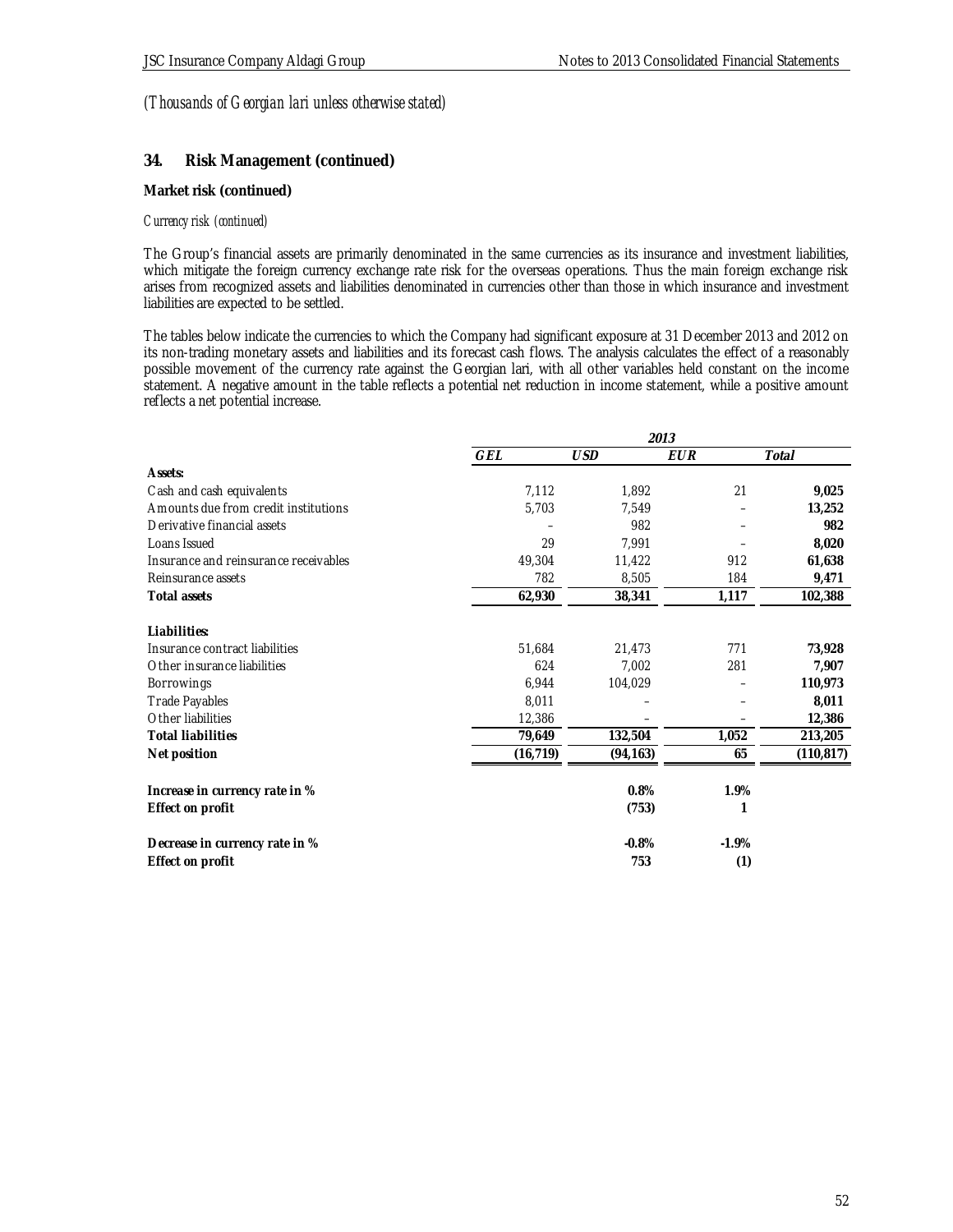### **34. Risk Management (continued)**

#### **Market risk (continued)**

#### *Currency risk (continued)*

The Group's financial assets are primarily denominated in the same currencies as its insurance and investment liabilities, which mitigate the foreign currency exchange rate risk for the overseas operations. Thus the main foreign exchange risk arises from recognized assets and liabilities denominated in currencies other than those in which insurance and investment liabilities are expected to be settled.

The tables below indicate the currencies to which the Company had significant exposure at 31 December 2013 and 2012 on its non-trading monetary assets and liabilities and its forecast cash flows. The analysis calculates the effect of a reasonably possible movement of the currency rate against the Georgian lari, with all other variables held constant on the income statement. A negative amount in the table reflects a potential net reduction in income statement, while a positive amount reflects a net potential increase.

|                                       |           |            | 2013       |            |
|---------------------------------------|-----------|------------|------------|------------|
|                                       | GEL       | <b>USD</b> | <b>EUR</b> | Total      |
| Assets:                               |           |            |            |            |
| Cash and cash equivalents             | 7,112     | 1,892      | 21         | 9,025      |
| Amounts due from credit institutions  | 5,703     | 7,549      |            | 13,252     |
| Derivative financial assets           |           | 982        |            | 982        |
| Loans Issued                          | 29        | 7,991      |            | 8,020      |
| Insurance and reinsurance receivables | 49,304    | 11,422     | 912        | 61,638     |
| Reinsurance assets                    | 782       | 8,505      | 184        | 9,471      |
| Total assets                          | 62,930    | 38,341     | 1,117      | 102,388    |
| Liabilities:                          |           |            |            |            |
| Insurance contract liabilities        | 51,684    | 21,473     | 771        | 73,928     |
| Other insurance liabilities           | 624       | 7,002      | 281        | 7,907      |
| Borrowings                            | 6,944     | 104,029    |            | 110,973    |
| <b>Trade Payables</b>                 | 8,011     |            |            | 8,011      |
| Other liabilities                     | 12,386    |            |            | 12,386     |
| <b>Total liabilities</b>              | 79,649    | 132,504    | 1,052      | 213,205    |
| Net position                          | (16, 719) | (94, 163)  | 65         | (110, 817) |
| Increase in currency rate in %        |           | 0.8%       | 1.9%       |            |
| Effect on profit                      |           | (753)      |            |            |
| Decrease in currency rate in %        |           | $-0.8%$    | $-1.9%$    |            |
| Effect on profit                      |           | 753        | (1)        |            |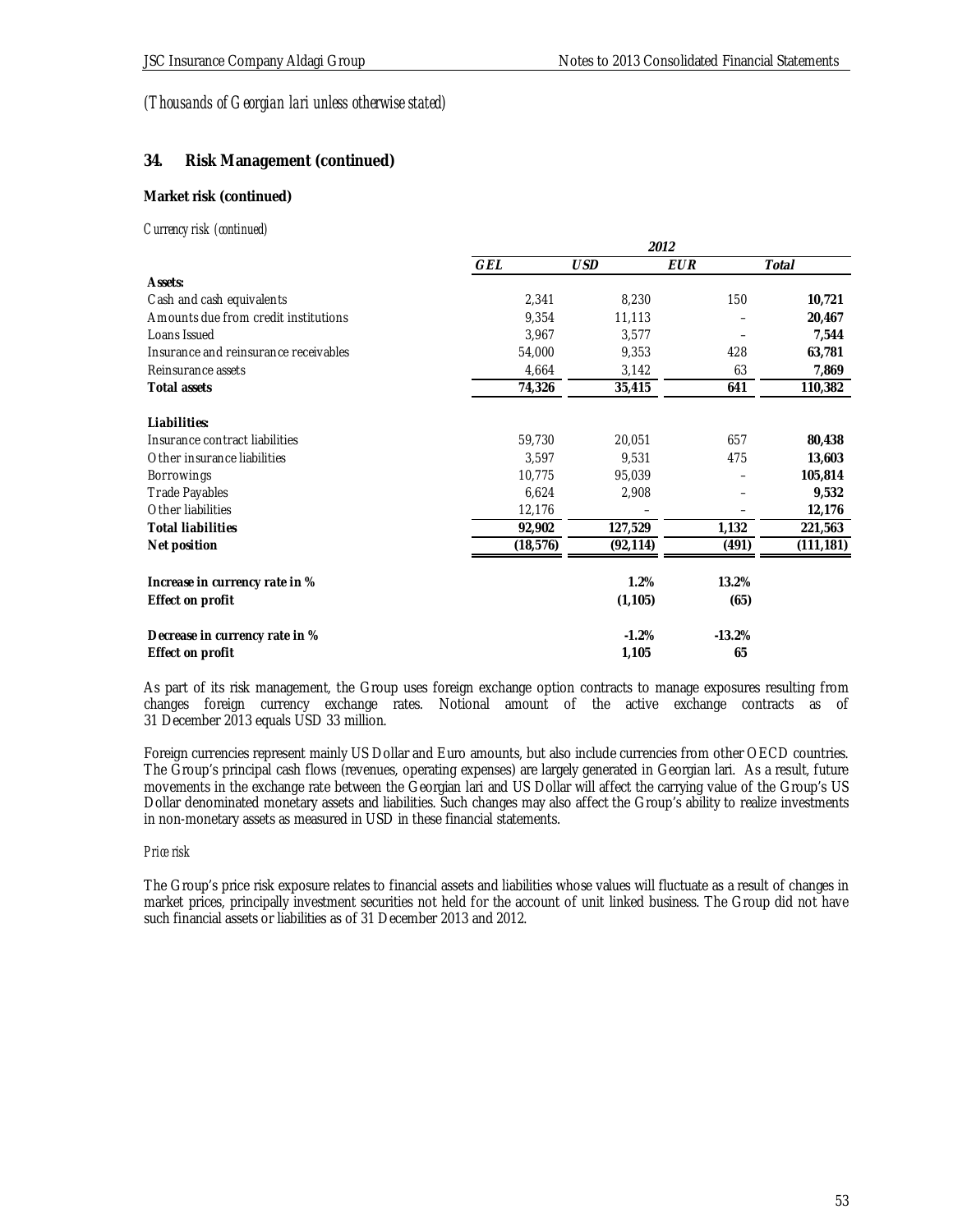**2012**

# *(Thousands of Georgian lari unless otherwise stated)*

## **34. Risk Management (continued)**

### **Market risk (continued)**

#### *Currency risk (continued)*

|                                       | ZUIZ      |            |          |            |
|---------------------------------------|-----------|------------|----------|------------|
|                                       | GEL       | <b>USD</b> | EUR      | Total      |
| Assets:                               |           |            |          |            |
| Cash and cash equivalents             | 2,341     | 8,230      | 150      | 10,721     |
| Amounts due from credit institutions  | 9,354     | 11,113     |          | 20,467     |
| Loans Issued                          | 3,967     | 3,577      |          | 7,544      |
| Insurance and reinsurance receivables | 54,000    | 9,353      | 428      | 63,781     |
| Reinsurance assets                    | 4,664     | 3,142      | 63       | 7,869      |
| Total assets                          | 74,326    | 35,415     | 641      | 110,382    |
| Liabilities:                          |           |            |          |            |
| Insurance contract liabilities        | 59,730    | 20,051     | 657      | 80,438     |
| Other insurance liabilities           | 3,597     | 9,531      | 475      | 13,603     |
| Borrowings                            | 10,775    | 95,039     |          | 105,814    |
| <b>Trade Payables</b>                 | 6,624     | 2,908      |          | 9,532      |
| Other liabilities                     | 12,176    |            |          | 12,176     |
| <b>Total liabilities</b>              | 92,902    | 127,529    | 1,132    | 221,563    |
| Net position                          | (18, 576) | (92, 114)  | (491)    | (111, 181) |
| Increase in currency rate in %        |           | 1.2%       | 13.2%    |            |
| Effect on profit                      |           | (1, 105)   | (65)     |            |
| Decrease in currency rate in %        |           | $-1.2%$    | $-13.2%$ |            |
| Effect on profit                      |           | 1,105      | 65       |            |

As part of its risk management, the Group uses foreign exchange option contracts to manage exposures resulting from changes foreign currency exchange rates. Notional amount of the active exchange contracts as of 31 December 2013 equals USD 33 million.

Foreign currencies represent mainly US Dollar and Euro amounts, but also include currencies from other OECD countries. The Group's principal cash flows (revenues, operating expenses) are largely generated in Georgian lari. As a result, future movements in the exchange rate between the Georgian lari and US Dollar will affect the carrying value of the Group's US Dollar denominated monetary assets and liabilities. Such changes may also affect the Group's ability to realize investments in non-monetary assets as measured in USD in these financial statements.

#### *Price risk*

The Group's price risk exposure relates to financial assets and liabilities whose values will fluctuate as a result of changes in market prices, principally investment securities not held for the account of unit linked business. The Group did not have such financial assets or liabilities as of 31 December 2013 and 2012.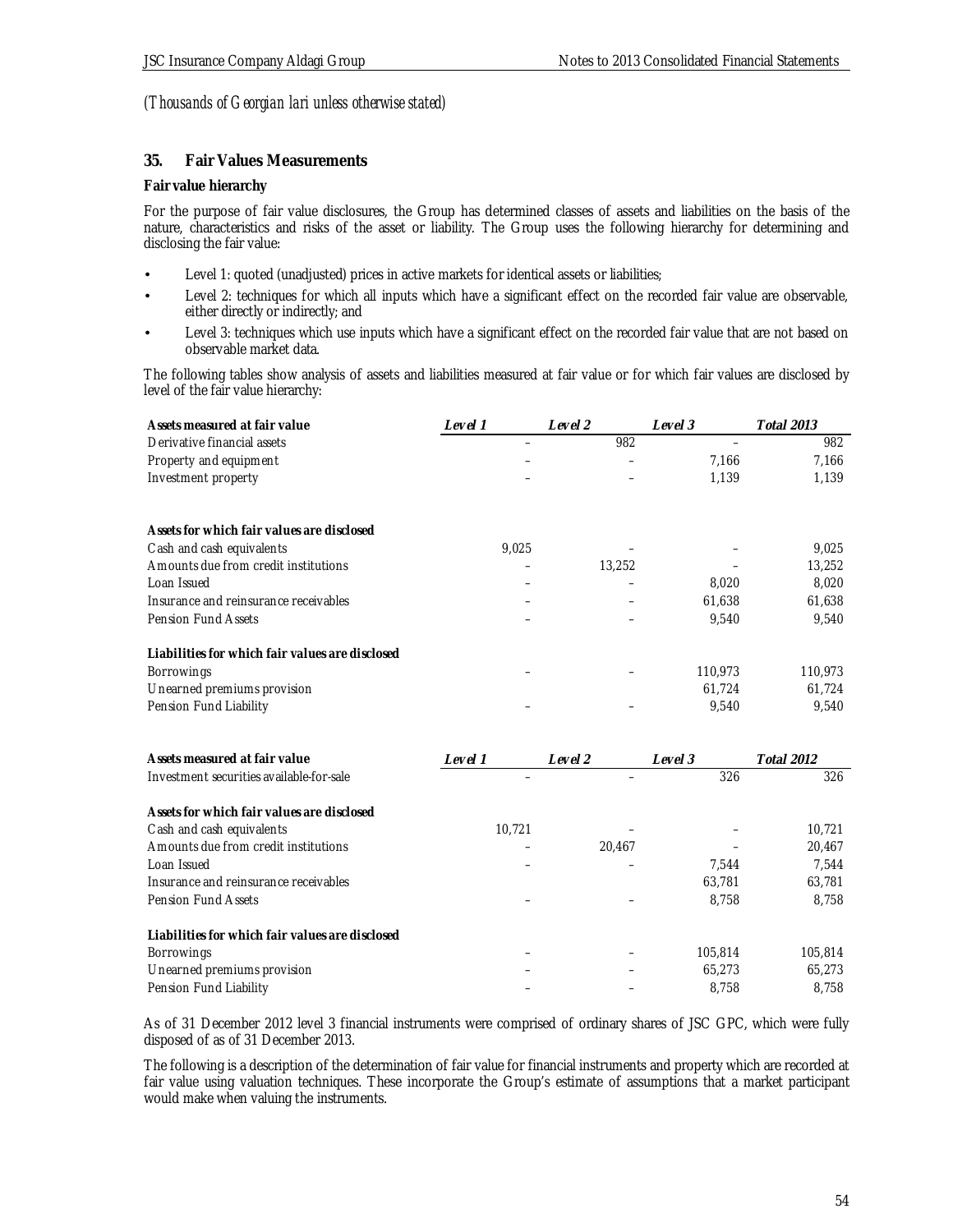### **35. Fair Values Measurements**

### **Fair value hierarchy**

For the purpose of fair value disclosures, the Group has determined classes of assets and liabilities on the basis of the nature, characteristics and risks of the asset or liability. The Group uses the following hierarchy for determining and disclosing the fair value:

- Level 1: quoted (unadjusted) prices in active markets for identical assets or liabilities;
- Level 2: techniques for which all inputs which have a significant effect on the recorded fair value are observable, either directly or indirectly; and
- Level 3: techniques which use inputs which have a significant effect on the recorded fair value that are not based on observable market data.

The following tables show analysis of assets and liabilities measured at fair value or for which fair values are disclosed by level of the fair value hierarchy:

| Assets measured at fair value                   | Level 1                  | Level 2 | Level 3 | <b>Total 2013</b> |
|-------------------------------------------------|--------------------------|---------|---------|-------------------|
| Derivative financial assets                     | $\overline{\phantom{0}}$ | 982     |         | 982               |
| Property and equipment                          |                          |         | 7,166   | 7,166             |
| Investment property                             |                          |         | 1,139   | 1,139             |
| Assets for which fair values are disclosed      |                          |         |         |                   |
| Cash and cash equivalents                       | 9,025                    |         |         | 9,025             |
| Amounts due from credit institutions            |                          | 13,252  |         | 13,252            |
| Loan Issued                                     |                          |         | 8,020   | 8,020             |
| Insurance and reinsurance receivables           |                          |         | 61,638  | 61,638            |
| <b>Pension Fund Assets</b>                      |                          |         | 9,540   | 9,540             |
| Liabilities for which fair values are disclosed |                          |         |         |                   |
| Borrowings                                      |                          |         | 110,973 | 110,973           |
| Unearned premiums provision                     |                          |         | 61,724  | 61,724            |
| Pension Fund Liability                          |                          |         | 9,540   | 9,540             |
| Assets measured at fair value                   | Level 1                  | Level 2 | Level 3 | <b>Total 2012</b> |
| Investment securities available-for-sale        |                          |         | 326     | 326               |
| Assets for which fair values are disclosed      |                          |         |         |                   |
| Cash and cash equivalents                       | 10,721                   |         |         | 10,721            |
| Amounts due from credit institutions            |                          | 20,467  |         | 20,467            |
| Loan Issued                                     |                          |         | 7,544   | 7,544             |
| Insurance and reinsurance receivables           |                          |         | 63,781  | 63,781            |
| Pension Fund Assets                             |                          |         | 8,758   | 8,758             |
| Liabilities for which fair values are disclosed |                          |         |         |                   |
| Borrowings                                      |                          |         | 105,814 | 105,814           |
| Unearned premiums provision                     |                          |         | 65,273  | 65,273            |
| Pension Fund Liability                          |                          |         | 8,758   | 8,758             |

As of 31 December 2012 level 3 financial instruments were comprised of ordinary shares of JSC GPC, which were fully disposed of as of 31 December 2013.

The following is a description of the determination of fair value for financial instruments and property which are recorded at fair value using valuation techniques. These incorporate the Group's estimate of assumptions that a market participant would make when valuing the instruments.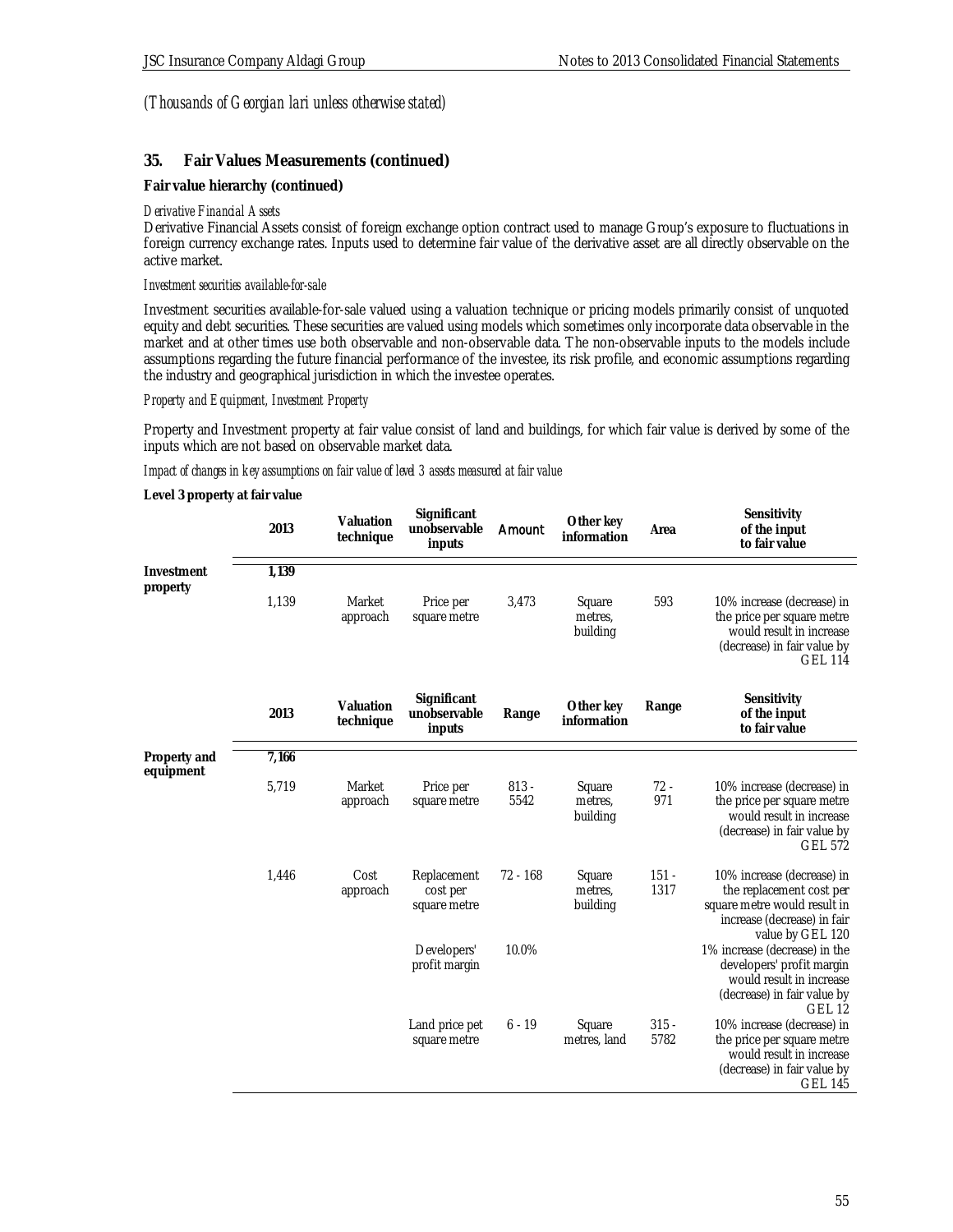### **35. Fair Values Measurements (continued)**

**Fair value hierarchy (continued)**

#### *Derivative Financial Assets*

Derivative Financial Assets consist of foreign exchange option contract used to manage Group's exposure to fluctuations in foreign currency exchange rates. Inputs used to determine fair value of the derivative asset are all directly observable on the active market.

#### *Investment securities available-for-sale*

Investment securities available-for-sale valued using a valuation technique or pricing models primarily consist of unquoted equity and debt securities. These securities are valued using models which sometimes only incorporate data observable in the market and at other times use both observable and non-observable data. The non-observable inputs to the models include assumptions regarding the future financial performance of the investee, its risk profile, and economic assumptions regarding the industry and geographical jurisdiction in which the investee operates.

### *Property and Equipment, Investment Property*

Property and Investment property at fair value consist of land and buildings, for which fair value is derived by some of the inputs which are not based on observable market data.

### *Impact of changes in key assumptions on fair value of level 3 assets measured at fair value*

**Level 3 property at fair value**

|                           | 2013  | Valuation<br>technique | Significant<br>unobservable<br>inputs   | Amount          | Other key<br>information      | Area            | Sensitivity<br>of the input<br>to fair value                                                                                               |
|---------------------------|-------|------------------------|-----------------------------------------|-----------------|-------------------------------|-----------------|--------------------------------------------------------------------------------------------------------------------------------------------|
| Investment<br>property    | 1,139 |                        |                                         |                 |                               |                 |                                                                                                                                            |
|                           | 1,139 | Market<br>approach     | Price per<br>square metre               | 3,473           | Square<br>metres,<br>building | 593             | 10% increase (decrease) in<br>the price per square metre<br>would result in increase<br>(decrease) in fair value by<br><b>GEL 114</b>      |
|                           | 2013  | Valuation<br>technique | Significant<br>unobservable<br>inputs   | Range           | Other key<br>information      | Range           | Sensitivity<br>of the input<br>to fair value                                                                                               |
| Property and<br>equipment | 7,166 |                        |                                         |                 |                               |                 |                                                                                                                                            |
|                           | 5,719 | Market<br>approach     | Price per<br>square metre               | $813 -$<br>5542 | Square<br>metres,<br>building | $72 -$<br>971   | 10% increase (decrease) in<br>the price per square metre<br>would result in increase<br>(decrease) in fair value by<br><b>GEL 572</b>      |
|                           | 1,446 | Cost<br>approach       | Replacement<br>cost per<br>square metre | 72 - 168        | Square<br>metres.<br>building | $151 -$<br>1317 | 10% increase (decrease) in<br>the replacement cost per<br>square metre would result in<br>increase (decrease) in fair<br>value by GEL 120  |
|                           |       |                        | Developers'<br>profit margin            | 10.0%           |                               |                 | 1% increase (decrease) in the<br>developers' profit margin<br>would result in increase<br>(decrease) in fair value by<br>GEL <sub>12</sub> |
|                           |       |                        | Land price pet<br>square metre          | $6 - 19$        | Square<br>metres, land        | $315 -$<br>5782 | 10% increase (decrease) in<br>the price per square metre<br>would result in increase<br>(decrease) in fair value by<br><b>GEL 145</b>      |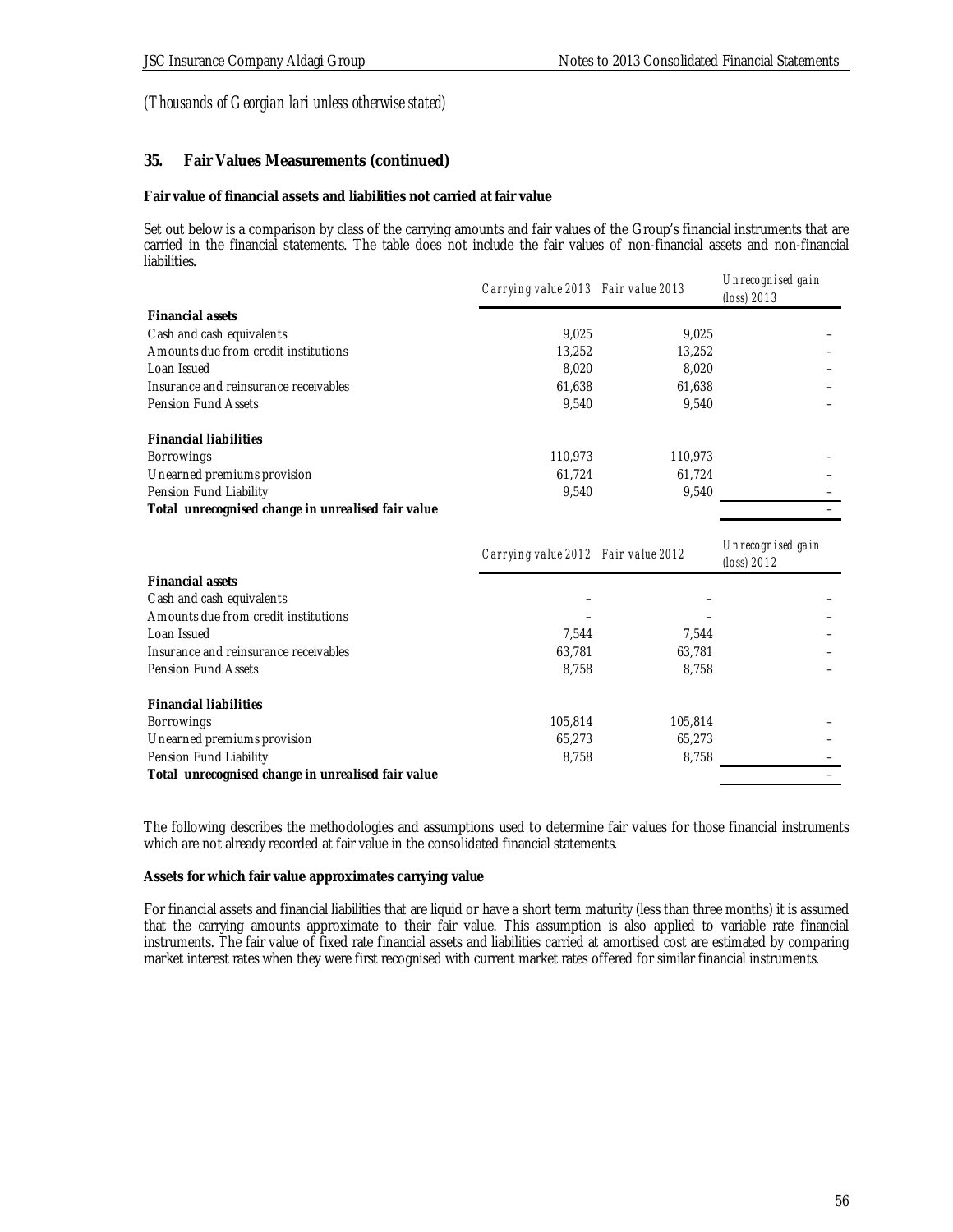### **35. Fair Values Measurements (continued)**

**Fair value of financial assets and liabilities not carried at fair value**

Set out below is a comparison by class of the carrying amounts and fair values of the Group's financial instruments that are carried in the financial statements. The table does not include the fair values of non-financial assets and non-financial liabilities.

|                                                    | Carrying value 2013 Fair value 2013 |         | Unrecognised gain<br>$(logs)$ 2013 |
|----------------------------------------------------|-------------------------------------|---------|------------------------------------|
| Financial assets                                   |                                     |         |                                    |
| Cash and cash equivalents                          | 9.025                               | 9.025   |                                    |
| Amounts due from credit institutions               | 13.252                              | 13,252  |                                    |
| Loan Issued                                        | 8.020                               | 8.020   |                                    |
| Insurance and reinsurance receivables              | 61,638                              | 61.638  |                                    |
| Pension Fund Assets                                | 9.540                               | 9.540   |                                    |
| <b>Financial liabilities</b>                       |                                     |         |                                    |
| <b>Borrowings</b>                                  | 110.973                             | 110.973 |                                    |
| Unearned premiums provision                        | 61.724                              | 61.724  |                                    |
| Pension Fund Liability                             | 9.540                               | 9,540   |                                    |
| Total unrecognised change in unrealised fair value |                                     |         |                                    |

|                                                    | Carrying value 2012 Fair value 2012 |         | Un recognised gain<br>(loss) $2012$ |
|----------------------------------------------------|-------------------------------------|---------|-------------------------------------|
| Financial assets                                   |                                     |         |                                     |
| Cash and cash equivalents                          |                                     |         |                                     |
| Amounts due from credit institutions               |                                     |         |                                     |
| Loan Issued                                        | 7.544                               | 7.544   |                                     |
| Insurance and reinsurance receivables              | 63.781                              | 63.781  |                                     |
| Pension Fund Assets                                | 8,758                               | 8.758   |                                     |
| <b>Financial liabilities</b>                       |                                     |         |                                     |
| Borrowings                                         | 105.814                             | 105,814 |                                     |
| Unearned premiums provision                        | 65.273                              | 65.273  |                                     |
| Pension Fund Liability                             | 8,758                               | 8,758   |                                     |
| Total unrecognised change in unrealised fair value |                                     |         |                                     |

The following describes the methodologies and assumptions used to determine fair values for those financial instruments which are not already recorded at fair value in the consolidated financial statements.

**Assets for which fair value approximates carrying value**

For financial assets and financial liabilities that are liquid or have a short term maturity (less than three months) it is assumed that the carrying amounts approximate to their fair value. This assumption is also applied to variable rate financial instruments. The fair value of fixed rate financial assets and liabilities carried at amortised cost are estimated by comparing market interest rates when they were first recognised with current market rates offered for similar financial instruments.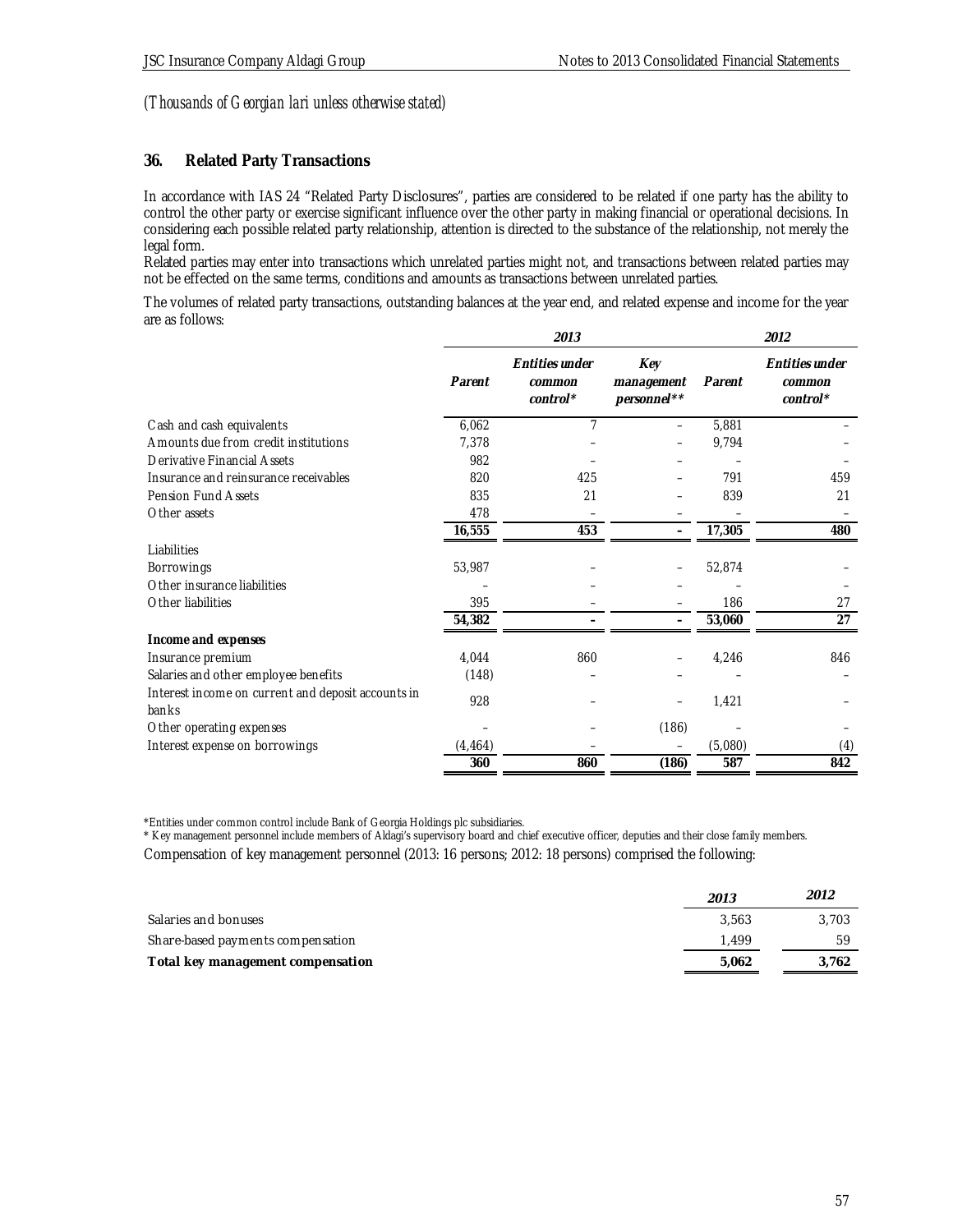### **36. Related Party Transactions**

In accordance with IAS 24 "Related Party Disclosures", parties are considered to be related if one party has the ability to control the other party or exercise significant influence over the other party in making financial or operational decisions. In considering each possible related party relationship, attention is directed to the substance of the relationship, not merely the legal form.

Related parties may enter into transactions which unrelated parties might not, and transactions between related parties may not be effected on the same terms, conditions and amounts as transactions between unrelated parties.

The volumes of related party transactions, outstanding balances at the year end, and related expense and income for the year are as follows:

|                                                             | 2013     |                                        |                                  | 2012    |                                        |
|-------------------------------------------------------------|----------|----------------------------------------|----------------------------------|---------|----------------------------------------|
|                                                             | Parent   | Entities under<br>common<br>$control*$ | Key<br>management<br>personnel** | Parent  | Entities under<br>common<br>$control*$ |
| Cash and cash equivalents                                   | 6,062    | 7                                      | $\overline{\phantom{0}}$         | 5,881   |                                        |
| Amounts due from credit institutions                        | 7,378    |                                        |                                  | 9,794   |                                        |
| Derivative Financial Assets                                 | 982      |                                        |                                  |         |                                        |
| Insurance and reinsurance receivables                       | 820      | 425                                    |                                  | 791     | 459                                    |
| Pension Fund Assets                                         | 835      | 21                                     |                                  | 839     | 21                                     |
| Other assets                                                | 478      |                                        |                                  |         |                                        |
|                                                             | 16,555   | 453                                    |                                  | 17,305  | 480                                    |
| Liabilities                                                 |          |                                        |                                  |         |                                        |
| Borrowings                                                  | 53,987   |                                        |                                  | 52,874  |                                        |
| Other insurance liabilities                                 |          |                                        |                                  |         |                                        |
| Other liabilities                                           | 395      |                                        |                                  | 186     | 27                                     |
|                                                             | 54,382   |                                        |                                  | 53,060  | 27                                     |
| Income and expenses                                         |          |                                        |                                  |         |                                        |
| Insurance premium                                           | 4,044    | 860                                    |                                  | 4,246   | 846                                    |
| Salaries and other employee benefits                        | (148)    |                                        |                                  |         |                                        |
| Interest income on current and deposit accounts in<br>banks | 928      |                                        |                                  | 1,421   |                                        |
| Other operating expenses                                    |          |                                        | (186)                            |         |                                        |
| Interest expense on borrowings                              | (4, 464) |                                        |                                  | (5,080) | (4)                                    |
|                                                             | 360      | 860                                    | (186)                            | 587     | 842                                    |

\*Entities under common control include Bank of Georgia Holdings plc subsidiaries.

\* Key management personnel include members of Aldagi's supervisory board and chief executive officer, deputies and their close family members.

Compensation of key management personnel (2013: 16 persons; 2012: 18 persons) comprised the following:

|                                   | 2013  | 2012  |
|-----------------------------------|-------|-------|
| Salaries and bonuses              | 3.563 | 3.703 |
| Share-based payments compensation | 1.499 | 59    |
| Total key management compensation | 5.062 | 3.762 |